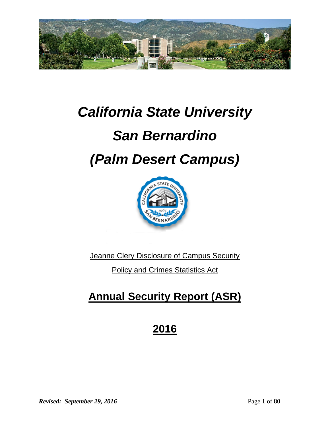

# *California State University*

# *San Bernardino*

# *(Palm Desert Campus)*



Jeanne Clery Disclosure of Campus Security

Policy and Crimes Statistics Act

## **Annual Security Report (ASR)**

## **2016**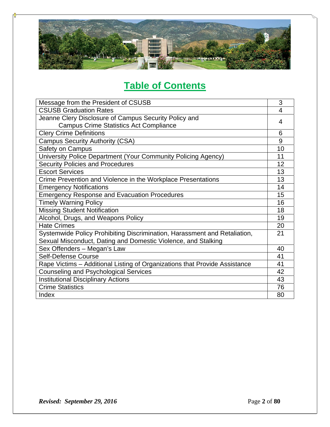

## **Table of Contents**

| Message from the President of CSUSB                                        | 3  |  |  |  |
|----------------------------------------------------------------------------|----|--|--|--|
| <b>CSUSB Graduation Rates</b>                                              | 4  |  |  |  |
| Jeanne Clery Disclosure of Campus Security Policy and                      | 4  |  |  |  |
| <b>Campus Crime Statistics Act Compliance</b>                              |    |  |  |  |
| <b>Clery Crime Definitions</b>                                             |    |  |  |  |
| <b>Campus Security Authority (CSA)</b>                                     |    |  |  |  |
| Safety on Campus                                                           | 10 |  |  |  |
| University Police Department (Your Community Policing Agency)              | 11 |  |  |  |
| <b>Security Policies and Procedures</b>                                    | 12 |  |  |  |
| <b>Escort Services</b>                                                     | 13 |  |  |  |
| Crime Prevention and Violence in the Workplace Presentations               | 13 |  |  |  |
| <b>Emergency Notifications</b>                                             | 14 |  |  |  |
| <b>Emergency Response and Evacuation Procedures</b>                        |    |  |  |  |
| <b>Timely Warning Policy</b>                                               |    |  |  |  |
| <b>Missing Student Notification</b>                                        | 18 |  |  |  |
| Alcohol, Drugs, and Weapons Policy                                         |    |  |  |  |
| <b>Hate Crimes</b>                                                         | 20 |  |  |  |
| Systemwide Policy Prohibiting Discrimination, Harassment and Retaliation,  | 21 |  |  |  |
| Sexual Misconduct, Dating and Domestic Violence, and Stalking              |    |  |  |  |
| Sex Offenders - Megan's Law                                                | 40 |  |  |  |
| Self-Defense Course                                                        | 41 |  |  |  |
| Rape Victims - Additional Listing of Organizations that Provide Assistance | 41 |  |  |  |
| <b>Counseling and Psychological Services</b>                               |    |  |  |  |
| <b>Institutional Disciplinary Actions</b>                                  |    |  |  |  |
| <b>Crime Statistics</b>                                                    |    |  |  |  |
| Index                                                                      |    |  |  |  |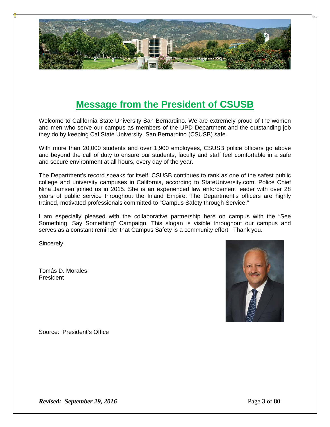

### **Message from the President of CSUSB**

Welcome to California State University San Bernardino. We are extremely proud of the women and men who serve our campus as members of the UPD Department and the outstanding job they do by keeping Cal State University, San Bernardino (CSUSB) safe.

With more than 20,000 students and over 1,900 employees, CSUSB police officers go above and beyond the call of duty to ensure our students, faculty and staff feel comfortable in a safe and secure environment at all hours, every day of the year.

The Department's record speaks for itself. CSUSB continues to rank as one of the safest public college and university campuses in California, according to StateUniversity.com. Police Chief Nina Jamsen joined us in 2015. She is an experienced law enforcement leader with over 28 years of public service throughout the Inland Empire. The Department's officers are highly trained, motivated professionals committed to "Campus Safety through Service."

I am especially pleased with the collaborative partnership here on campus with the "See Something, Say Something" Campaign. This slogan is visible throughout our campus and serves as a constant reminder that Campus Safety is a community effort. Thank you.

Sincerely,

Tomás D. Morales President



Source: President's Office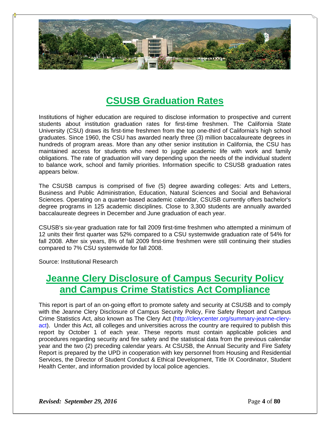

### **CSUSB Graduation Rates**

Institutions of higher education are required to disclose information to prospective and current students about institution graduation rates for first-time freshmen. The California State University (CSU) draws its first-time freshmen from the top one-third of California's high school graduates. Since 1960, the CSU has awarded nearly three (3) million baccalaureate degrees in hundreds of program areas. More than any other senior institution in California, the CSU has maintained access for students who need to juggle academic life with work and family obligations. The rate of graduation will vary depending upon the needs of the individual student to balance work, school and family priorities. Information specific to CSUSB graduation rates appears below.

The CSUSB campus is comprised of five (5) degree awarding colleges: Arts and Letters, Business and Public Administration, Education, Natural Sciences and Social and Behavioral Sciences. Operating on a quarter-based academic calendar, CSUSB currently offers bachelor's degree programs in 125 academic disciplines. Close to 3,300 students are annually awarded baccalaureate degrees in December and June graduation of each year.

CSUSB's six-year graduation rate for fall 2009 first-time freshmen who attempted a minimum of 12 units their first quarter was 52% compared to a CSU systemwide graduation rate of 54% for fall 2008. After six years, 8% of fall 2009 first-time freshmen were still continuing their studies compared to 7% CSU systemwide for fall 2008.

Source: Institutional Research

### **Jeanne Clery Disclosure of Campus Security Policy and Campus Crime Statistics Act Compliance**

This report is part of an on‐going effort to promote safety and security at CSUSB and to comply with the Jeanne Clery Disclosure of Campus Security Policy, Fire Safety Report and Campus Crime Statistics Act, also known as The Clery Act (http://clerycenter.org/summary-jeanne-cleryact). Under this Act, all colleges and universities across the country are required to publish this report by October 1 of each year. These reports must contain applicable policies and procedures regarding security and fire safety and the statistical data from the previous calendar year and the two (2) preceding calendar years. At CSUSB, the Annual Security and Fire Safety Report is prepared by the UPD in cooperation with key personnel from Housing and Residential Services, the Director of Student Conduct & Ethical Development, Title IX Coordinator, Student Health Center, and information provided by local police agencies.

*Revised: September 29, 2016* Page 4 of 80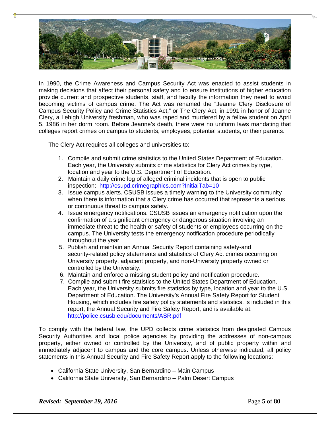

In 1990, the Crime Awareness and Campus Security Act was enacted to assist students in making decisions that affect their personal safety and to ensure institutions of higher education provide current and prospective students, staff, and faculty the information they need to avoid becoming victims of campus crime. The Act was renamed the "Jeanne Clery Disclosure of Campus Security Policy and Crime Statistics Act," or The Clery Act, in 1991 in honor of Jeanne Clery, a Lehigh University freshman, who was raped and murdered by a fellow student on April 5, 1986 in her dorm room. Before Jeanne's death, there were no uniform laws mandating that colleges report crimes on campus to students, employees, potential students, or their parents.

The Clery Act requires all colleges and universities to:

- 1. Compile and submit crime statistics to the United States Department of Education. Each year, the University submits crime statistics for Clery Act crimes by type, location and year to the U.S. Department of Education.
- 2. Maintain a daily crime log of alleged criminal incidents that is open to public inspection: http://csupd.crimegraphics.com?InitialTab=10
- 3. Issue campus alerts. CSUSB issues a timely warning to the University community when there is information that a Clery crime has occurred that represents a serious or continuous threat to campus safety.
- 4. Issue emergency notifications. CSUSB issues an emergency notification upon the confirmation of a significant emergency or dangerous situation involving an immediate threat to the health or safety of students or employees occurring on the campus. The University tests the emergency notification procedure periodically throughout the year.
- 5. Publish and maintain an Annual Security Report containing safety‐and security-related policy statements and statistics of Clery Act crimes occurring on University property, adjacent property, and non‐University property owned or controlled by the University.
- 6. Maintain and enforce a missing student policy and notification procedure.
- 7. Compile and submit fire statistics to the United States Department of Education. Each year, the University submits fire statistics by type, location and year to the U.S. Department of Education. The University's Annual Fire Safety Report for Student Housing, which includes fire safety policy statements and statistics, is included in this report, the Annual Security and Fire Safety Report, and is available at: http://police.csusb.edu/documents/ASR.pdf

To comply with the federal law, the UPD collects crime statistics from designated Campus Security Authorities and local police agencies by providing the addresses of non-campus property, either owned or controlled by the University, and of public property within and immediately adjacent to campus and the core campus. Unless otherwise indicated, all policy statements in this Annual Security and Fire Safety Report apply to the following locations:

- California State University, San Bernardino Main Campus
- California State University, San Bernardino Palm Desert Campus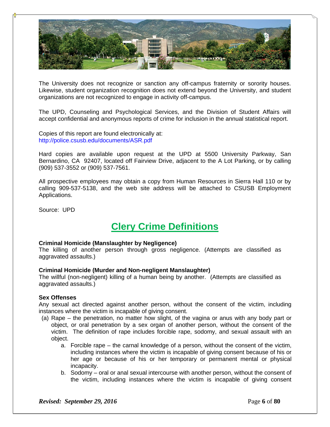

The University does not recognize or sanction any off-campus fraternity or sorority houses. Likewise, student organization recognition does not extend beyond the University, and student organizations are not recognized to engage in activity off-campus.

The UPD, Counseling and Psychological Services, and the Division of Student Affairs will accept confidential and anonymous reports of crime for inclusion in the annual statistical report.

Copies of this report are found electronically at: http://police.csusb.edu/documents/ASR.pdf

Hard copies are available upon request at the UPD at 5500 University Parkway, San Bernardino, CA 92407, located off Fairview Drive, adjacent to the A Lot Parking, or by calling (909) 537-3552 or (909) 537-7561.

All prospective employees may obtain a copy from Human Resources in Sierra Hall 110 or by calling 909-537-5138, and the web site address will be attached to CSUSB Employment Applications.

Source: UPD

### **Clery Crime Definitions**

### **Criminal Homicide (Manslaughter by Negligence)**

The killing of another person through gross negligence. (Attempts are classified as aggravated assaults.)

#### **Criminal Homicide (Murder and Non-negligent Manslaughter)**

The willful (non-negligent) killing of a human being by another. (Attempts are classified as aggravated assaults.)

#### **Sex Offenses**

Any sexual act directed against another person, without the consent of the victim, including instances where the victim is incapable of giving consent.

- (a) Rape the penetration, no matter how slight, of the vagina or anus with any body part or object, or oral penetration by a sex organ of another person, without the consent of the victim. The definition of rape includes forcible rape, sodomy, and sexual assault with an object.
	- a. Forcible rape the carnal knowledge of a person, without the consent of the victim, including instances where the victim is incapable of giving consent because of his or her age or because of his or her temporary or permanent mental or physical incapacity.
	- b. Sodomy oral or anal sexual intercourse with another person, without the consent of the victim, including instances where the victim is incapable of giving consent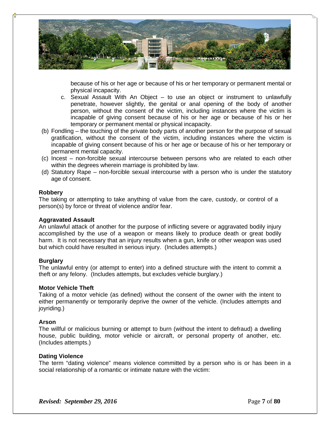

because of his or her age or because of his or her temporary or permanent mental or physical incapacity.

- c. Sexual Assault With An Object to use an object or instrument to unlawfully penetrate, however slightly, the genital or anal opening of the body of another person, without the consent of the victim, including instances where the victim is incapable of giving consent because of his or her age or because of his or her temporary or permanent mental or physical incapacity.
- (b) Fondling the touching of the private body parts of another person for the purpose of sexual gratification, without the consent of the victim, including instances where the victim is incapable of giving consent because of his or her age or because of his or her temporary or permanent mental capacity.
- (c) Incest non-forcible sexual intercourse between persons who are related to each other within the degrees wherein marriage is prohibited by law.
- (d) Statutory Rape non-forcible sexual intercourse with a person who is under the statutory age of consent.

#### **Robbery**

The taking or attempting to take anything of value from the care, custody, or control of a person(s) by force or threat of violence and/or fear.

#### **Aggravated Assault**

An unlawful attack of another for the purpose of inflicting severe or aggravated bodily injury accomplished by the use of a weapon or means likely to produce death or great bodily harm. It is not necessary that an injury results when a gun, knife or other weapon was used but which could have resulted in serious injury. (Includes attempts.)

#### **Burglary**

The unlawful entry (or attempt to enter) into a defined structure with the intent to commit a theft or any felony. (Includes attempts, but excludes vehicle burglary.)

#### **Motor Vehicle Theft**

Taking of a motor vehicle (as defined) without the consent of the owner with the intent to either permanently or temporarily deprive the owner of the vehicle. (Includes attempts and joyriding.)

#### **Arson**

The willful or malicious burning or attempt to burn (without the intent to defraud) a dwelling house, public building, motor vehicle or aircraft, or personal property of another, etc. (Includes attempts.)

#### **Dating Violence**

The term "dating violence" means violence committed by a person who is or has been in a social relationship of a romantic or intimate nature with the victim: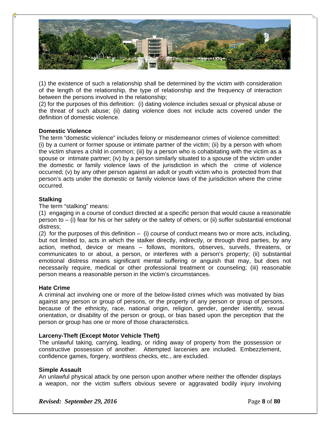

(1) the existence of such a relationship shall be determined by the victim with consideration of the length of the relationship, the type of relationship and the frequency of interaction between the persons involved in the relationship;

(2) for the purposes of this definition: (i) dating violence includes sexual or physical abuse or the threat of such abuse; (ii) dating violence does not include acts covered under the definition of domestic violence.

### **Domestic Violence**

The term "domestic violence" includes felony or misdemeanor crimes of violence committed: (i) by a current or former spouse or intimate partner of the victim; (ii) by a person with whom the victim shares a child in common; (iii) by a person who is cohabitating with the victim as a spouse or intimate partner; (iv) by a person similarly situated to a spouse of the victim under the domestic or family violence laws of the jurisdiction in which the crime of violence occurred; (v) by any other person against an adult or youth victim who is protected from that person's acts under the domestic or family violence laws of the jurisdiction where the crime occurred.

### **Stalking**

The term "stalking" means:

(1) engaging in a course of conduct directed at a specific person that would cause a reasonable person to – (i) fear for his or her safety or the safety of others; or (ii) suffer substantial emotional distress;

(2) for the purposes of this definition – (i) course of conduct means two or more acts, including, but not limited to, acts in which the stalker directly, indirectly, or through third parties, by any action, method, device or means – follows, monitors, observes, surveils, threatens, or communicates to or about, a person, or interferes with a person's property; (ii) substantial emotional distress means significant mental suffering or anguish that may, but does not necessarily require, medical or other professional treatment or counseling; (iii) reasonable person means a reasonable person in the victim's circumstances.

### **Hate Crime**

A criminal act involving one or more of the below-listed crimes which was motivated by bias against any person or group of persons, or the property of any person or group of persons, because of the ethnicity, race, national origin, religion, gender, gender identity, sexual orientation, or disability of the person or group, or bias based upon the perception that the person or group has one or more of those characteristics.

### **Larceny-Theft (Except Motor Vehicle Theft)**

The unlawful taking, carrying, leading, or riding away of property from the possession or constructive possession of another. Attempted larcenies are included. Embezzlement, confidence games, forgery, worthless checks, etc., are excluded.

### **Simple Assault**

An unlawful physical attack by one person upon another where neither the offender displays a weapon, nor the victim suffers obvious severe or aggravated bodily injury involving

*Revised: September 29, 2016* Page 8 of 80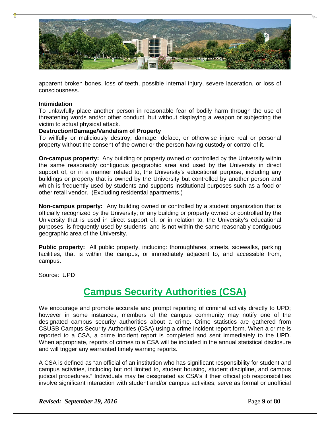

apparent broken bones, loss of teeth, possible internal injury, severe laceration, or loss of consciousness.

#### **Intimidation**

To unlawfully place another person in reasonable fear of bodily harm through the use of threatening words and/or other conduct, but without displaying a weapon or subjecting the victim to actual physical attack.

### **Destruction/Damage/Vandalism of Property**

To willfully or maliciously destroy, damage, deface, or otherwise injure real or personal property without the consent of the owner or the person having custody or control of it.

**On-campus property:** Any building or property owned or controlled by the University within the same reasonably contiguous geographic area and used by the University in direct support of, or in a manner related to, the University's educational purpose, including any buildings or property that is owned by the University but controlled by another person and which is frequently used by students and supports institutional purposes such as a food or other retail vendor. (Excluding residential apartments.)

**Non-campus property:** Any building owned or controlled by a student organization that is officially recognized by the University; or any building or property owned or controlled by the University that is used in direct support of, or in relation to, the University's educational purposes, is frequently used by students, and is not within the same reasonably contiguous geographic area of the University.

**Public property:** All public property, including: thoroughfares, streets, sidewalks, parking facilities, that is within the campus, or immediately adjacent to, and accessible from, campus.

Source: UPD

### **Campus Security Authorities (CSA)**

We encourage and promote accurate and prompt reporting of criminal activity directly to UPD; however in some instances, members of the campus community may notify one of the designated campus security authorities about a crime. Crime statistics are gathered from CSUSB Campus Security Authorities (CSA) using a crime incident report form. When a crime is reported to a CSA, a crime incident report is completed and sent immediately to the UPD. When appropriate, reports of crimes to a CSA will be included in the annual statistical disclosure and will trigger any warranted timely warning reports.

A CSA is defined as "an official of an institution who has significant responsibility for student and campus activities, including but not limited to, student housing, student discipline, and campus judicial procedures." Individuals may be designated as CSA's if their official job responsibilities involve significant interaction with student and/or campus activities; serve as formal or unofficial

*Revised: September 29, 2016* Page 1 **Page 9** of **80**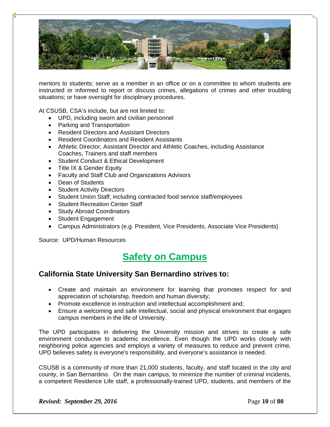

mentors to students; serve as a member in an office or on a committee to whom students are instructed or informed to report or discuss crimes, allegations of crimes and other troubling situations; or have oversight for disciplinary procedures.

At CSUSB, CSA's include, but are not limited to:

- UPD, including sworn and civilian personnel
- Parking and Transportation
- Resident Directors and Assistant Directors
- Resident Coordinators and Resident Assistants
- Athletic Director, Assistant Director and Athletic Coaches, including Assistance Coaches, Trainers and staff members
- Student Conduct & Ethical Development
- Title IX & Gender Equity
- Faculty and Staff Club and Organizations Advisors
- Dean of Students
- Student Activity Directors
- Student Union Staff, including contracted food service staff/employees
- Student Recreation Center Staff
- Study Abroad Coordinators
- Student Engagement
- Campus Administrators (e.g. President, Vice Presidents, Associate Vice Presidents)

Source: UPD/Human Resources

### **Safety on Campus**

### **California State University San Bernardino strives to:**

- Create and maintain an environment for learning that promotes respect for and appreciation of scholarship, freedom and human diversity;
- Promote excellence in instruction and intellectual accomplishment and;
- Ensure a welcoming and safe intellectual, social and physical environment that engages campus members in the life of University.

The UPD participates in delivering the University mission and strives to create a safe environment conducive to academic excellence. Even though the UPD works closely with neighboring police agencies and employs a variety of measures to reduce and prevent crime, UPD believes safety is everyone's responsibility, and everyone's assistance is needed.

CSUSB is a community of more than 21,000 students, faculty, and staff located in the city and county, in San Bernardino. On the main campus, to minimize the number of criminal incidents, a competent Residence Life staff, a professionally-trained UPD, students, and members of the

*Revised: September 29, 2016* **Page 10** of **80**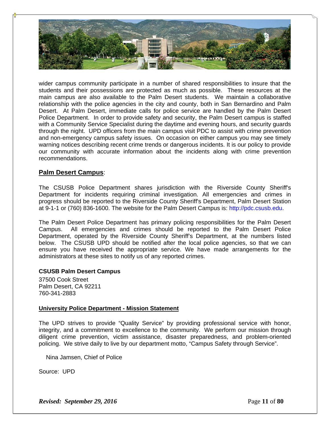

wider campus community participate in a number of shared responsibilities to insure that the students and their possessions are protected as much as possible. These resources at the main campus are also available to the Palm Desert students. We maintain a collaborative relationship with the police agencies in the city and county, both in San Bernardino and Palm Desert. At Palm Desert, immediate calls for police service are handled by the Palm Desert Police Department. In order to provide safety and security, the Palm Desert campus is staffed with a Community Service Specialist during the daytime and evening hours, and security guards through the night. UPD officers from the main campus visit PDC to assist with crime prevention and non-emergency campus safety issues. On occasion on either campus you may see timely warning notices describing recent crime trends or dangerous incidents. It is our policy to provide our community with accurate information about the incidents along with crime prevention recommendations.

### **Palm Desert Campus**:

The CSUSB Police Department shares jurisdiction with the Riverside County Sheriff's Department for incidents requiring criminal investigation. All emergencies and crimes in progress should be reported to the Riverside County Sheriff's Department, Palm Desert Station at 9-1-1 or (760) 836-1600. The website for the Palm Desert Campus is: http://pdc.csusb.edu.

The Palm Desert Police Department has primary policing responsibilities for the Palm Desert Campus. All emergencies and crimes should be reported to the Palm Desert Police Department, operated by the Riverside County Sheriff's Department, at the numbers listed below. The CSUSB UPD should be notified after the local police agencies, so that we can ensure you have received the appropriate service. We have made arrangements for the administrators at these sites to notify us of any reported crimes.

### **CSUSB Palm Desert Campus**

37500 Cook Street Palm Desert, CA 92211 760-341-2883

### **University Police Department - Mission Statement**

The UPD strives to provide "Quality Service" by providing professional service with honor, integrity, and a commitment to excellence to the community. We perform our mission through diligent crime prevention, victim assistance, disaster preparedness, and problem-oriented policing. We strive daily to live by our department motto, "Campus Safety through Service".

Nina Jamsen, Chief of Police

Source: UPD

*Revised: September 29, 2016* Page 11 of **80**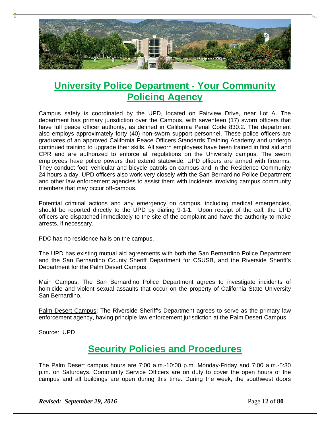

### **University Police Department - Your Community Policing Agency**

Campus safety is coordinated by the UPD, located on Fairview Drive, near Lot A. The department has primary jurisdiction over the Campus, with seventeen (17) sworn officers that have full peace officer authority, as defined in California Penal Code 830.2. The department also employs approximately forty (40) non-sworn support personnel. These police officers are graduates of an approved California Peace Officers Standards Training Academy and undergo continued training to upgrade their skills. All sworn employees have been trained in first aid and CPR and are authorized to enforce all regulations on the University campus. The sworn employees have police powers that extend statewide. UPD officers are armed with firearms. They conduct foot, vehicular and bicycle patrols on campus and in the Residence Community 24 hours a day. UPD officers also work very closely with the San Bernardino Police Department and other law enforcement agencies to assist them with incidents involving campus community members that may occur off-campus.

Potential criminal actions and any emergency on campus, including medical emergencies, should be reported directly to the UPD by dialing 9-1-1. Upon receipt of the call, the UPD officers are dispatched immediately to the site of the complaint and have the authority to make arrests, if necessary.

PDC has no residence halls on the campus.

The UPD has existing mutual aid agreements with both the San Bernardino Police Department and the San Bernardino County Sheriff Department for CSUSB, and the Riverside Sheriff's Department for the Palm Desert Campus.

Main Campus: The San Bernardino Police Department agrees to investigate incidents of homicide and violent sexual assaults that occur on the property of California State University San Bernardino.

Palm Desert Campus: The Riverside Sheriff's Department agrees to serve as the primary law enforcement agency, having principle law enforcement jurisdiction at the Palm Desert Campus.

Source: UPD

### **Security Policies and Procedures**

The Palm Desert campus hours are 7:00 a.m.-10:00 p.m. Monday-Friday and 7:00 a.m.-5:30 p.m. on Saturdays. Community Service Officers are on duty to cover the open hours of the campus and all buildings are open during this time. During the week, the southwest doors

*Revised: September 29, 2016* **Page 12** of **80**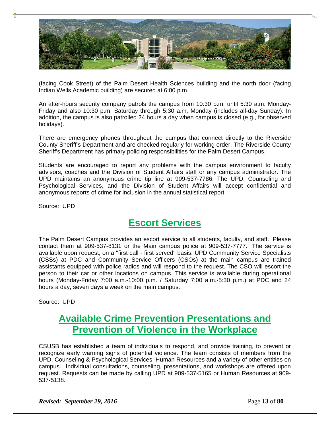

(facing Cook Street) of the Palm Desert Health Sciences building and the north door (facing Indian Wells Academic building) are secured at 6:00 p.m.

An after-hours security company patrols the campus from 10:30 p.m. until 5:30 a.m. Monday-Friday and also 10:30 p.m. Saturday through 5:30 a.m. Monday (includes all-day Sunday). In addition, the campus is also patrolled 24 hours a day when campus is closed (e.g., for observed holidays).

There are emergency phones throughout the campus that connect directly to the Riverside County Sheriff's Department and are checked regularly for working order. The Riverside County Sheriff's Department has primary policing responsibilities for the Palm Desert Campus.

Students are encouraged to report any problems with the campus environment to faculty advisors, coaches and the Division of Student Affairs staff or any campus administrator. The UPD maintains an anonymous crime tip line at 909-537-7786. The UPD, Counseling and Psychological Services, and the Division of Student Affairs will accept confidential and anonymous reports of crime for inclusion in the annual statistical report.

Source: UPD

### **Escort Services**

The Palm Desert Campus provides an escort service to all students, faculty, and staff. Please contact them at 909-537-8131 or the Main campus police at 909-537-7777. The service is available upon request, on a "first call - first served" basis. UPD Community Service Specialists (CSSs) at PDC and Community Service Officers (CSOs) at the main campus are trained assistants equipped with police radios and will respond to the request. The CSO will escort the person to their car or other locations on campus. This service is available during operational hours (Monday-Friday 7:00 a.m.-10:00 p.m. / Saturday 7:00 a.m.-5:30 p.m.) at PDC and 24 hours a day, seven days a week on the main campus.

Source: UPD

### **Available Crime Prevention Presentations and Prevention of Violence in the Workplace**

CSUSB has established a team of individuals to respond, and provide training, to prevent or recognize early warning signs of potential violence. The team consists of members from the UPD, Counseling & Psychological Services, Human Resources and a variety of other entities on campus. Individual consultations, counseling, presentations, and workshops are offered upon request. Requests can be made by calling UPD at 909-537-5165 or Human Resources at 909- 537-5138.

*Revised: September 29, 2016* **Page 13** of **80**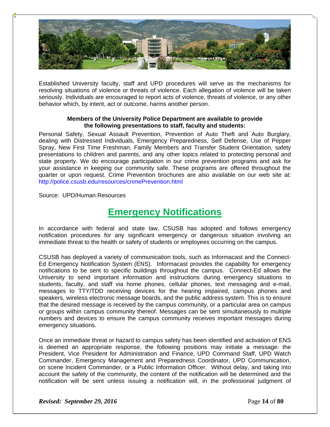

Established University faculty, staff and UPD procedures will serve as the mechanisms for resolving situations of violence or threats of violence. Each allegation of violence will be taken seriously. Individuals are encouraged to report acts of violence, threats of violence, or any other behavior which, by intent, act or outcome, harms another person.

### **Members of the University Police Department are available to provide the following presentations to staff, faculty and students:**

Personal Safety, Sexual Assault Prevention, Prevention of Auto Theft and Auto Burglary, dealing with Distressed Individuals, Emergency Preparedness, Self Defense, Use of Pepper Spray, New First Time Freshman, Family Members and Transfer Student Orientation, safety presentations to children and parents, and any other topics related to protecting personal and state property. We do encourage participation in our crime prevention programs and ask for your assistance in keeping our community safe. These programs are offered throughout the quarter or upon request. Crime Prevention brochures are also available on our web site at: http://police.csusb.edu/resources/crimePrevention.html

Source: UPD/Human Resources

### **Emergency Notifications**

In accordance with federal and state law, CSUSB has adopted and follows emergency notification procedures for any significant emergency or dangerous situation involving an immediate threat to the health or safety of students or employees occurring on the campus.

CSUSB has deployed a variety of communication tools, such as Informacast and the Connect-Ed Emergency Notification System (ENS). Informacast provides the capability for emergency notifications to be sent to specific buildings throughout the campus. Connect-Ed allows the University to send important information and instructions during emergency situations to students, faculty, and staff via home phones, cellular phones, text messaging and e-mail, messages to TTY/TDD receiving devices for the hearing impaired, campus phones and speakers, wireless electronic message boards, and the public address system. This is to ensure that the desired message is received by the campus community, or a particular area on campus or groups within campus community thereof. Messages can be sent simultaneously to multiple numbers and devices to ensure the campus community receives important messages during emergency situations.

Once an immediate threat or hazard to campus safety has been identified and activation of ENS is deemed an appropriate response, the following positions may initiate a message: the President, Vice President for Administration and Finance, UPD Command Staff, UPD Watch Commander, Emergency Management and Preparedness Coordinator, UPD Communication, on scene Incident Commander, or a Public Information Officer. Without delay, and taking into account the safety of the community, the content of the notification will be determined and the notification will be sent unless issuing a notification will, in the professional judgment of

*Revised: September 29, 2016* **Page 14** of **80**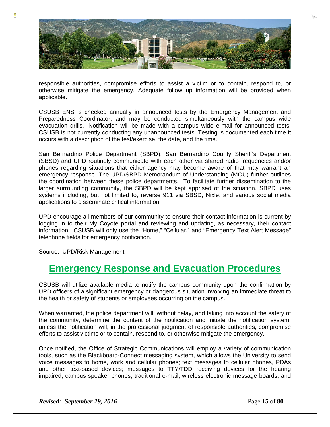

responsible authorities, compromise efforts to assist a victim or to contain, respond to, or otherwise mitigate the emergency. Adequate follow up information will be provided when applicable.

CSUSB ENS is checked annually in announced tests by the Emergency Management and Preparedness Coordinator, and may be conducted simultaneously with the campus wide evacuation drills. Notification will be made with a campus wide e-mail for announced tests. CSUSB is not currently conducting any unannounced tests. Testing is documented each time it occurs with a description of the test/exercise, the date, and the time.

San Bernardino Police Department (SBPD), San Bernardino County Sheriff's Department (SBSD) and UPD routinely communicate with each other via shared radio frequencies and/or phones regarding situations that either agency may become aware of that may warrant an emergency response. The UPD/SBPD Memorandum of Understanding (MOU) further outlines the coordination between these police departments. To facilitate further dissemination to the larger surrounding community, the SBPD will be kept apprised of the situation. SBPD uses systems including, but not limited to, reverse 911 via SBSD, Nixle, and various social media applications to disseminate critical information.

UPD encourage all members of our community to ensure their contact information is current by logging in to their My Coyote portal and reviewing and updating, as necessary, their contact information. CSUSB will only use the "Home," "Cellular," and "Emergency Text Alert Message" telephone fields for emergency notification.

Source: UPD/Risk Management

### **Emergency Response and Evacuation Procedures**

CSUSB will utilize available media to notify the campus community upon the confirmation by UPD officers of a significant emergency or dangerous situation involving an immediate threat to the health or safety of students or employees occurring on the campus.

When warranted, the police department will, without delay, and taking into account the safety of the community, determine the content of the notification and initiate the notification system, unless the notification will, in the professional judgment of responsible authorities, compromise efforts to assist victims or to contain, respond to, or otherwise mitigate the emergency.

Once notified, the Office of Strategic Communications will employ a variety of communication tools, such as the Blackboard-Connect messaging system, which allows the University to send voice messages to home, work and cellular phones; text messages to cellular phones, PDAs and other text-based devices; messages to TTY/TDD receiving devices for the hearing impaired; campus speaker phones; traditional e-mail; wireless electronic message boards; and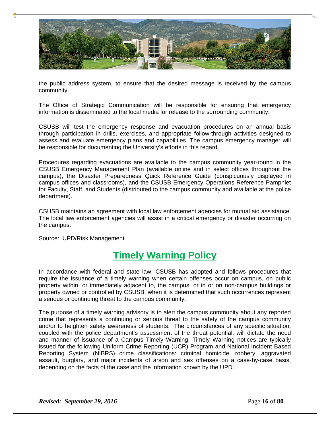

the public address system, to ensure that the desired message is received by the campus community.

The Office of Strategic Communication will be responsible for ensuring that emergency information is disseminated to the local media for release to the surrounding community.

CSUSB will test the emergency response and evacuation procedures on an annual basis through participation in drills, exercises, and appropriate follow-through activities designed to assess and evaluate emergency plans and capabilities. The campus emergency manager will be responsible for documenting the University's efforts in this regard.

Procedures regarding evacuations are available to the campus community year-round in the CSUSB Emergency Management Plan (available online and in select offices throughout the campus), the Disaster Preparedness Quick Reference Guide (conspicuously displayed in campus offices and classrooms), and the CSUSB Emergency Operations Reference Pamphlet for Faculty, Staff, and Students (distributed to the campus community and available at the police department).

CSUSB maintains an agreement with local law enforcement agencies for mutual aid assistance. The local law enforcement agencies will assist in a critical emergency or disaster occurring on the campus.

Source: UPD/Risk Management

### **Timely Warning Policy**

In accordance with federal and state law, CSUSB has adopted and follows procedures that require the issuance of a timely warning when certain offenses occur on campus, on public property within, or immediately adjacent to, the campus, or in or on non-campus buildings or property owned or controlled by CSUSB, when it is determined that such occurrences represent a serious or continuing threat to the campus community.

The purpose of a timely warning advisory is to alert the campus community about any reported crime that represents a continuing or serious threat to the safety of the campus community and/or to heighten safety awareness of students. The circumstances of any specific situation, coupled with the police department's assessment of the threat potential, will dictate the need and manner of issuance of a Campus Timely Warning. Timely Warning notices are typically issued for the following Uniform Crime Reporting (UCR) Program and National Incident Based Reporting System (NIBRS) crime classifications: criminal homicide, robbery, aggravated assault, burglary, and major incidents of arson and sex offenses on a case‐by‐case basis, depending on the facts of the case and the information known by the UPD.

*Revised: September 29, 2016* Page **16** of **80**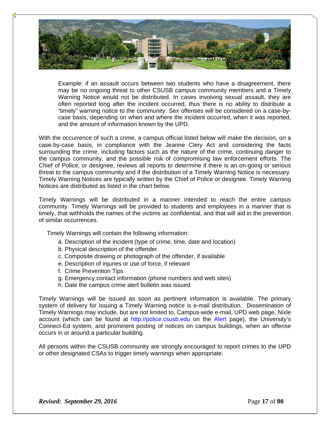

Example: if an assault occurs between two students who have a disagreement, there may be no ongoing threat to other CSUSB campus community members and a Timely Warning Notice would not be distributed. In cases involving sexual assault, they are often reported long after the incident occurred, thus there is no ability to distribute a "timely" warning notice to the community. Sex offenses will be considered on a case-bycase basis, depending on when and where the incident occurred, when it was reported, and the amount of information known by the UPD.

With the occurrence of such a crime, a campus official listed below will make the decision, on a case‐by‐case basis, in compliance with the Jeanne Clery Act and considering the facts surrounding the crime, including factors such as the nature of the crime, continuing danger to the campus community, and the possible risk of compromising law enforcement efforts. The Chief of Police, or designee, reviews all reports to determine if there is an on‐going or serious threat to the campus community and if the distribution of a Timely Warning Notice is necessary. Timely Warning Notices are typically written by the Chief of Police or designee. Timely Warning Notices are distributed as listed in the chart below.

Timely Warnings will be distributed in a manner intended to reach the entire campus community. Timely Warnings will be provided to students and employees in a manner that is timely, that withholds the names of the victims as confidential, and that will aid in the prevention of similar occurrences.

Timely Warnings will contain the following information:

- a. Description of the incident (type of crime, time, date and location)
- b. Physical description of the offender
- c. Composite drawing or photograph of the offender, if available
- e. Description of injuries or use of force, if relevant
- f. Crime Prevention Tips
- g. Emergency contact information (phone numbers and web sites)
- h. Date the campus crime alert bulletin was issued

Timely Warnings will be issued as soon as pertinent information is available. The primary system of delivery for issuing a Timely Warning notice is e-mail distribution. Dissemination of Timely Warnings may include, but are not limited to, Campus-wide e-mail, UPD web page, Nixle account (which can be found at http://police.csusb.edu on the Alert page), the University's Connect-Ed system, and prominent posting of notices on campus buildings, when an offense occurs in or around a particular building.

All persons within the CSUSB community are strongly encouraged to report crimes to the UPD or other designated CSAs to trigger timely warnings when appropriate.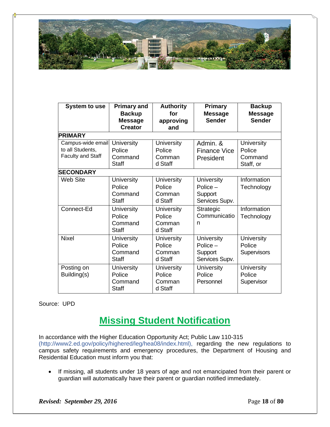

| <b>System to use</b>                                              | <b>Primary and</b><br><b>Backup</b><br><b>Message</b><br><b>Creator</b> | <b>Authority</b><br>for<br>approving<br>and      | <b>Primary</b><br><b>Message</b><br><b>Sender</b>            | <b>Backup</b><br><b>Message</b><br><b>Sender</b>    |  |
|-------------------------------------------------------------------|-------------------------------------------------------------------------|--------------------------------------------------|--------------------------------------------------------------|-----------------------------------------------------|--|
| <b>PRIMARY</b>                                                    |                                                                         |                                                  |                                                              |                                                     |  |
| Campus-wide email<br>to all Students,<br><b>Faculty and Staff</b> | <b>University</b><br>Police<br>Command<br><b>Staff</b>                  | <b>University</b><br>Police<br>Comman<br>d Staff | Admin, &<br><b>Finance Vice</b><br>President                 | <b>University</b><br>Police<br>Command<br>Staff, or |  |
| <b>SECONDARY</b>                                                  |                                                                         |                                                  |                                                              |                                                     |  |
| <b>Web Site</b>                                                   | <b>University</b><br>Police<br>Command<br>Staff                         | <b>University</b><br>Police<br>Comman<br>d Staff | <b>University</b><br>Police $-$<br>Support<br>Services Supv. | Information<br>Technology                           |  |
| Connect-Ed                                                        | <b>University</b><br>Police<br>Command<br>Staff                         | <b>University</b><br>Police<br>Comman<br>d Staff | Strategic<br>Communicatio<br>n                               | Information<br>Technology                           |  |
| <b>Nixel</b>                                                      | <b>University</b><br>Police<br>Command<br>Staff                         | <b>University</b><br>Police<br>Comman<br>d Staff | <b>University</b><br>$Police -$<br>Support<br>Services Supv. | <b>University</b><br>Police<br><b>Supervisors</b>   |  |
| Posting on<br>Building(s)                                         | University<br>Police<br>Command<br><b>Staff</b>                         | <b>University</b><br>Police<br>Comman<br>d Staff | University<br>Police<br>Personnel                            | <b>University</b><br>Police<br>Supervisor           |  |

### Source: UPD

### **Missing Student Notification**

In accordance with the Higher Education Opportunity Act; Public Law 110-315 (http://www2.ed.gov/policy/highered/leg/hea08/index.html), regarding the new regulations to campus safety requirements and emergency procedures, the Department of Housing and Residential Education must inform you that:

 If missing, all students under 18 years of age and not emancipated from their parent or guardian will automatically have their parent or guardian notified immediately.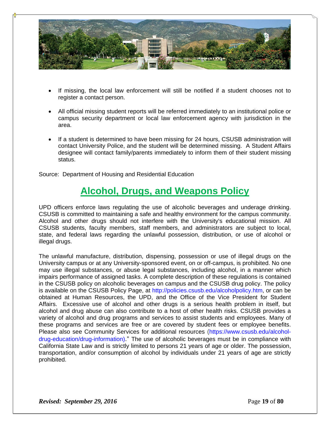

- If missing, the local law enforcement will still be notified if a student chooses not to register a contact person.
- All official missing student reports will be referred immediately to an institutional police or campus security department or local law enforcement agency with jurisdiction in the area.
- If a student is determined to have been missing for 24 hours, CSUSB administration will contact University Police, and the student will be determined missing. A Student Affairs designee will contact family/parents immediately to inform them of their student missing status.

Source: Department of Housing and Residential Education

### **Alcohol, Drugs, and Weapons Policy**

UPD officers enforce laws regulating the use of alcoholic beverages and underage drinking. CSUSB is committed to maintaining a safe and healthy environment for the campus community. Alcohol and other drugs should not interfere with the University's educational mission. All CSUSB students, faculty members, staff members, and administrators are subject to local, state, and federal laws regarding the unlawful possession, distribution, or use of alcohol or illegal drugs.

The unlawful manufacture, distribution, dispensing, possession or use of illegal drugs on the University campus or at any University-sponsored event, on or off-campus, is prohibited. No one may use illegal substances, or abuse legal substances, including alcohol, in a manner which impairs performance of assigned tasks. A complete description of these regulations is contained in the CSUSB policy on alcoholic beverages on campus and the CSUSB drug policy. The policy is available on the CSUSB Policy Page, at http://policies.csusb.edu/alcoholpolicy.htm, or can be obtained at Human Resources, the UPD, and the Office of the Vice President for Student Affairs. Excessive use of alcohol and other drugs is a serious health problem in itself, but alcohol and drug abuse can also contribute to a host of other health risks. CSUSB provides a variety of alcohol and drug programs and services to assist students and employees. Many of these programs and services are free or are covered by student fees or employee benefits. Please also see Community Services for additional resources (https://www.csusb.edu/alcoholdrug-education/drug-information)." The use of alcoholic beverages must be in compliance with California State Law and is strictly limited to persons 21 years of age or older. The possession, transportation, and/or consumption of alcohol by individuals under 21 years of age are strictly prohibited.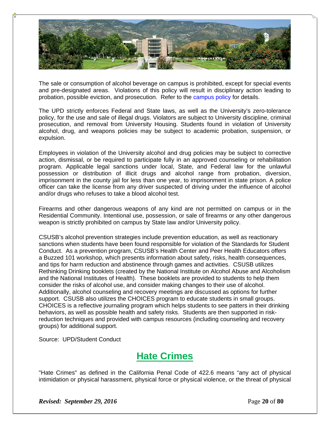

The sale or consumption of alcohol beverage on campus is prohibited, except for special events and pre-designated areas. Violations of this policy will result in disciplinary action leading to probation, possible eviction, and prosecution. Refer to the campus policy for details.

The UPD strictly enforces Federal and State laws, as well as the University's zero-tolerance policy, for the use and sale of illegal drugs. Violators are subject to University discipline, criminal prosecution, and removal from University Housing. Students found in violation of University alcohol, drug, and weapons policies may be subject to academic probation, suspension, or expulsion.

Employees in violation of the University alcohol and drug policies may be subject to corrective action, dismissal, or be required to participate fully in an approved counseling or rehabilitation program. Applicable legal sanctions under local, State, and Federal law for the unlawful possession or distribution of illicit drugs and alcohol range from probation, diversion, imprisonment in the county jail for less than one year, to imprisonment in state prison. A police officer can take the license from any driver suspected of driving under the influence of alcohol and/or drugs who refuses to take a blood alcohol test.

Firearms and other dangerous weapons of any kind are not permitted on campus or in the Residential Community. Intentional use, possession, or sale of firearms or any other dangerous weapon is strictly prohibited on campus by State law and/or University policy.

CSUSB's alcohol prevention strategies include prevention education, as well as reactionary sanctions when students have been found responsible for violation of the Standards for Student Conduct. As a prevention program, CSUSB's Health Center and Peer Health Educators offers a Buzzed 101 workshop, which presents information about safety, risks, health consequences, and tips for harm reduction and abstinence through games and activities. CSUSB utilizes Rethinking Drinking booklets (created by the National Institute on Alcohol Abuse and Alcoholism and the National Institutes of Health). These booklets are provided to students to help them consider the risks of alcohol use, and consider making changes to their use of alcohol. Additionally, alcohol counseling and recovery meetings are discussed as options for further support. CSUSB also utilizes the CHOICES program to educate students in small groups. CHOICES is a reflective journaling program which helps students to see patters in their drinking behaviors, as well as possible health and safety risks. Students are then supported in riskreduction techniques and provided with campus resources (including counseling and recovery groups) for additional support.

Source: UPD/Student Conduct

### **Hate Crimes**

"Hate Crimes" as defined in the California Penal Code of 422.6 means "any act of physical intimidation or physical harassment, physical force or physical violence, or the threat of physical

*Revised: September 29, 2016* Page 20 of 80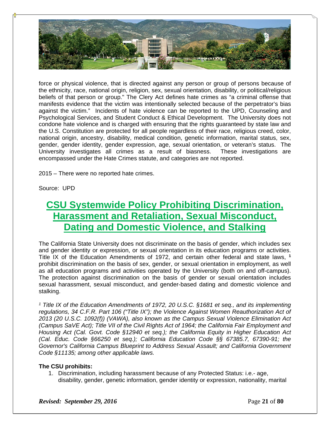

force or physical violence, that is directed against any person or group of persons because of the ethnicity, race, national origin, religion, sex, sexual orientation, disability, or political/religious beliefs of that person or group." The Clery Act defines hate crimes as "a criminal offense that manifests evidence that the victim was intentionally selected because of the perpetrator's bias against the victim." Incidents of hate violence can be reported to the UPD, Counseling and Psychological Services, and Student Conduct & Ethical Development. The University does not condone hate violence and is charged with ensuring that the rights guaranteed by state law and the U.S. Constitution are protected for all people regardless of their race, religious creed, color, national origin, ancestry, disability, medical condition, genetic information, marital status, sex, gender, gender identity, gender expression, age, sexual orientation, or veteran's status. The University investigates all crimes as a result of biasness. These investigations are encompassed under the Hate Crimes statute, and categories are not reported.

2015 – There were no reported hate crimes.

Source: UPD

### **CSU Systemwide Policy Prohibiting Discrimination, Harassment and Retaliation, Sexual Misconduct, Dating and Domestic Violence, and Stalking**

The California State University does not discriminate on the basis of gender, which includes sex and gender identity or expression, or sexual orientation in its education programs or activities. Title IX of the Education Amendments of 1972, and certain other federal and state laws, **<sup>1</sup>** prohibit discrimination on the basis of sex, gender, or sexual orientation in employment, as well as all education programs and activities operated by the University (both on and off-campus). The protection against discrimination on the basis of gender or sexual orientation includes sexual harassment, sexual misconduct, and gender-based dating and domestic violence and stalking.

*1 Title IX of the Education Amendments of 1972, 20 U.S.C. §1681 et seq., and its implementing regulations, 34 C.F.R. Part 106 ("Title IX"); the Violence Against Women Reauthorization Act of 2013 (20 U.S.C. 1092(f)) (VAWA), also known as the Campus Sexual Violence Elimination Act (Campus SaVE Act); Title VII of the Civil Rights Act of 1964; the California Fair Employment and Housing Act (Cal. Govt. Code §12940 et seq.); the California Equity in Higher Education Act (Cal. Educ. Code §66250 et seq.); California Education Code §§ 67385.7, 67390-91; the Governor's California Campus Blueprint to Address Sexual Assault; and California Government Code §11135; among other applicable laws.*

### **The CSU prohibits:**

1. Discrimination, including harassment because of any Protected Status: i.e.- age, disability, gender, genetic information, gender identity or expression, nationality, marital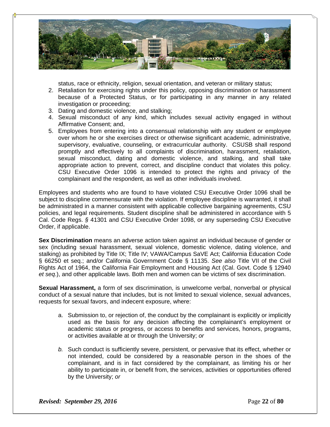

status, race or ethnicity, religion, sexual orientation, and veteran or military status;

- 2. Retaliation for exercising rights under this policy, opposing discrimination or harassment because of a Protected Status, or for participating in any manner in any related investigation or proceeding;
- 3. Dating and domestic violence, and stalking;
- 4. Sexual misconduct of any kind, which includes sexual activity engaged in without Affirmative Consent; and,
- 5. Employees from entering into a consensual relationship with any student or employee over whom he or she exercises direct or otherwise significant academic, administrative, supervisory, evaluative, counseling, or extracurricular authority. CSUSB shall respond promptly and effectively to all complaints of discrimination, harassment, retaliation, sexual misconduct, dating and domestic violence, and stalking, and shall take appropriate action to prevent, correct, and discipline conduct that violates this policy. CSU Executive Order 1096 is intended to protect the rights and privacy of the complainant and the respondent, as well as other individuals involved.

Employees and students who are found to have violated CSU Executive Order 1096 shall be subject to discipline commensurate with the violation. If employee discipline is warranted, it shall be administrated in a manner consistent with applicable collective bargaining agreements, CSU policies, and legal requirements. Student discipline shall be administered in accordance with 5 Cal. Code Regs. *§* 41301 and CSU Executive Order 1098, or any superseding CSU Executive Order, if applicable.

**Sex Discrimination** means an adverse action taken against an individual because of gender or sex (including sexual harassment, sexual violence, domestic violence, dating violence, and stalking) as prohibited by Title IX; Title IV; VAWA/Campus SaVE Act; California Education Code § 66250 et seq.; and/or California Government Code § 11135. *See also* Title VII of the Civil Rights Act of 1964, the California Fair Employment and Housing Act (Cal. Govt. Code § 12940 *et seq*.), and other applicable laws. Both men and women can be victims of sex discrimination.

**Sexual Harassment,** a form of sex discrimination, is unwelcome verbal, nonverbal or physical conduct of a sexual nature that includes, but is not limited to sexual violence, sexual advances, requests for sexual favors, and indecent exposure, where:

- a. Submission to, or rejection of, the conduct by the complainant is explicitly or implicitly used as the basis for any decision affecting the complainant's employment or academic status or progress, or access to benefits and services, honors, programs, or activities available at or through the University; *or*
- *b.* Such conduct is sufficiently severe, persistent, or pervasive that its effect, whether or not intended, could be considered by a reasonable person in the shoes of the complainant, and is in fact considered by the complainant, as limiting his or her ability to participate in, or benefit from, the services, activities or opportunities offered by the University; *or*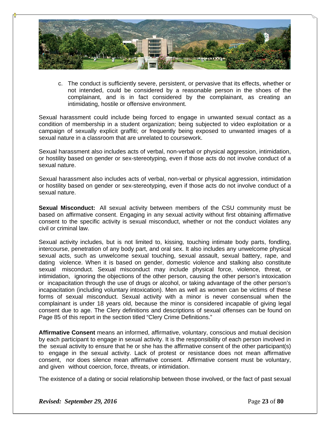

c. The conduct is sufficiently severe, persistent, or pervasive that its effects, whether or not intended, could be considered by a reasonable person in the shoes of the complainant, and is in fact considered by the complainant, as creating an intimidating, hostile or offensive environment.

Sexual harassment could include being forced to engage in unwanted sexual contact as a condition of membership in a student organization; being subjected to video exploitation or a campaign of sexually explicit graffiti; or frequently being exposed to unwanted images of a sexual nature in a classroom that are unrelated to coursework.

Sexual harassment also includes acts of verbal, non-verbal or physical aggression, intimidation, or hostility based on gender or sex-stereotyping, even if those acts do not involve conduct of a sexual nature.

Sexual harassment also includes acts of verbal, non-verbal or physical aggression, intimidation or hostility based on gender or sex-stereotyping, even if those acts do not involve conduct of a sexual nature.

**Sexual Misconduct:** All sexual activity between members of the CSU community must be based on affirmative consent. Engaging in any sexual activity without first obtaining affirmative consent to the specific activity is sexual misconduct, whether or not the conduct violates any civil or criminal law.

Sexual activity includes, but is not limited to, kissing, touching intimate body parts, fondling, intercourse, penetration of any body part, and oral sex. It also includes any unwelcome physical sexual acts, such as unwelcome sexual touching, sexual assault, sexual battery, rape, and dating violence. When it is based on gender, domestic violence and stalking also constitute sexual misconduct. Sexual misconduct may include physical force, violence, threat, or intimidation, ignoring the objections of the other person, causing the other person's intoxication or incapacitation through the use of drugs or alcohol, or taking advantage of the other person's incapacitation (including voluntary intoxication). Men as well as women can be victims of these forms of sexual misconduct. Sexual activity with a minor is never consensual when the complainant is under 18 years old, because the minor is considered incapable of giving legal consent due to age. The Clery definitions and descriptions of sexual offenses can be found on Page 85 of this report in the section titled "Clery Crime Definitions."

**Affirmative Consent** means an informed, affirmative, voluntary, conscious and mutual decision by each participant to engage in sexual activity. It is the responsibility of each person involved in the sexual activity to ensure that he or she has the affirmative consent of the other participant(s) to engage in the sexual activity. Lack of protest or resistance does not mean affirmative consent, nor does silence mean affirmative consent. Affirmative consent must be voluntary, and given without coercion, force, threats, or intimidation.

The existence of a dating or social relationship between those involved, or the fact of past sexual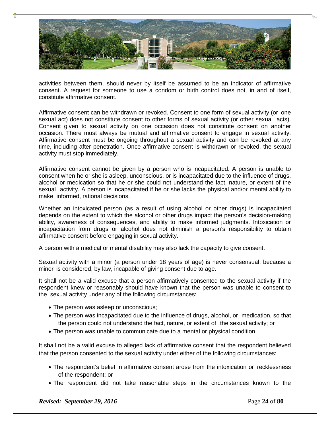

activities between them, should never by itself be assumed to be an indicator of affirmative consent. A request for someone to use a condom or birth control does not, in and of itself, constitute affirmative consent.

Affirmative consent can be withdrawn or revoked. Consent to one form of sexual activity (or one sexual act) does not constitute consent to other forms of sexual activity (or other sexual acts). Consent given to sexual activity on one occasion does not constitute consent on another occasion. There must always be mutual and affirmative consent to engage in sexual activity. Affirmative consent must be ongoing throughout a sexual activity and can be revoked at any time, including after penetration. Once affirmative consent is withdrawn or revoked, the sexual activity must stop immediately.

Affirmative consent cannot be given by a person who is incapacitated. A person is unable to consent when he or she is asleep, unconscious, or is incapacitated due to the influence of drugs, alcohol or medication so that he or she could not understand the fact, nature, or extent of the sexual activity. A person is incapacitated if he or she lacks the physical and/or mental ability to make informed, rational decisions.

Whether an intoxicated person (as a result of using alcohol or other drugs) is incapacitated depends on the extent to which the alcohol or other drugs impact the person's decision-making ability, awareness of consequences, and ability to make informed judgments. Intoxication or incapacitation from drugs or alcohol does not diminish a person's responsibility to obtain affirmative consent before engaging in sexual activity.

A person with a medical or mental disability may also lack the capacity to give consent.

Sexual activity with a minor (a person under 18 years of age) is never consensual, because a minor is considered, by law, incapable of giving consent due to age.

It shall not be a valid excuse that a person affirmatively consented to the sexual activity if the respondent knew or reasonably should have known that the person was unable to consent to the sexual activity under any of the following circumstances:

- The person was asleep or unconscious;
- The person was incapacitated due to the influence of drugs, alcohol, or medication, so that the person could not understand the fact, nature, or extent of the sexual activity; or
- The person was unable to communicate due to a mental or physical condition.

It shall not be a valid excuse to alleged lack of affirmative consent that the respondent believed that the person consented to the sexual activity under either of the following circumstances:

- The respondent's belief in affirmative consent arose from the intoxication or recklessness of the respondent; or
- The respondent did not take reasonable steps in the circumstances known to the

*Revised: September 29, 2016* **Page 24** of **80**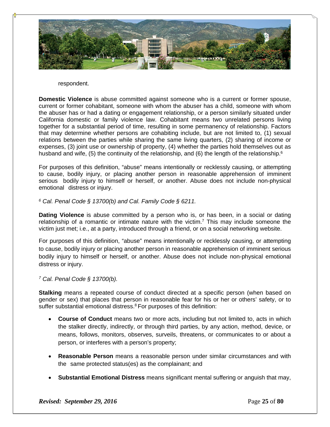

#### respondent.

**Domestic Violence** is abuse committed against someone who is a current or former spouse, current or former cohabitant, someone with whom the abuser has a child, someone with whom the abuser has or had a dating or engagement relationship, or a person similarly situated under California domestic or family violence law. Cohabitant means two unrelated persons living together for a substantial period of time, resulting in some permanency of relationship. Factors that may determine whether persons are cohabiting include, but are not limited to, (1) sexual relations between the parties while sharing the same living quarters, (2) sharing of income or expenses, (3) joint use or ownership of property, (4) whether the parties hold themselves out as husband and wife, (5) the continuity of the relationship, and (6) the length of the relationship.<sup>6</sup>

For purposes of this definition, "abuse" means intentionally or recklessly causing, or attempting to cause, bodily injury, or placing another person in reasonable apprehension of imminent serious bodily injury to himself or herself, or another. Abuse does not include non-physical emotional distress or injury.

### *6 Cal. Penal Code § 13700(b) and Cal. Family Code § 6211.*

**Dating Violence** is abuse committed by a person who is, or has been, in a social or dating relationship of a romantic or intimate nature with the victim.7 This may include someone the victim just met; i.e., at a party, introduced through a friend, or on a social networking website.

For purposes of this definition, "abuse" means intentionally or recklessly causing, or attempting to cause, bodily injury or placing another person in reasonable apprehension of imminent serious bodily injury to himself or herself, or another. Abuse does not include non-physical emotional distress or injury.

### *7 Cal. Penal Code § 13700(b).*

**Stalking** means a repeated course of conduct directed at a specific person (when based on gender or sex) that places that person in reasonable fear for his or her or others' safety, or to suffer substantial emotional distress.<sup>8</sup> For purposes of this definition:

- **Course of Conduct** means two or more acts, including but not limited to, acts in which the stalker directly, indirectly, or through third parties, by any action, method, device, or means, follows, monitors, observes, surveils, threatens, or communicates to or about a person, or interferes with a person's property;
- **Reasonable Person** means a reasonable person under similar circumstances and with the same protected status(es) as the complainant; and
- **Substantial Emotional Distress** means significant mental suffering or anguish that may,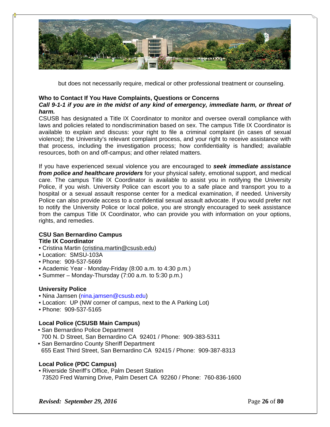

but does not necessarily require, medical or other professional treatment or counseling.

### **Who to Contact If You Have Complaints, Questions or Concerns**

### *Call 9-1-1 if you are in the midst of any kind of emergency, immediate harm, or threat of harm.*

CSUSB has designated a Title IX Coordinator to monitor and oversee overall compliance with laws and policies related to nondiscrimination based on sex. The campus Title IX Coordinator is available to explain and discuss: your right to file a criminal complaint (in cases of sexual violence); the University's relevant complaint process, and your right to receive assistance with that process, including the investigation process; how confidentiality is handled; available resources, both on and off-campus; and other related matters.

If you have experienced sexual violence you are encouraged to *seek immediate assistance from police and healthcare providers* for your physical safety, emotional support, and medical care. The campus Title IX Coordinator is available to assist you in notifying the University Police, if you wish. University Police can escort you to a safe place and transport you to a hospital or a sexual assault response center for a medical examination, if needed. University Police can also provide access to a confidential sexual assault advocate. If you would prefer not to notify the University Police or local police, you are strongly encouraged to seek assistance from the campus Title IX Coordinator, who can provide you with information on your options, rights, and remedies.

#### **CSU San Bernardino Campus Title IX Coordinator**

- Cristina Martin (cristina.martin@csusb.edu)
- Location: SMSU-103A
- Phone: 909-537-5669
- Academic Year Monday-Friday (8:00 a.m. to 4:30 p.m.)
- Summer Monday-Thursday (7:00 a.m. to 5:30 p.m.)

### **University Police**

- Nina Jamsen (nina.jamsen@csusb.edu)
- Location: UP (NW corner of campus, next to the A Parking Lot)
- Phone: 909-537-5165

### **Local Police (CSUSB Main Campus)**

- San Bernardino Police Department
- 700 N. D Street, San Bernardino CA 92401 / Phone: 909-383-5311
- San Bernardino County Sheriff Department 655 East Third Street, San Bernardino CA 92415 / Phone: 909-387-8313

### **Local Police (PDC Campus)**

• Riverside Sheriff's Office, Palm Desert Station 73520 Fred Warning Drive, Palm Desert CA 92260 / Phone: 760-836-1600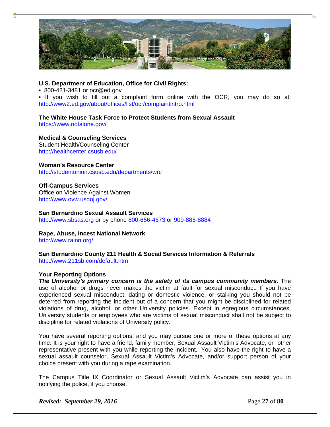

### **U.S. Department of Education, Office for Civil Rights:**

• 800-421-3481 or ocr@ed.gov

• If you wish to fill out a complaint form online with the OCR, you may do so at: http://www2.ed.gov/about/offices/list/ocr/complaintintro.html

### **The White House Task Force to Protect Students from Sexual Assault**

https://www.notalone.gov/

### **Medical & Counseling Services**

Student Health/Counseling Center http://healthcenter.csusb.edu/

### **Woman's Resource Center**

http://studentunion.csusb.edu/departments/wrc

### **Off-Campus Services**

Office on Violence Against Women http://www.ovw.usdoj.gov/

**San Bernardino Sexual Assault Services**  http://www.sbsas.org or by phone 800-656-4673 or 909-885-8884

**Rape, Abuse, Incest National Network**  http://www.rainn.org/

### **San Bernardino County 211 Health & Social Services Information & Referrals**  http://www.211sb.com/default.htm

### **Your Reporting Options**

*The University's primary concern is the safety of its campus community members.* **The** use of alcohol or drugs never makes the victim at fault for sexual misconduct. If you have experienced sexual misconduct, dating or domestic violence, or stalking you should not be deterred from reporting the incident out of a concern that you might be disciplined for related violations of drug, alcohol, or other University policies. Except in egregious circumstances, University students or employees who are victims of sexual misconduct shall not be subject to discipline for related violations of University policy.

You have several reporting options, and you may pursue one or more of these options at any time. It is your right to have a friend, family member, Sexual Assault Victim's Advocate, or other representative present with you while reporting the incident. You also have the right to have a sexual assault counselor, Sexual Assault Victim's Advocate, and/or support person of your choice present with you during a rape examination.

The Campus Title IX Coordinator or Sexual Assault Victim's Advocate can assist you in notifying the police, if you choose.

*Revised: September 29, 2016* Page 27 of 80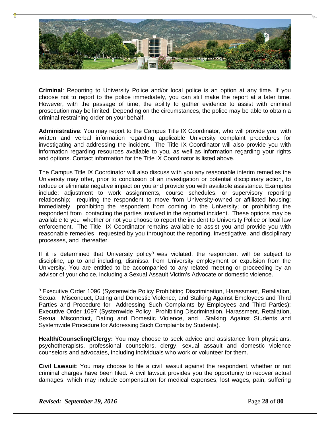

**Criminal**: Reporting to University Police and/or local police is an option at any time. If you choose not to report to the police immediately, you can still make the report at a later time. However, with the passage of time, the ability to gather evidence to assist with criminal prosecution may be limited. Depending on the circumstances, the police may be able to obtain a criminal restraining order on your behalf.

**Administrative**: You may report to the Campus Title IX Coordinator, who will provide you with written and verbal information regarding applicable University complaint procedures for investigating and addressing the incident. The Title IX Coordinator will also provide you with information regarding resources available to you, as well as information regarding your rights and options. Contact information for the Title IX Coordinator is listed above.

The Campus Title IX Coordinator will also discuss with you any reasonable interim remedies the University may offer, prior to conclusion of an investigation or potential disciplinary action, to reduce or eliminate negative impact on you and provide you with available assistance. Examples include: adjustment to work assignments, course schedules, or supervisory reporting relationship; requiring the respondent to move from University-owned or affiliated housing; immediately prohibiting the respondent from coming to the University; or prohibiting the respondent from contacting the parties involved in the reported incident. These options may be available to you whether or not you choose to report the incident to University Police or local law enforcement. The Title IX Coordinator remains available to assist you and provide you with reasonable remedies requested by you throughout the reporting, investigative, and disciplinary processes, and thereafter.

If it is determined that University policy<sup>9</sup> was violated, the respondent will be subject to discipline, up to and including, dismissal from University employment or expulsion from the University. You are entitled to be accompanied to any related meeting or proceeding by an advisor of your choice, including a Sexual Assault Victim's Advocate or domestic violence.

9 Executive Order 1096 (Systemwide Policy Prohibiting Discrimination, Harassment, Retaliation, Sexual Misconduct, Dating and Domestic Violence, and Stalking Against Employees and Third Parties and Procedure for Addressing Such Complaints by Employees and Third Parties); Executive Order 1097 (Systemwide Policy Prohibiting Discrimination, Harassment, Retaliation, Sexual Misconduct, Dating and Domestic Violence, and Stalking Against Students and Systemwide Procedure for Addressing Such Complaints by Students).

**Health/Counseling/Clergy:** You may choose to seek advice and assistance from physicians, psychotherapists, professional counselors, clergy, sexual assault and domestic violence counselors and advocates, including individuals who work or volunteer for them.

**Civil Lawsuit**: You may choose to file a civil lawsuit against the respondent, whether or not criminal charges have been filed. A civil lawsuit provides you the opportunity to recover actual damages, which may include compensation for medical expenses, lost wages, pain, suffering

*Revised: September 29, 2016* Page 28 of 80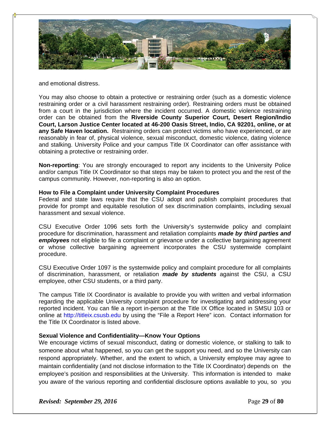

and emotional distress.

You may also choose to obtain a protective or restraining order (such as a domestic violence restraining order or a civil harassment restraining order). Restraining orders must be obtained from a court in the jurisdiction where the incident occurred. A domestic violence restraining order can be obtained from the **Riverside County Superior Court, Desert Region/Indio Court, Larson Justice Center located at 46-200 Oasis Street, Indio, CA 92201, online, or at any Safe Haven location.** Restraining orders can protect victims who have experienced, or are reasonably in fear of, physical violence, sexual misconduct, domestic violence, dating violence and stalking. University Police and your campus Title IX Coordinator can offer assistance with obtaining a protective or restraining order.

**Non-reporting**: You are strongly encouraged to report any incidents to the University Police and/or campus Title IX Coordinator so that steps may be taken to protect you and the rest of the campus community. However, non-reporting is also an option.

### **How to File a Complaint under University Complaint Procedures**

Federal and state laws require that the CSU adopt and publish complaint procedures that provide for prompt and equitable resolution of sex discrimination complaints, including sexual harassment and sexual violence.

CSU Executive Order 1096 sets forth the University's systemwide policy and complaint procedure for discrimination, harassment and retaliation complaints *made by third parties and employees* not eligible to file a complaint or grievance under a collective bargaining agreement or whose collective bargaining agreement incorporates the CSU systemwide complaint procedure.

CSU Executive Order 1097 is the systemwide policy and complaint procedure for all complaints of discrimination, harassment, or retaliation *made by students* against the CSU, a CSU employee, other CSU students, or a third party.

The campus Title IX Coordinator is available to provide you with written and verbal information regarding the applicable University complaint procedure for investigating and addressing your reported incident. You can file a report in-person at the Title IX Office located in SMSU 103 or online at http://titleix.csusb.edu by using the "File a Report Here" icon. Contact information for the Title IX Coordinator is listed above.

### **Sexual Violence and Confidentiality—Know Your Options**

We encourage victims of sexual misconduct, dating or domestic violence, or stalking to talk to someone about what happened, so you can get the support you need, and so the University can respond appropriately. Whether, and the extent to which, a University employee may agree to maintain confidentiality (and not disclose information to the Title IX Coordinator) depends on the employee's position and responsibilities at the University. This information is intended to make you aware of the various reporting and confidential disclosure options available to you, so you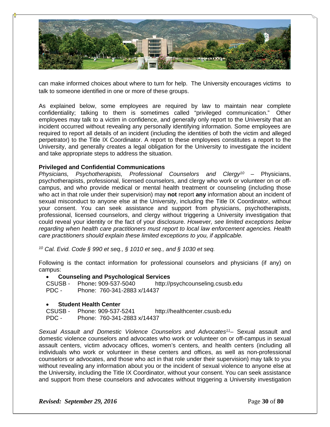

can make informed choices about where to turn for help. The University encourages victims to talk to someone identified in one or more of these groups.

As explained below, some employees are required by law to maintain near complete confidentiality; talking to them is sometimes called "privileged communication." Other employees may talk to a victim in confidence, and generally only report to the University that an incident occurred without revealing any personally identifying information. Some employees are required to report all details of an incident (including the identities of both the victim and alleged perpetrator) to the Title IX Coordinator. A report to these employees constitutes a report to the University, and generally creates a legal obligation for the University to investigate the incident and take appropriate steps to address the situation.

### **Privileged and Confidential Communications**

*Physicians, Psychotherapists, Professional Counselors and Clergy10* – Physicians, psychotherapists, professional, licensed counselors, and clergy who work or volunteer on or offcampus, and who provide medical or mental health treatment or counseling (including those who act in that role under their supervision) may **not** report **any** information about an incident of sexual misconduct to anyone else at the University, including the Title IX Coordinator, without your consent. You can seek assistance and support from physicians, psychotherapists, professional, licensed counselors, and clergy without triggering a University investigation that could reveal your identity or the fact of your disclosure. *However, see limited exceptions below regarding when health care practitioners must report to local law enforcement agencies. Health care practitioners should explain these limited exceptions to you, if applicable.*

*10 Cal. Evid. Code § 990 et seq., § 1010 et seq., and § 1030 et seq.*

Following is the contact information for professional counselors and physicians (if any) on campus:

#### **Counseling and Psychological Services**

CSUSB - Phone**:** 909-537-5040 http://psychcounseling.csusb.edu PDC - Phone: 760-341-2883 x/14437

### **Student Health Center**

CSUSB - Phone: 909-537-5241 http://healthcenter.csusb.edu PDC - Phone: 760-341-2883 x/14437

*Sexual Assault and Domestic Violence Counselors and Advocates11*– Sexual assault and domestic violence counselors and advocates who work or volunteer on or off-campus in sexual assault centers, victim advocacy offices, women's centers, and health centers (including all individuals who work or volunteer in these centers and offices, as well as non-professional counselors or advocates, and those who act in that role under their supervision) may talk to you without revealing any information about you or the incident of sexual violence to anyone else at the University, including the Title IX Coordinator, without your consent. You can seek assistance and support from these counselors and advocates without triggering a University investigation

*Revised: September 29, 2016* **Page 30** of **80**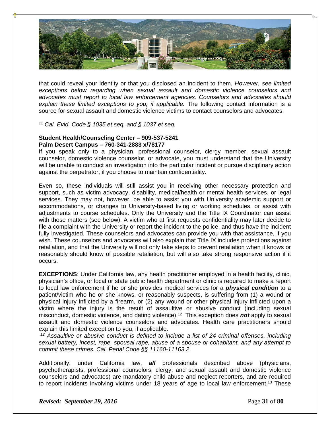

that could reveal your identity or that you disclosed an incident to them. *However, see limited exceptions below regarding when sexual assault and domestic violence counselors and advocates must report to local law enforcement agencies. Counselors and advocates should*  explain these limited exceptions to you, if applicable. The following contact information is a source for sexual assault and domestic violence victims to contact counselors and advocates:

*11 Cal. Evid. Code § 1035 et seq. and § 1037 et seq.*

### **Student Health/Counseling Center – 909-537-5241 Palm Desert Campus – 760-341-2883 x/78177**

If you speak only to a physician, professional counselor, clergy member, sexual assault counselor, domestic violence counselor, or advocate, you must understand that the University will be unable to conduct an investigation into the particular incident or pursue disciplinary action against the perpetrator, if you choose to maintain confidentiality.

Even so, these individuals will still assist you in receiving other necessary protection and support, such as victim advocacy, disability, medical/health or mental health services, or legal services. They may not, however, be able to assist you with University academic support or accommodations, or changes to University-based living or working schedules, or assist with adjustments to course schedules. Only the University and the Title IX Coordinator can assist with those matters (see below). A victim who at first requests confidentiality may later decide to file a complaint with the University or report the incident to the police, and thus have the incident fully investigated. These counselors and advocates can provide you with that assistance, if you wish. These counselors and advocates will also explain that Title IX includes protections against retaliation, and that the University will not only take steps to prevent retaliation when it knows or reasonably should know of possible retaliation, but will also take strong responsive action if it occurs.

**EXCEPTIONS**: Under California law, any health practitioner employed in a health facility, clinic, physician's office, or local or state public health department or clinic is required to make a report to local law enforcement if he or she provides medical services for a *physical condition* to a patient/victim who he or she knows, or reasonably suspects, is suffering from (1) a wound or physical injury inflicted by a firearm, or (2) any wound or other physical injury inflicted upon a victim where the injury is the result of assaultive or abusive conduct (including sexual misconduct, domestic violence, and dating violence).12 This exception does *not* apply to sexual assault and domestic violence counselors and advocates. Health care practitioners should explain this limited exception to you, if applicable.

*12 Assaultive or abusive conduct is defined to include a list of 24 criminal offenses, including sexual battery, incest, rape, spousal rape, abuse of a spouse or cohabitant, and any attempt to commit these crimes. Cal. Penal Code §§ 11160-11163.2*.

Additionally, under California law, *all* professionals described above (physicians, psychotherapists, professional counselors, clergy, and sexual assault and domestic violence counselors and advocates) are mandatory child abuse and neglect reporters, and are required to report incidents involving victims under 18 years of age to local law enforcement.<sup>13</sup> These

*Revised: September 29, 2016* **Page 31** of **80**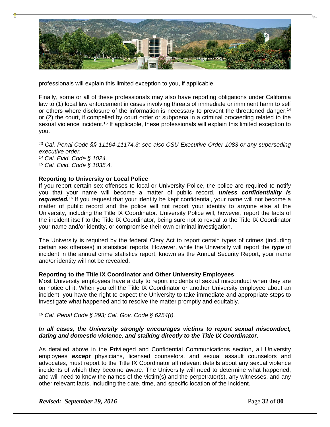

professionals will explain this limited exception to you, if applicable.

Finally, some or all of these professionals may also have reporting obligations under California law to (1) local law enforcement in cases involving threats of immediate or imminent harm to self or others where disclosure of the information is necessary to prevent the threatened danger:<sup>14</sup> or (2) the court, if compelled by court order or subpoena in a criminal proceeding related to the sexual violence incident.<sup>15</sup> If applicable, these professionals will explain this limited exception to you.

*13 Cal. Penal Code §§ 11164-11174.3; see also CSU Executive Order 1083 or any superseding executive order. 14 Cal. Evid. Code § 1024. 15 Cal. Evid. Code § 1035.4.*

### **Reporting to University or Local Police**

If you report certain sex offenses to local or University Police, the police are required to notify you that your name will become a matter of public record, *unless confidentiality is*  requested.<sup>16</sup> If you request that your identity be kept confidential, your name will not become a matter of public record and the police will not report your identity to anyone else at the University, including the Title IX Coordinator. University Police will, however, report the facts of the incident itself to the Title IX Coordinator, being sure not to reveal to the Title IX Coordinator your name and/or identity, or compromise their own criminal investigation.

The University is required by the federal Clery Act to report certain types of crimes (including certain sex offenses) in statistical reports. However, while the University will report the *type* of incident in the annual crime statistics report, known as the Annual Security Report, your name and/or identity will not be revealed.

#### **Reporting to the Title IX Coordinator and Other University Employees**

Most University employees have a duty to report incidents of sexual misconduct when they are on notice of it. When you tell the Title IX Coordinator or another University employee about an incident, you have the right to expect the University to take immediate and appropriate steps to investigate what happened and to resolve the matter promptly and equitably.

*16 Cal. Penal Code § 293; Cal. Gov. Code § 6254(f).*

### *In all cases, the University strongly encourages victims to report sexual misconduct, dating and domestic violence, and stalking directly to the Title IX Coordinator*.

As detailed above in the Privileged and Confidential Communications section, all University employees *except* physicians, licensed counselors, and sexual assault counselors and advocates, must report to the Title IX Coordinator all relevant details about any sexual violence incidents of which they become aware. The University will need to determine what happened, and will need to know the names of the victim(s) and the perpetrator(s), any witnesses, and any other relevant facts, including the date, time, and specific location of the incident.

*Revised: September 29, 2016* **Page 32** of **80**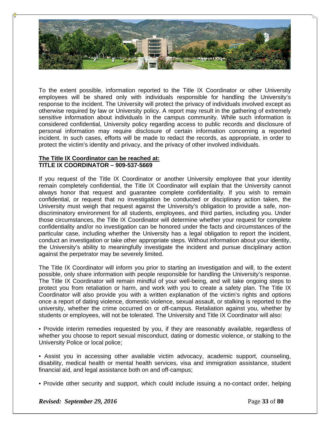

To the extent possible, information reported to the Title IX Coordinator or other University employees will be shared only with individuals responsible for handling the University's response to the incident. The University will protect the privacy of individuals involved except as otherwise required by law or University policy. A report may result in the gathering of extremely sensitive information about individuals in the campus community. While such information is considered confidential, University policy regarding access to public records and disclosure of personal information may require disclosure of certain information concerning a reported incident. In such cases, efforts will be made to redact the records, as appropriate, in order to protect the victim's identity and privacy, and the privacy of other involved individuals.

### **The Title IX Coordinator can be reached at: TITLE IX COORDINATOR – 909-537-5669**

If you request of the Title IX Coordinator or another University employee that your identity remain completely confidential, the Title IX Coordinator will explain that the University cannot always honor that request and guarantee complete confidentiality. If you wish to remain confidential, or request that no investigation be conducted or disciplinary action taken, the University must weigh that request against the University's obligation to provide a safe, nondiscriminatory environment for all students, employees, and third parties, including you. Under those circumstances, the Title IX Coordinator will determine whether your request for complete confidentiality and/or no investigation can be honored under the facts and circumstances of the particular case, including whether the University has a legal obligation to report the incident, conduct an investigation or take other appropriate steps. Without information about your identity, the University's ability to meaningfully investigate the incident and pursue disciplinary action against the perpetrator may be severely limited.

The Title IX Coordinator will inform you prior to starting an investigation and will, to the extent possible, only share information with people responsible for handling the University's response. The Title IX Coordinator will remain mindful of your well-being, and will take ongoing steps to protect you from retaliation or harm, and work with you to create a safety plan. The Title IX Coordinator will also provide you with a written explanation of the victim's rights and options once a report of dating violence, domestic violence, sexual assault, or stalking is reported to the university, whether the crime occurred on or off-campus. Retaliation against you, whether by students or employees, will not be tolerated. The University and Title IX Coordinator will also:

• Provide interim remedies requested by you, if they are reasonably available, regardless of whether you choose to report sexual misconduct, dating or domestic violence, or stalking to the University Police or local police;

- Assist you in accessing other available victim advocacy, academic support, counseling, disability, medical health or mental health services, visa and immigration assistance, student financial aid, and legal assistance both on and off-campus;
- Provide other security and support, which could include issuing a no-contact order, helping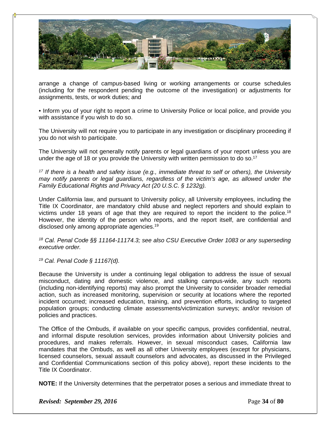

arrange a change of campus-based living or working arrangements or course schedules (including for the respondent pending the outcome of the investigation) or adjustments for assignments, tests, or work duties; and

• Inform you of your right to report a crime to University Police or local police, and provide you with assistance if you wish to do so.

The University will not require you to participate in any investigation or disciplinary proceeding if you do not wish to participate.

The University will not generally notify parents or legal guardians of your report unless you are under the age of 18 or you provide the University with written permission to do so.<sup>17</sup>

*17 If there is a health and safety issue (e.g., immediate threat to self or others), the University may notify parents or legal guardians, regardless of the victim's age, as allowed under the Family Educational Rights and Privacy Act (20 U.S.C. § 1232g).*

Under California law, and pursuant to University policy, all University employees, including the Title IX Coordinator, are mandatory child abuse and neglect reporters and should explain to victims under 18 years of age that they are required to report the incident to the police.<sup>18</sup> However, the identity of the person who reports, and the report itself, are confidential and disclosed only among appropriate agencies.19

*18 Cal. Penal Code §§ 11164-11174.3; see also CSU Executive Order 1083 or any superseding executive order.*

*19 Cal. Penal Code § 11167(d).* 

Because the University is under a continuing legal obligation to address the issue of sexual misconduct, dating and domestic violence, and stalking campus-wide, any such reports (including non-identifying reports) may also prompt the University to consider broader remedial action, such as increased monitoring, supervision or security at locations where the reported incident occurred; increased education, training, and prevention efforts, including to targeted population groups; conducting climate assessments/victimization surveys; and/or revision of policies and practices.

The Office of the Ombuds, if available on your specific campus, provides confidential, neutral, and informal dispute resolution services, provides information about University policies and procedures, and makes referrals. However, in sexual misconduct cases, California law mandates that the Ombuds, as well as all other University employees (except for physicians, licensed counselors, sexual assault counselors and advocates, as discussed in the Privileged and Confidential Communications section of this policy above), report these incidents to the Title IX Coordinator.

**NOTE:** If the University determines that the perpetrator poses a serious and immediate threat to

*Revised: September 29, 2016* **Page 34** of **80**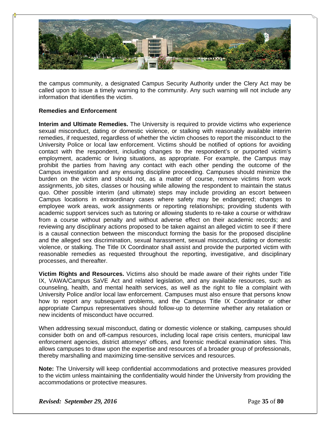

the campus community, a designated Campus Security Authority under the Clery Act may be called upon to issue a timely warning to the community. Any such warning will not include any information that identifies the victim.

### **Remedies and Enforcement**

**Interim and Ultimate Remedies.** The University is required to provide victims who experience sexual misconduct, dating or domestic violence, or stalking with reasonably available interim remedies, if requested, regardless of whether the victim chooses to report the misconduct to the University Police or local law enforcement. Victims should be notified of options for avoiding contact with the respondent, including changes to the respondent's or purported victim's employment, academic or living situations, as appropriate. For example, the Campus may prohibit the parties from having any contact with each other pending the outcome of the Campus investigation and any ensuing discipline proceeding. Campuses should minimize the burden on the victim and should not, as a matter of course, remove victims from work assignments, job sites, classes or housing while allowing the respondent to maintain the status quo. Other possible interim (and ultimate) steps may include providing an escort between Campus locations in extraordinary cases where safety may be endangered; changes to employee work areas, work assignments or reporting relationships; providing students with academic support services such as tutoring or allowing students to re-take a course or withdraw from a course without penalty and without adverse effect on their academic records; and reviewing any disciplinary actions proposed to be taken against an alleged victim to see if there is a causal connection between the misconduct forming the basis for the proposed discipline and the alleged sex discrimination, sexual harassment, sexual misconduct, dating or domestic violence, or stalking. The Title IX Coordinator shall assist and provide the purported victim with reasonable remedies as requested throughout the reporting, investigative, and disciplinary processes, and thereafter.

**Victim Rights and Resources.** Victims also should be made aware of their rights under Title IX, VAWA/Campus SaVE Act and related legislation, and any available resources, such as counseling, health, and mental health services, as well as the right to file a complaint with University Police and/or local law enforcement. Campuses must also ensure that persons know how to report any subsequent problems, and the Campus Title IX Coordinator or other appropriate Campus representatives should follow-up to determine whether any retaliation or new incidents of misconduct have occurred.

When addressing sexual misconduct, dating or domestic violence or stalking, campuses should consider both on and off-campus resources, including local rape crisis centers, municipal law enforcement agencies, district attorneys' offices, and forensic medical examination sites. This allows campuses to draw upon the expertise and resources of a broader group of professionals, thereby marshalling and maximizing time-sensitive services and resources.

**Note:** The University will keep confidential accommodations and protective measures provided to the victim unless maintaining the confidentiality would hinder the University from providing the accommodations or protective measures.

*Revised: September 29, 2016* Page 35 of 80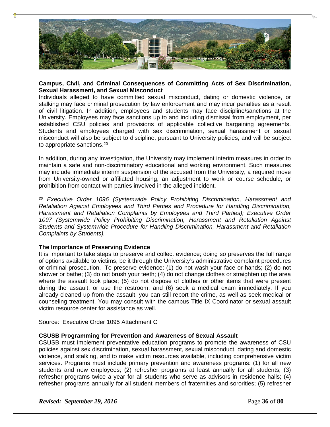

### **Campus, Civil, and Criminal Consequences of Committing Acts of Sex Discrimination, Sexual Harassment, and Sexual Misconduct**

Individuals alleged to have committed sexual misconduct, dating or domestic violence, or stalking may face criminal prosecution by law enforcement and may incur penalties as a result of civil litigation. In addition, employees and students may face discipline/sanctions at the University. Employees may face sanctions up to and including dismissal from employment, per established CSU policies and provisions of applicable collective bargaining agreements. Students and employees charged with sex discrimination, sexual harassment or sexual misconduct will also be subject to discipline, pursuant to University policies, and will be subject to appropriate sanctions.20

In addition, during any investigation, the University may implement interim measures in order to maintain a safe and non-discriminatory educational and working environment. Such measures may include immediate interim suspension of the accused from the University, a required move from University-owned or affiliated housing, an adjustment to work or course schedule, or prohibition from contact with parties involved in the alleged incident.

*20 Executive Order 1096 (Systemwide Policy Prohibiting Discrimination, Harassment and Retaliation Against Employees and Third Parties and Procedure for Handling Discrimination, Harassment and Retaliation Complaints by Employees and Third Parties); Executive Order 1097 (Systemwide Policy Prohibiting Discrimination, Harassment and Retaliation Against Students and Systemwide Procedure for Handling Discrimination, Harassment and Retaliation Complaints by Students).* 

### **The Importance of Preserving Evidence**

It is important to take steps to preserve and collect evidence; doing so preserves the full range of options available to victims, be it through the University's administrative complaint procedures or criminal prosecution. To preserve evidence: (1) do not wash your face or hands; (2) do not shower or bathe; (3) do not brush your teeth; (4) do not change clothes or straighten up the area where the assault took place; (5) do not dispose of clothes or other items that were present during the assault, or use the restroom; and (6) seek a medical exam immediately. If you already cleaned up from the assault, you can still report the crime, as well as seek medical or counseling treatment. You may consult with the campus Title IX Coordinator or sexual assault victim resource center for assistance as well.

Source: Executive Order 1095 Attachment C

### **CSUSB Programming for Prevention and Awareness of Sexual Assault**

CSUSB must implement preventative education programs to promote the awareness of CSU policies against sex discrimination, sexual harassment, sexual misconduct, dating and domestic violence, and stalking, and to make victim resources available, including comprehensive victim services. Programs must include primary prevention and awareness programs: (1) for all new students and new employees; (2) refresher programs at least annually for all students; (3) refresher programs twice a year for all students who serve as advisors in residence halls; (4) refresher programs annually for all student members of fraternities and sororities; (5) refresher

*Revised: September 29, 2016* **Page 36** of **80**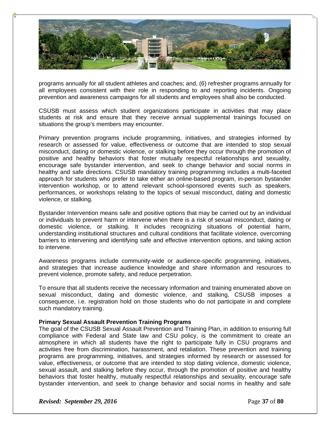

programs annually for all student athletes and coaches; and, (6) refresher programs annually for all employees consistent with their role in responding to and reporting incidents. Ongoing prevention and awareness campaigns for all students and employees shall also be conducted.

CSUSB must assess which student organizations participate in activities that may place students at risk and ensure that they receive annual supplemental trainings focused on situations the group's members may encounter.

Primary prevention programs include programming, initiatives, and strategies informed by research or assessed for value, effectiveness or outcome that are intended to stop sexual misconduct, dating or domestic violence, or stalking before they occur through the promotion of positive and healthy behaviors that foster mutually respectful relationships and sexuality, encourage safe bystander intervention, and seek to change behavior and social norms in healthy and safe directions. CSUSB mandatory training programming includes a multi-faceted approach for students who prefer to take either an online-based program, in-person bystander intervention workshop, or to attend relevant school-sponsored events such as speakers, performances, or workshops relating to the topics of sexual misconduct, dating and domestic violence, or stalking.

Bystander Intervention means safe and positive options that may be carried out by an individual or individuals to prevent harm or intervene when there is a risk of sexual misconduct, dating or domestic violence, or stalking. It includes recognizing situations of potential harm, understanding institutional structures and cultural conditions that facilitate violence, overcoming barriers to intervening and identifying safe and effective intervention options, and taking action to intervene.

Awareness programs include community-wide or audience-specific programming, initiatives, and strategies that increase audience knowledge and share information and resources to prevent violence, promote safety, and reduce perpetration.

To ensure that all students receive the necessary information and training enumerated above on sexual misconduct, dating and domestic violence, and stalking, CSUSB imposes a consequence, i.e. registration hold on those students who do not participate in and complete such mandatory training.

#### **Primary Sexual Assault Prevention Training Programs**

The goal of the CSUSB Sexual Assault Prevention and Training Plan, in addition to ensuring full compliance with Federal and State law and CSU policy, is the commitment to create an atmosphere in which all students have the right to participate fully in CSU programs and activities free from discrimination, harassment, and retaliation. These prevention and training programs are programming, initiatives, and strategies informed by research or assessed for value, effectiveness, or outcome that are intended to stop dating violence, domestic violence, sexual assault, and stalking before they occur, through the promotion of positive and healthy behaviors that foster healthy, mutually respectful relationships and sexuality, encourage safe bystander intervention, and seek to change behavior and social norms in healthy and safe

*Revised: September 29, 2016* **Page 37** of **80**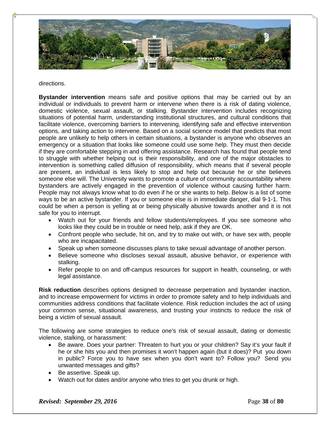

#### directions.

**Bystander intervention** means safe and positive options that may be carried out by an individual or individuals to prevent harm or intervene when there is a risk of dating violence, domestic violence, sexual assault, or stalking. Bystander intervention includes recognizing situations of potential harm, understanding institutional structures, and cultural conditions that facilitate violence, overcoming barriers to intervening, identifying safe and effective intervention options, and taking action to intervene. Based on a social science model that predicts that most people are unlikely to help others in certain situations, a bystander is anyone who observes an emergency or a situation that looks like someone could use some help. They must then decide if they are comfortable stepping in and offering assistance. Research has found that people tend to struggle with whether helping out is their responsibility, and one of the major obstacles to intervention is something called diffusion of responsibility, which means that if several people are present, an individual is less likely to stop and help out because he or she believes someone else will. The University wants to promote a culture of community accountability where bystanders are actively engaged in the prevention of violence without causing further harm. People may not always know what to do even if he or she wants to help. Below is a list of some ways to be an active bystander. If you or someone else is in immediate danger, dial 9-1-1. This could be when a person is yelling at or being physically abusive towards another and it is not safe for you to interrupt.

- Watch out for your friends and fellow students/employees. If you see someone who looks like they could be in trouble or need help, ask if they are OK.
- Confront people who seclude, hit on, and try to make out with, or have sex with, people who are incapacitated.
- Speak up when someone discusses plans to take sexual advantage of another person.
- Believe someone who discloses sexual assault, abusive behavior, or experience with stalking.
- Refer people to on and off-campus resources for support in health, counseling, or with legal assistance.

**Risk reduction** describes options designed to decrease perpetration and bystander inaction, and to increase empowerment for victims in order to promote safety and to help individuals and communities address conditions that facilitate violence. Risk reduction includes the act of using your common sense, situational awareness, and trusting your instincts to reduce the risk of being a victim of sexual assault.

The following are some strategies to reduce one's risk of sexual assault, dating or domestic violence, stalking, or harassment:

- Be aware. Does your partner: Threaten to hurt you or your children? Say it's your fault if he or she hits you and then promises it won't happen again (but it does)? Put you down in public? Force you to have sex when you don't want to? Follow you? Send you unwanted messages and gifts?
- Be assertive. Speak up.
- Watch out for dates and/or anyone who tries to get you drunk or high.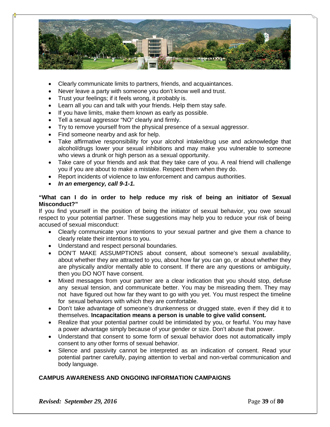

- Clearly communicate limits to partners, friends, and acquaintances.
- Never leave a party with someone you don't know well and trust.
- Trust your feelings; if it feels wrong, it probably is.
- Learn all you can and talk with your friends. Help them stay safe.
- If you have limits, make them known as early as possible.
- Tell a sexual aggressor "NO" clearly and firmly.
- Try to remove yourself from the physical presence of a sexual aggressor.
- Find someone nearby and ask for help.
- Take affirmative responsibility for your alcohol intake/drug use and acknowledge that alcohol/drugs lower your sexual inhibitions and may make you vulnerable to someone who views a drunk or high person as a sexual opportunity.
- Take care of your friends and ask that they take care of you. A real friend will challenge you if you are about to make a mistake. Respect them when they do.
- Report incidents of violence to law enforcement and campus authorities.
- *In an emergency, call 9-1-1.*

### **"What can I do in order to help reduce my risk of being an initiator of Sexual Misconduct?"**

If you find yourself in the position of being the initiator of sexual behavior, you owe sexual respect to your potential partner. These suggestions may help you to reduce your risk of being accused of sexual misconduct:

- Clearly communicate your intentions to your sexual partner and give them a chance to clearly relate their intentions to you.
- Understand and respect personal boundaries.
- DON'T MAKE ASSUMPTIONS about consent, about someone's sexual availability, about whether they are attracted to you, about how far you can go, or about whether they are physically and/or mentally able to consent. If there are any questions or ambiguity, then you DO NOT have consent.
- Mixed messages from your partner are a clear indication that you should stop, defuse any sexual tension, and communicate better. You may be misreading them. They may not have figured out how far they want to go with you yet. You must respect the timeline for sexual behaviors with which they are comfortable.
- Don't take advantage of someone's drunkenness or drugged state, even if they did it to themselves. **Incapacitation means a person is unable to give valid consent.**
- Realize that your potential partner could be intimidated by you, or fearful. You may have a power advantage simply because of your gender or size. Don't abuse that power.
- Understand that consent to some form of sexual behavior does not automatically imply consent to any other forms of sexual behavior.
- Silence and passivity cannot be interpreted as an indication of consent. Read your potential partner carefully, paying attention to verbal and non-verbal communication and body language.

# **CAMPUS AWARENESS AND ONGOING INFORMATION CAMPAIGNS**

*Revised: September 29, 2016* Page 39 of 80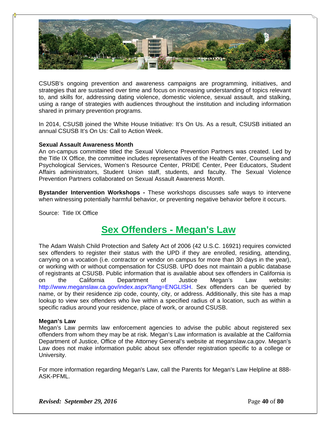

CSUSB's ongoing prevention and awareness campaigns are programming, initiatives, and strategies that are sustained over time and focus on increasing understanding of topics relevant to, and skills for, addressing dating violence, domestic violence, sexual assault, and stalking, using a range of strategies with audiences throughout the institution and including information shared in primary prevention programs.

In 2014, CSUSB joined the White House Initiative: It's On Us. As a result, CSUSB initiated an annual CSUSB It's On Us: Call to Action Week.

#### **Sexual Assault Awareness Month**

An on-campus committee titled the Sexual Violence Prevention Partners was created. Led by the Title IX Office, the committee includes representatives of the Health Center, Counseling and Psychological Services, Women's Resource Center, PRIDE Center, Peer Educators, Student Affairs administrators, Student Union staff, students, and faculty. The Sexual Violence Prevention Partners collaborated on Sexual Assault Awareness Month.

**Bystander Intervention Workshops -** These workshops discusses safe ways to intervene when witnessing potentially harmful behavior, or preventing negative behavior before it occurs.

Source: Title IX Office

# **Sex Offenders - Megan's Law**

The Adam Walsh Child Protection and Safety Act of 2006 (42 U.S.C. 16921) requires convicted sex offenders to register their status with the UPD if they are enrolled, residing, attending, carrying on a vocation (i.e. contractor or vendor on campus for more than 30 days in the year), or working with or without compensation for CSUSB. UPD does not maintain a public database of registrants at CSUSB. Public information that is available about sex offenders in California is on the California Department of Justice Megan's Law website: http://www.meganslaw.ca.gov/index.aspx?lang=ENGLISH. Sex offenders can be queried by name, or by their residence zip code, county, city, or address. Additionally, this site has a map lookup to view sex offenders who live within a specified radius of a location, such as within a specific radius around your residence, place of work, or around CSUSB.

#### **Megan's Law**

Megan's Law permits law enforcement agencies to advise the public about registered sex offenders from whom they may be at risk. Megan's Law information is available at the California Department of Justice, Office of the Attorney General's website at meganslaw.ca.gov. Megan's Law does not make information public about sex offender registration specific to a college or University.

For more information regarding Megan's Law, call the Parents for Megan's Law Helpline at 888- ASK-PFML.

*Revised: September 29, 2016* **Page 40** of **80**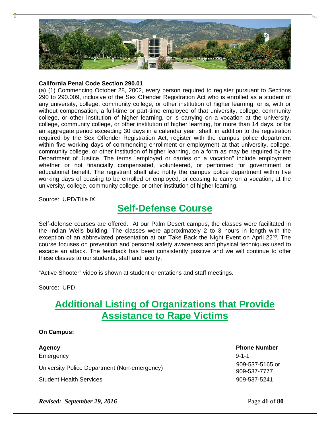

### **California Penal Code Section 290.01**

(a) (1) Commencing October 28, 2002, every person required to register pursuant to Sections 290 to 290.009, inclusive of the Sex Offender Registration Act who is enrolled as a student of any university, college, community college, or other institution of higher learning, or is, with or without compensation, a full-time or part-time employee of that university, college, community college, or other institution of higher learning, or is carrying on a vocation at the university, college, community college, or other institution of higher learning, for more than 14 days, or for an aggregate period exceeding 30 days in a calendar year, shall, in addition to the registration required by the Sex Offender Registration Act, register with the campus police department within five working days of commencing enrollment or employment at that university, college, community college, or other institution of higher learning, on a form as may be required by the Department of Justice. The terms "employed or carries on a vocation" include employment whether or not financially compensated, volunteered, or performed for government or educational benefit. The registrant shall also notify the campus police department within five working days of ceasing to be enrolled or employed, or ceasing to carry on a vocation, at the university, college, community college, or other institution of higher learning.

Source: UPD/Title IX

# **Self-Defense Course**

Self-defense courses are offered. At our Palm Desert campus, the classes were facilitated in the Indian Wells building. The classes were approximately 2 to 3 hours in length with the exception of an abbreviated presentation at our Take Back the Night Event on April 22<sup>nd</sup>. The course focuses on prevention and personal safety awareness and physical techniques used to escape an attack. The feedback has been consistently positive and we will continue to offer these classes to our students, staff and faculty.

"Active Shooter" video is shown at student orientations and staff meetings.

Source: UPD

# **Additional Listing of Organizations that Provide Assistance to Rape Victims**

# **On Campus:**

**Agency Phone Number** Emergency 9-1-1 University Police Department (Non-emergency) 909-537-5165 or Student Health Services 909-537-5241

909-537-7777

*Revised: September 29, 2016* **Page 41** of **80**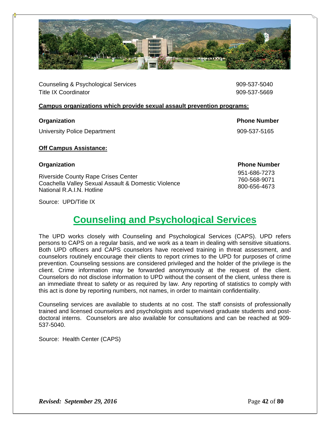

Counseling & Psychological Services 909-537-5040 Title IX Coordinator **1200 Contract 1200 Contract 1200** Contract 1200 Contract 1200 Contract 1200 Contract 1200 Contract 1200 Contract 1200 Contract 1200 Contract 1200 Contract 1200 Contract 1200 Contract 1200 Contract 120

### **Campus organizations which provide sexual assault prevention programs:**

# **Organization Phone Number**

University Police Department **1909-537-5165** University Police Department

# **Off Campus Assistance:**

Riverside County Rape Crises Center Coachella Valley Sexual Assault & Domestic Violence National R.A.I.N. Hotline

# **Organization Phone Number**

 951-686-7273 760-568-9071 800-656-4673

Source: UPD/Title IX

# **Counseling and Psychological Services**

The UPD works closely with Counseling and Psychological Services (CAPS). UPD refers persons to CAPS on a regular basis, and we work as a team in dealing with sensitive situations. Both UPD officers and CAPS counselors have received training in threat assessment, and counselors routinely encourage their clients to report crimes to the UPD for purposes of crime prevention. Counseling sessions are considered privileged and the holder of the privilege is the client. Crime information may be forwarded anonymously at the request of the client. Counselors do not disclose information to UPD without the consent of the client, unless there is an immediate threat to safety or as required by law. Any reporting of statistics to comply with this act is done by reporting numbers, not names, in order to maintain confidentiality.

Counseling services are available to students at no cost. The staff consists of professionally trained and licensed counselors and psychologists and supervised graduate students and postdoctoral interns. Counselors are also available for consultations and can be reached at 909- 537-5040.

Source: Health Center (CAPS)

*Revised: September 29, 2016* **Page 42** of **80**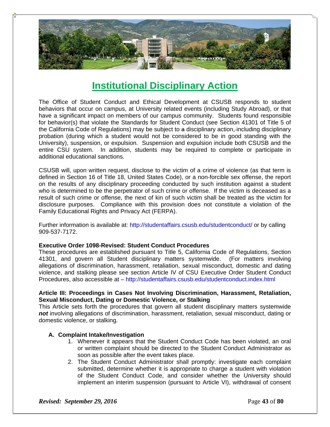

# **Institutional Disciplinary Action**

The Office of Student Conduct and Ethical Development at CSUSB responds to student behaviors that occur on campus, at University related events (including Study Abroad), or that have a significant impact on members of our campus community. Students found responsible for behavior(s) that violate the Standards for Student Conduct (see Section 41301 of Title 5 of the California Code of Regulations) may be subject to a disciplinary action, including disciplinary probation (during which a student would not be considered to be in good standing with the University), suspension, or expulsion. Suspension and expulsion include both CSUSB and the entire CSU system. In addition, students may be required to complete or participate in additional educational sanctions.

CSUSB will, upon written request, disclose to the victim of a crime of violence (as that term is defined in Section 16 of Title 18, United States Code), or a non-forcible sex offense, the report on the results of any disciplinary proceeding conducted by such institution against a student who is determined to be the perpetrator of such crime or offense. If the victim is deceased as a result of such crime or offense, the next of kin of such victim shall be treated as the victim for disclosure purposes. Compliance with this provision does not constitute a violation of the Family Educational Rights and Privacy Act (FERPA).

Further information is available at: http://studentaffairs.csusb.edu/studentconduct/ or by calling 909-537-7172.

#### **Executive Order 1098-Revised: Student Conduct Procedures**

These procedures are established pursuant to Title 5, California Code of Regulations, Section 41301, and govern all Student disciplinary matters systemwide. (For matters involving allegations of discrimination, harassment, retaliation, sexual misconduct, domestic and dating violence, and stalking please see section Article IV of CSU Executive Order Student Conduct Procedures, also accessible at – http://studentaffairs.csusb.edu/studentconduct.index.html

#### **Article III: Proceedings in Cases Not Involving Discrimination, Harassment, Retaliation, Sexual Misconduct, Dating or Domestic Violence, or Stalking**

This Article sets forth the procedures that govern all student disciplinary matters systemwide *not* involving allegations of discrimination, harassment, retaliation, sexual misconduct, dating or domestic violence, or stalking.

#### **A. Complaint Intake/Investigation**

- 1. Whenever it appears that the Student Conduct Code has been violated, an oral or written complaint should be directed to the Student Conduct Administrator as soon as possible after the event takes place.
- 2. The Student Conduct Administrator shall promptly: investigate each complaint submitted, determine whether it is appropriate to charge a student with violation of the Student Conduct Code, and consider whether the University should implement an interim suspension (pursuant to Article VI), withdrawal of consent

*Revised: September 29, 2016* **Page 43** of **80**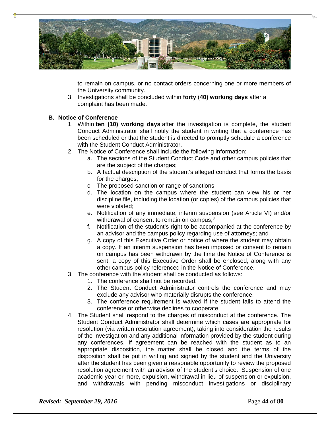

to remain on campus, or no contact orders concerning one or more members of the University community.

3. Investigations shall be concluded within **forty** (**40) working days** after a complaint has been made.

#### **B. Notice of Conference**

- 1. Within **ten (10) working days** after the investigation is complete, the student Conduct Administrator shall notify the student in writing that a conference has been scheduled or that the student is directed to promptly schedule a conference with the Student Conduct Administrator.
- 2. The Notice of Conference shall include the following information:
	- a. The sections of the Student Conduct Code and other campus policies that are the subject of the charges;
	- b. A factual description of the student's alleged conduct that forms the basis for the charges;
	- c. The proposed sanction or range of sanctions;
	- d. The location on the campus where the student can view his or her discipline file, including the location (or copies) of the campus policies that were violated;
	- e. Notification of any immediate, interim suspension (see Article VI) and/or withdrawal of consent to remain on campus;**<sup>3</sup>**
	- f. Notification of the student's right to be accompanied at the conference by an advisor and the campus policy regarding use of attorneys; and
	- g. A copy of this Executive Order or notice of where the student may obtain a copy. If an interim suspension has been imposed or consent to remain on campus has been withdrawn by the time the Notice of Conference is sent, a copy of this Executive Order shall be enclosed, along with any other campus policy referenced in the Notice of Conference.
- 3. The conference with the student shall be conducted as follows:
	- 1. The conference shall not be recorded.
		- 2. The Student Conduct Administrator controls the conference and may exclude any advisor who materially disrupts the conference.
		- 3. The conference requirement is waived if the student fails to attend the conference or otherwise declines to cooperate.
- 4. The Student shall respond to the charges of misconduct at the conference. The Student Conduct Administrator shall determine which cases are appropriate for resolution (via written resolution agreement), taking into consideration the results of the investigation and any additional information provided by the student during any conferences. If agreement can be reached with the student as to an appropriate disposition, the matter shall be closed and the terms of the disposition shall be put in writing and signed by the student and the University after the student has been given a reasonable opportunity to review the proposed resolution agreement with an advisor of the student's choice. Suspension of one academic year or more, expulsion, withdrawal in lieu of suspension or expulsion, and withdrawals with pending misconduct investigations or disciplinary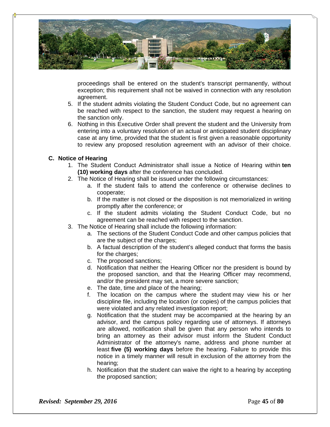

proceedings shall be entered on the student's transcript permanently, without exception; this requirement shall not be waived in connection with any resolution agreement.

- 5. If the student admits violating the Student Conduct Code, but no agreement can be reached with respect to the sanction, the student may request a hearing on the sanction only.
- 6. Nothing in this Executive Order shall prevent the student and the University from entering into a voluntary resolution of an actual or anticipated student disciplinary case at any time, provided that the student is first given a reasonable opportunity to review any proposed resolution agreement with an advisor of their choice.

# **C. Notice of Hearing**

- 1. The Student Conduct Administrator shall issue a Notice of Hearing within **ten (10) working days** after the conference has concluded.
- 2. The Notice of Hearing shall be issued under the following circumstances:
	- a. If the student fails to attend the conference or otherwise declines to cooperate;
	- b. If the matter is not closed or the disposition is not memorialized in writing promptly after the conference; or
	- c. If the student admits violating the Student Conduct Code, but no agreement can be reached with respect to the sanction.
- 3. The Notice of Hearing shall include the following information:
	- a. The sections of the Student Conduct Code and other campus policies that are the subject of the charges;
	- b. A factual description of the student's alleged conduct that forms the basis for the charges;
	- c. The proposed sanctions;
	- d. Notification that neither the Hearing Officer nor the president is bound by the proposed sanction, and that the Hearing Officer may recommend, and/or the president may set, a more severe sanction;
	- e. The date, time and place of the hearing;
	- f. The location on the campus where the student may view his or her discipline file, including the location (or copies) of the campus policies that were violated and any related investigation report;
	- g. Notification that the student may be accompanied at the hearing by an advisor, and the campus policy regarding use of attorneys. If attorneys are allowed, notification shall be given that any person who intends to bring an attorney as their advisor must inform the Student Conduct Administrator of the attorney's name, address and phone number at least **five (5) working days** before the hearing. Failure to provide this notice in a timely manner will result in exclusion of the attorney from the hearing;
	- h. Notification that the student can waive the right to a hearing by accepting the proposed sanction;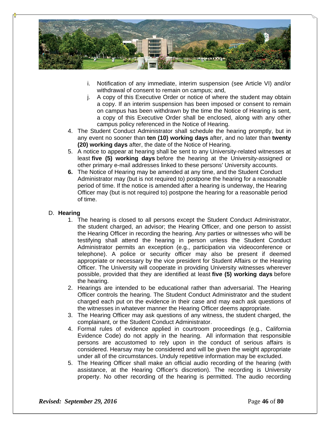

- i. Notification of any immediate, interim suspension (see Article VI) and/or withdrawal of consent to remain on campus; and,
- j. A copy of this Executive Order or notice of where the student may obtain a copy. If an interim suspension has been imposed or consent to remain on campus has been withdrawn by the time the Notice of Hearing is sent, a copy of this Executive Order shall be enclosed, along with any other campus policy referenced in the Notice of Hearing.
- 4. The Student Conduct Administrator shall schedule the hearing promptly, but in any event no sooner than **ten (10) working days** after, and no later than **twenty (20) working days** after, the date of the Notice of Hearing.
- 5. A notice to appear at hearing shall be sent to any University-related witnesses at least **five (5) working days** before the hearing at the University-assigned or other primary e-mail addresses linked to these persons' University accounts.
- **6.** The Notice of Hearing may be amended at any time, and the Student Conduct Administrator may (but is not required to) postpone the hearing for a reasonable period of time. If the notice is amended after a hearing is underway, the Hearing Officer may (but is not required to) postpone the hearing for a reasonable period of time.

# D. **Hearing**

- 1. The hearing is closed to all persons except the Student Conduct Administrator, the student charged, an advisor; the Hearing Officer, and one person to assist the Hearing Officer in recording the hearing. Any parties or witnesses who will be testifying shall attend the hearing in person unless the Student Conduct Administrator permits an exception (e.g., participation via videoconference or telephone). A police or security officer may also be present if deemed appropriate or necessary by the vice president for Student Affairs or the Hearing Officer. The University will cooperate in providing University witnesses wherever possible, provided that they are identified at least **five (5) working days** before the hearing.
- 2. Hearings are intended to be educational rather than adversarial. The Hearing Officer controls the hearing. The Student Conduct Administrator and the student charged each put on the evidence in their case and may each ask questions of the witnesses in whatever manner the Hearing Officer deems appropriate.
- 3. The Hearing Officer may ask questions of any witness, the student charged, the complainant, or the Student Conduct Administrator.
- 4. Formal rules of evidence applied in courtroom proceedings (e.g., California Evidence Code) do not apply in the hearing. All information that responsible persons are accustomed to rely upon in the conduct of serious affairs is considered. Hearsay may be considered and will be given the weight appropriate under all of the circumstances. Unduly repetitive information may be excluded.
- 5. The Hearing Officer shall make an official audio recording of the hearing (with assistance, at the Hearing Officer's discretion). The recording is University property. No other recording of the hearing is permitted. The audio recording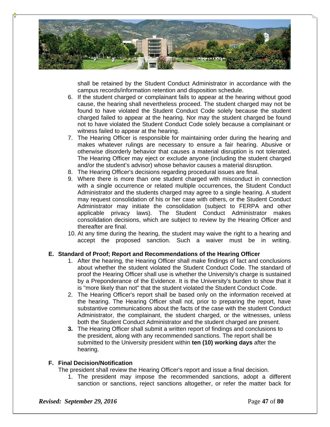

shall be retained by the Student Conduct Administrator in accordance with the campus records/information retention and disposition schedule.

- 6. If the student charged or complainant fails to appear at the hearing without good cause, the hearing shall nevertheless proceed. The student charged may not be found to have violated the Student Conduct Code solely because the student charged failed to appear at the hearing. Nor may the student charged be found not to have violated the Student Conduct Code solely because a complainant or witness failed to appear at the hearing.
- 7. The Hearing Officer is responsible for maintaining order during the hearing and makes whatever rulings are necessary to ensure a fair hearing. Abusive or otherwise disorderly behavior that causes a material disruption is not tolerated. The Hearing Officer may eject or exclude anyone (including the student charged and/or the student's advisor) whose behavior causes a material disruption.
- 8. The Hearing Officer's decisions regarding procedural issues are final.
- 9. Where there is more than one student charged with misconduct in connection with a single occurrence or related multiple occurrences, the Student Conduct Administrator and the students charged may agree to a single hearing. A student may request consolidation of his or her case with others, or the Student Conduct Administrator may initiate the consolidation (subject to FERPA and other applicable privacy laws). The Student Conduct Administrator makes consolidation decisions, which are subject to review by the Hearing Officer and thereafter are final.
- 10. At any time during the hearing, the student may waive the right to a hearing and accept the proposed sanction. Such a waiver must be in writing.

# **E. Standard of Proof; Report and Recommendations of the Hearing Officer**

- 1. After the hearing, the Hearing Officer shall make findings of fact and conclusions about whether the student violated the Student Conduct Code. The standard of proof the Hearing Officer shall use is whether the University's charge is sustained by a Preponderance of the Evidence. It is the University's burden to show that it is "more likely than not" that the student violated the Student Conduct Code.
- 2. The Hearing Officer's report shall be based only on the information received at the hearing. The Hearing Officer shall not, prior to preparing the report, have substantive communications about the facts of the case with the student Conduct Administrator, the complainant, the student charged, or the witnesses, unless both the Student Conduct Administrator and the student charged are present.
- **3.** The Hearing Officer shall submit a written report of findings and conclusions to the president, along with any recommended sanctions. The report shall be submitted to the University president within **ten (10) working days** after the hearing.

# **F. Final Decision/Notification**

The president shall review the Hearing Officer's report and issue a final decision.

1. The president may impose the recommended sanctions, adopt a different sanction or sanctions, reject sanctions altogether, or refer the matter back for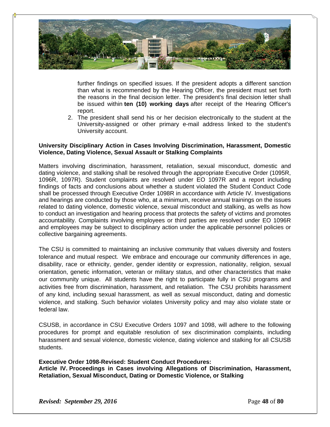

further findings on specified issues. If the president adopts a different sanction than what is recommended by the Hearing Officer, the president must set forth the reasons in the final decision letter. The president's final decision letter shall be issued within **ten (10) working days** after receipt of the Hearing Officer's report.

2. The president shall send his or her decision electronically to the student at the University-assigned or other primary e-mail address linked to the student's University account.

### **University Disciplinary Action in Cases Involving Discrimination, Harassment, Domestic Violence, Dating Violence, Sexual Assault or Stalking Complaints**

Matters involving discrimination, harassment, retaliation, sexual misconduct, domestic and dating violence, and stalking shall be resolved through the appropriate Executive Order (1095R, 1096R, 1097R). Student complaints are resolved under EO 1097R and a report including findings of facts and conclusions about whether a student violated the Student Conduct Code shall be processed through Executive Order 1098R in accordance with Article IV. Investigations and hearings are conducted by those who, at a minimum, receive annual trainings on the issues related to dating violence, domestic violence, sexual misconduct and stalking, as wells as how to conduct an investigation and hearing process that protects the safety of victims and promotes accountability. Complaints involving employees or third parties are resolved under EO 1096R and employees may be subject to disciplinary action under the applicable personnel policies or collective bargaining agreements.

The CSU is committed to maintaining an inclusive community that values diversity and fosters tolerance and mutual respect. We embrace and encourage our community differences in age, disability, race or ethnicity, gender, gender identity or expression, nationality, religion, sexual orientation, genetic information, veteran or military status, and other characteristics that make our community unique. All students have the right to participate fully in CSU programs and activities free from discrimination, harassment, and retaliation. The CSU prohibits harassment of any kind, including sexual harassment, as well as sexual misconduct, dating and domestic violence, and stalking. Such behavior violates University policy and may also violate state or federal law.

CSUSB, in accordance in CSU Executive Orders 1097 and 1098, will adhere to the following procedures for prompt and equitable resolution of sex discrimination complaints, including harassment and sexual violence, domestic violence, dating violence and stalking for all CSUSB students.

**Executive Order 1098-Revised: Student Conduct Procedures: Article IV. Proceedings in Cases involving Allegations of Discrimination, Harassment, Retaliation, Sexual Misconduct, Dating or Domestic Violence, or Stalking**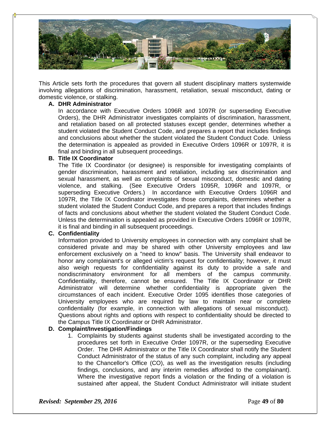

This Article sets forth the procedures that govern all student disciplinary matters systemwide involving allegations of discrimination, harassment, retaliation, sexual misconduct, dating or domestic violence, or stalking.

#### **A. DHR Administrator**

In accordance with Executive Orders 1096R and 1097R (or superseding Executive Orders), the DHR Administrator investigates complaints of discrimination, harassment, and retaliation based on all protected statuses except gender, determines whether a student violated the Student Conduct Code, and prepares a report that includes findings and conclusions about whether the student violated the Student Conduct Code. Unless the determination is appealed as provided in Executive Orders 1096R or 1097R, it is final and binding in all subsequent proceedings.

#### **B. Title IX Coordinator**

The Title IX Coordinator (or designee) is responsible for investigating complaints of gender discrimination, harassment and retaliation, including sex discrimination and sexual harassment, as well as complaints of sexual misconduct, domestic and dating violence, and stalking. (See Executive Orders 1095R, 1096R and 1097R, or superseding Executive Orders.) In accordance with Executive Orders 1096R and 1097R, the Title IX Coordinator investigates those complaints, determines whether a student violated the Student Conduct Code, and prepares a report that includes findings of facts and conclusions about whether the student violated the Student Conduct Code. Unless the determination is appealed as provided in Executive Orders 1096R or 1097R, it is final and binding in all subsequent proceedings.

#### **C. Confidentiality**

Information provided to University employees in connection with any complaint shall be considered private and may be shared with other University employees and law enforcement exclusively on a "need to know" basis. The University shall endeavor to honor any complainant's or alleged victim's request for confidentiality; however, it must also weigh requests for confidentiality against its duty to provide a safe and nondiscriminatory environment for all members of the campus community. Confidentiality, therefore, cannot be ensured. The Title IX Coordinator or DHR Administrator will determine whether confidentiality is appropriate given the circumstances of each incident. Executive Order 1095 identifies those categories of University employees who are required by law to maintain near or complete confidentiality (for example, in connection with allegations of sexual misconduct). Questions about rights and options with respect to confidentiality should be directed to the Campus Title IX Coordinator or DHR Administrator.

#### **D. Complaint/Investigation/Findings**

1. Complaints by students against students shall be investigated according to the procedures set forth in Executive Order 1097R, or the superseding Executive Order. The DHR Administrator or the Title IX Coordinator shall notify the Student Conduct Administrator of the status of any such complaint, including any appeal to the Chancellor's Office (CO), as well as the investigation results (including findings, conclusions, and any interim remedies afforded to the complainant). Where the investigative report finds a violation or the finding of a violation is sustained after appeal, the Student Conduct Administrator will initiate student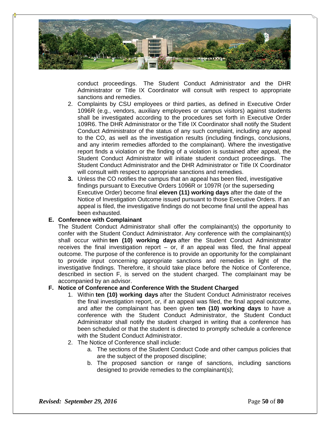

conduct proceedings. The Student Conduct Administrator and the DHR Administrator or Title IX Coordinator will consult with respect to appropriate sanctions and remedies.

- 2. Complaints by CSU employees or third parties, as defined in Executive Order 1096R (e.g., vendors, auxiliary employees or campus visitors) against students shall be investigated according to the procedures set forth in Executive Order 109R6. The DHR Administrator or the Title IX Coordinator shall notify the Student Conduct Administrator of the status of any such complaint, including any appeal to the CO, as well as the investigation results (including findings, conclusions, and any interim remedies afforded to the complainant). Where the investigative report finds a violation or the finding of a violation is sustained after appeal, the Student Conduct Administrator will initiate student conduct proceedings. The Student Conduct Administrator and the DHR Administrator or Title IX Coordinator will consult with respect to appropriate sanctions and remedies.
- **3.** Unless the CO notifies the campus that an appeal has been filed, investigative findings pursuant to Executive Orders 1096R or 1097R (or the superseding Executive Order) become final **eleven (11) working days** after the date of the Notice of Investigation Outcome issued pursuant to those Executive Orders. If an appeal is filed, the investigative findings do not become final until the appeal has been exhausted.

### **E. Conference with Complainant**

The Student Conduct Administrator shall offer the complainant(s) the opportunity to confer with the Student Conduct Administrator. Any conference with the complainant(s) shall occur within **ten (10) working days** after the Student Conduct Administrator receives the final investigation report – or, if an appeal was filed, the final appeal outcome. The purpose of the conference is to provide an opportunity for the complainant to provide input concerning appropriate sanctions and remedies in light of the investigative findings. Therefore, it should take place before the Notice of Conference, described in section F, is served on the student charged. The complainant may be accompanied by an advisor.

### **F. Notice of Conference and Conference With the Student Charged**

- 1. Within **ten (10) working days** after the Student Conduct Administrator receives the final investigation report, or, if an appeal was filed, the final appeal outcome, and after the complainant has been given **ten (10) working days** to have a conference with the Student Conduct Administrator, the Student Conduct Administrator shall notify the student charged in writing that a conference has been scheduled or that the student is directed to promptly schedule a conference with the Student Conduct Administrator.
- 2. The Notice of Conference shall include:
	- a. The sections of the Student Conduct Code and other campus policies that are the subject of the proposed discipline;
	- b. The proposed sanction or range of sanctions, including sanctions designed to provide remedies to the complainant(s);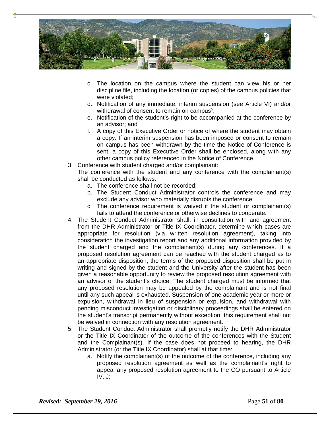

- c. The location on the campus where the student can view his or her discipline file, including the location (or copies) of the campus policies that were violated;
- d. Notification of any immediate, interim suspension (see Article VI) and/or withdrawal of consent to remain on campus<sup>5</sup>;
- e. Notification of the student's right to be accompanied at the conference by an advisor; and
- f. A copy of this Executive Order or notice of where the student may obtain a copy. If an interim suspension has been imposed or consent to remain on campus has been withdrawn by the time the Notice of Conference is sent, a copy of this Executive Order shall be enclosed, along with any other campus policy referenced in the Notice of Conference.
- 3. Conference with student charged and/or complainant:

The conference with the student and any conference with the complainant(s) shall be conducted as follows:

- a. The conference shall not be recorded;
- b. The Student Conduct Administrator controls the conference and may exclude any advisor who materially disrupts the conference;
- c. The conference requirement is waived if the student or complainant(s) fails to attend the conference or otherwise declines to cooperate.
- 4. The Student Conduct Administrator shall, in consultation with and agreement from the DHR Administrator or Title IX Coordinator, determine which cases are appropriate for resolution (via written resolution agreement), taking into consideration the investigation report and any additional information provided by the student charged and the complainant(s) during any conferences. If a proposed resolution agreement can be reached with the student charged as to an appropriate disposition, the terms of the proposed disposition shall be put in writing and signed by the student and the University after the student has been given a reasonable opportunity to review the proposed resolution agreement with an advisor of the student's choice. The student charged must be informed that any proposed resolution may be appealed by the complainant and is not final until any such appeal is exhausted. Suspension of one academic year or more or expulsion, withdrawal in lieu of suspension or expulsion, and withdrawal with pending misconduct investigation or disciplinary proceedings shall be entered on the student's transcript permanently without exception; this requirement shall not be waived in connection with any resolution agreement.
- 5. The Student Conduct Administrator shall promptly notify the DHR Administrator or the Title IX Coordinator of the outcome of the conferences with the Student and the Complainant(s). If the case does not proceed to hearing, the DHR Administrator (or the Title IX Coordinator) shall at that time:
	- a. Notify the complainant(s) of the outcome of the conference, including any proposed resolution agreement as well as the complainant's right to appeal any proposed resolution agreement to the CO pursuant to Article IV. J;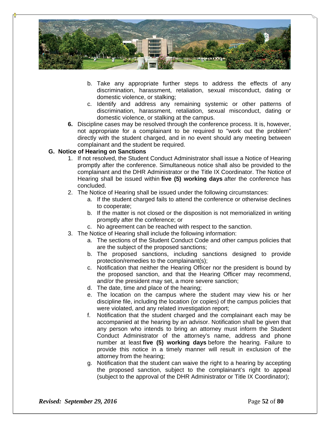

- b. Take any appropriate further steps to address the effects of any discrimination, harassment, retaliation, sexual misconduct, dating or domestic violence, or stalking;
- c. Identify and address any remaining systemic or other patterns of discrimination, harassment, retaliation, sexual misconduct, dating or domestic violence, or stalking at the campus.
- **6.** Discipline cases may be resolved through the conference process. It is, however, not appropriate for a complainant to be required to "work out the problem" directly with the student charged, and in no event should any meeting between complainant and the student be required.

# **G. Notice of Hearing on Sanctions**

- 1. If not resolved, the Student Conduct Administrator shall issue a Notice of Hearing promptly after the conference. Simultaneous notice shall also be provided to the complainant and the DHR Administrator or the Title IX Coordinator. The Notice of Hearing shall be issued within **five (5) working days** after the conference has concluded.
- 2. The Notice of Hearing shall be issued under the following circumstances:
	- a. If the student charged fails to attend the conference or otherwise declines to cooperate;
	- b. If the matter is not closed or the disposition is not memorialized in writing promptly after the conference; or
	- c. No agreement can be reached with respect to the sanction.
- 3. The Notice of Hearing shall include the following information:
	- a. The sections of the Student Conduct Code and other campus policies that are the subject of the proposed sanctions;
	- b. The proposed sanctions, including sanctions designed to provide protection/remedies to the complainant(s);
	- c. Notification that neither the Hearing Officer nor the president is bound by the proposed sanction, and that the Hearing Officer may recommend, and/or the president may set, a more severe sanction;
	- d. The date, time and place of the hearing;
	- e. The location on the campus where the student may view his or her discipline file, including the location (or copies) of the campus policies that were violated, and any related investigation report;
	- f. Notification that the student charged and the complainant each may be accompanied at the hearing by an advisor. Notification shall be given that any person who intends to bring an attorney must inform the Student Conduct Administrator of the attorney's name, address and phone number at least **five (5) working days** before the hearing. Failure to provide this notice in a timely manner will result in exclusion of the attorney from the hearing;
	- g. Notification that the student can waive the right to a hearing by accepting the proposed sanction, subject to the complainant's right to appeal (subject to the approval of the DHR Administrator or Title IX Coordinator);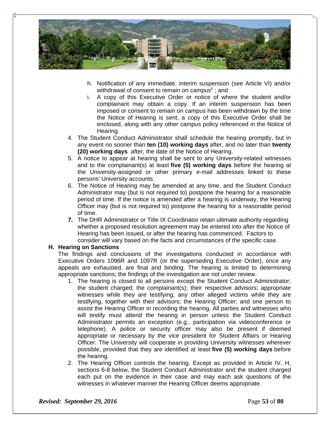

- h. Notification of any immediate, interim suspension (see Article VI) and/or withdrawal of consent to remain on campus**<sup>6</sup>** ; and
- i. A copy of this Executive Order or notice of where the student and/or complainant may obtain a copy. If an interim suspension has been imposed or consent to remain on campus has been withdrawn by the time the Notice of Hearing is sent, a copy of this Executive Order shall be enclosed, along with any other campus policy referenced in the Notice of Hearing.
- 4. The Student Conduct Administrator shall schedule the hearing promptly, but in any event no sooner than **ten (10) working days** after, and no later than **twenty (20) working days** after, the date of the Notice of Hearing.
- 5. A notice to appear at hearing shall be sent to any University-related witnesses and to the complainant(s) at least **five (5) working days** before the hearing at the University-assigned or other primary e-mail addresses linked to these persons' University accounts.
- 6. The Notice of Hearing may be amended at any time, and the Student Conduct Administrator may (but is not required to) postpone the hearing for a reasonable period of time. If the notice is amended after a hearing is underway, the Hearing Officer may (but is not required to) postpone the hearing for a reasonable period of time.
- **7.** The DHR Administrator or Title IX Coordinator retain ultimate authority regarding whether a proposed resolution agreement may be entered into after the Notice of Hearing has been issued, or after the hearing has commenced. Factors to consider will vary based on the facts and circumstances of the specific case.

#### **H. Hearing on Sanctions**

The findings and conclusions of the investigations conducted in accordance with Executive Orders 1096R and 1097R (or the superseding Executive Order), once any appeals are exhausted, are final and binding. The hearing is limited to determining appropriate sanctions; the findings of the investigation are not under review.

- 1. The hearing is closed to all persons except the Student Conduct Administrator; the student charged; the complainant(s); their respective advisors; appropriate witnesses while they are testifying; any other alleged victims while they are testifying, together with their advisors; the Hearing Officer; and one person to assist the Hearing Officer in recording the hearing. All parties and witnesses who will testify must attend the hearing in person unless the Student Conduct Administrator permits an exception (e.g., participation via videoconference or telephone). A police or security officer may also be present if deemed appropriate or necessary by the vice president for Student Affairs or Hearing Officer. The University will cooperate in providing University witnesses wherever possible, provided that they are identified at least **five (5) working days** before the hearing.
- 2. The Hearing Officer controls the hearing. Except as provided in Article IV. H, sections 6-8 below, the Student Conduct Administrator and the student charged each put on the evidence in their case and may each ask questions of the witnesses in whatever manner the Hearing Officer deems appropriate.

*Revised: September 29, 2016* **Page 53** of **80**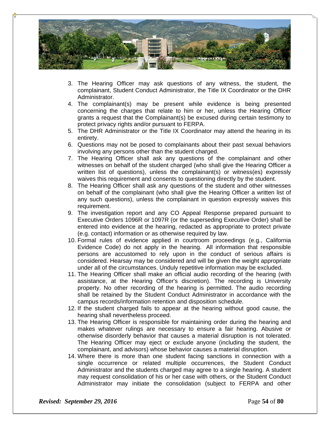

- 3. The Hearing Officer may ask questions of any witness, the student, the complainant, Student Conduct Administrator, the Title IX Coordinator or the DHR Administrator.
- 4. The complainant(s) may be present while evidence is being presented concerning the charges that relate to him or her, unless the Hearing Officer grants a request that the Complainant(s) be excused during certain testimony to protect privacy rights and/or pursuant to FERPA.
- 5. The DHR Administrator or the Title IX Coordinator may attend the hearing in its entirety.
- 6. Questions may not be posed to complainants about their past sexual behaviors involving any persons other than the student charged.
- 7. The Hearing Officer shall ask any questions of the complainant and other witnesses on behalf of the student charged (who shall give the Hearing Officer a written list of questions), unless the complainant(s) or witness(es) expressly waives this requirement and consents to questioning directly by the student.
- 8. The Hearing Officer shall ask any questions of the student and other witnesses on behalf of the complainant (who shall give the Hearing Officer a written list of any such questions), unless the complainant in question expressly waives this requirement.
- 9. The investigation report and any CO Appeal Response prepared pursuant to Executive Orders 1096R or 1097R (or the superseding Executive Order) shall be entered into evidence at the hearing, redacted as appropriate to protect private (e.g. contact) information or as otherwise required by law.
- 10. Formal rules of evidence applied in courtroom proceedings (e.g., California Evidence Code) do not apply in the hearing. All information that responsible persons are accustomed to rely upon in the conduct of serious affairs is considered. Hearsay may be considered and will be given the weight appropriate under all of the circumstances. Unduly repetitive information may be excluded.
- 11. The Hearing Officer shall make an official audio recording of the hearing (with assistance, at the Hearing Officer's discretion). The recording is University property. No other recording of the hearing is permitted. The audio recording shall be retained by the Student Conduct Administrator in accordance with the campus records/information retention and disposition schedule.
- 12. If the student charged fails to appear at the hearing without good cause, the hearing shall nevertheless proceed.
- 13. The Hearing Officer is responsible for maintaining order during the hearing and makes whatever rulings are necessary to ensure a fair hearing. Abusive or otherwise disorderly behavior that causes a material disruption is not tolerated. The Hearing Officer may eject or exclude anyone (including the student, the complainant, and advisors) whose behavior causes a material disruption.
- 14. Where there is more than one student facing sanctions in connection with a single occurrence or related multiple occurrences, the Student Conduct Administrator and the students charged may agree to a single hearing. A student may request consolidation of his or her case with others, or the Student Conduct Administrator may initiate the consolidation (subject to FERPA and other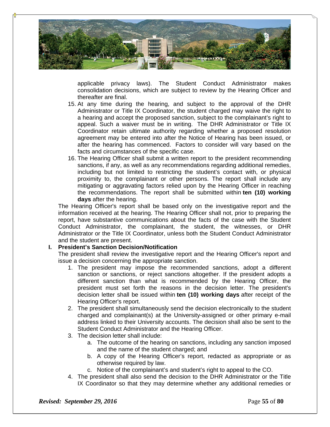

applicable privacy laws). The Student Conduct Administrator makes consolidation decisions, which are subject to review by the Hearing Officer and thereafter are final.

- 15. At any time during the hearing, and subject to the approval of the DHR Administrator or Title IX Coordinator, the student charged may waive the right to a hearing and accept the proposed sanction, subject to the complainant's right to appeal. Such a waiver must be in writing. The DHR Administrator or Title IX Coordinator retain ultimate authority regarding whether a proposed resolution agreement may be entered into after the Notice of Hearing has been issued, or after the hearing has commenced. Factors to consider will vary based on the facts and circumstances of the specific case.
- 16. The Hearing Officer shall submit a written report to the president recommending sanctions, if any, as well as any recommendations regarding additional remedies, including but not limited to restricting the student's contact with, or physical proximity to, the complainant or other persons. The report shall include any mitigating or aggravating factors relied upon by the Hearing Officer in reaching the recommendations. The report shall be submitted within **ten (10) working days** after the hearing.

The Hearing Officer's report shall be based only on the investigative report and the information received at the hearing. The Hearing Officer shall not, prior to preparing the report, have substantive communications about the facts of the case with the Student Conduct Administrator, the complainant, the student, the witnesses, or DHR Administrator or the Title IX Coordinator, unless both the Student Conduct Administrator and the student are present.

#### **I. President's Sanction Decision/Notification**

The president shall review the investigative report and the Hearing Officer's report and issue a decision concerning the appropriate sanction.

- 1. The president may impose the recommended sanctions, adopt a different sanction or sanctions, or reject sanctions altogether. If the president adopts a different sanction than what is recommended by the Hearing Officer, the president must set forth the reasons in the decision letter. The president's decision letter shall be issued within **ten (10) working days** after receipt of the Hearing Officer's report.
- 2. The president shall simultaneously send the decision electronically to the student charged and complainant(s) at the University-assigned or other primary e-mail address linked to their University accounts. The decision shall also be sent to the Student Conduct Administrator and the Hearing Officer.
- 3. The decision letter shall include:
	- a. The outcome of the hearing on sanctions, including any sanction imposed and the name of the student charged; and
	- b. A copy of the Hearing Officer's report, redacted as appropriate or as otherwise required by law.
	- c. Notice of the complainant's and student's right to appeal to the CO.
- 4. The president shall also send the decision to the DHR Administrator or the Title IX Coordinator so that they may determine whether any additional remedies or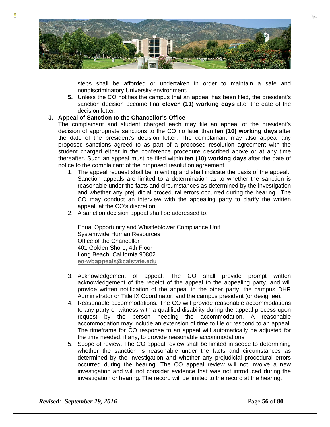

steps shall be afforded or undertaken in order to maintain a safe and nondiscriminatory University environment.

**5.** Unless the CO notifies the campus that an appeal has been filed, the president's sanction decision become final **eleven (11) working days** after the date of the decision letter.

# **J. Appeal of Sanction to the Chancellor's Office**

The complainant and student charged each may file an appeal of the president's decision of appropriate sanctions to the CO no later than **ten (10) working days** after the date of the president's decision letter. The complainant may also appeal any proposed sanctions agreed to as part of a proposed resolution agreement with the student charged either in the conference procedure described above or at any time thereafter. Such an appeal must be filed within **ten (10) working days** after the date of notice to the complainant of the proposed resolution agreement.

- 1. The appeal request shall be in writing and shall indicate the basis of the appeal. Sanction appeals are limited to a determination as to whether the sanction is reasonable under the facts and circumstances as determined by the investigation and whether any prejudicial procedural errors occurred during the hearing. The CO may conduct an interview with the appealing party to clarify the written appeal, at the CO's discretion.
- 2. A sanction decision appeal shall be addressed to:

Equal Opportunity and Whistleblower Compliance Unit Systemwide Human Resources Office of the Chancellor 401 Golden Shore, 4th Floor Long Beach, California 90802 **eo-wbappeals@calstate.edu**

- 3. Acknowledgement of appeal. The CO shall provide prompt written acknowledgement of the receipt of the appeal to the appealing party, and will provide written notification of the appeal to the other party, the campus DHR Administrator or Title IX Coordinator, and the campus president (or designee).
- 4. Reasonable accommodations. The CO will provide reasonable accommodations to any party or witness with a qualified disability during the appeal process upon request by the person needing the accommodation. A reasonable accommodation may include an extension of time to file or respond to an appeal. The timeframe for CO response to an appeal will automatically be adjusted for the time needed, if any, to provide reasonable accommodations
- 5. Scope of review. The CO appeal review shall be limited in scope to determining whether the sanction is reasonable under the facts and circumstances as determined by the investigation and whether any prejudicial procedural errors occurred during the hearing. The CO appeal review will not involve a new investigation and will not consider evidence that was not introduced during the investigation or hearing. The record will be limited to the record at the hearing.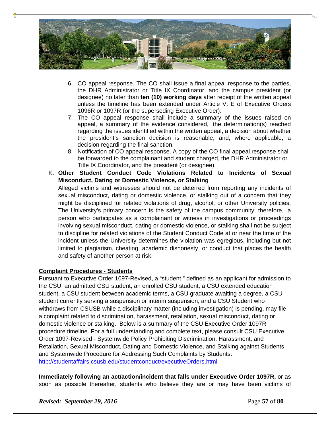

- 6. CO appeal response. The CO shall issue a final appeal response to the parties, the DHR Administrator or Title IX Coordinator, and the campus president (or designee) no later than **ten (10) working days** after receipt of the written appeal unless the timeline has been extended under Article V. E of Executive Orders 1096R or 1097R (or the superseding Executive Order).
- 7. The CO appeal response shall include a summary of the issues raised on appeal, a summary of the evidence considered, the determination(s) reached regarding the issues identified within the written appeal, a decision about whether the president's sanction decision is reasonable, and, where applicable, a decision regarding the final sanction.
- 8. Notification of CO appeal response. A copy of the CO final appeal response shall be forwarded to the complainant and student charged, the DHR Administrator or Title IX Coordinator, and the president (or designee).
- K. **Other Student Conduct Code Violations Related to Incidents of Sexual Misconduct, Dating or Domestic Violence, or Stalking**

Alleged victims and witnesses should not be deterred from reporting any incidents of sexual misconduct, dating or domestic violence, or stalking out of a concern that they might be disciplined for related violations of drug, alcohol, or other University policies. The University's primary concern is the safety of the campus community; therefore, a person who participates as a complainant or witness in investigations or proceedings involving sexual misconduct, dating or domestic violence, or stalking shall not be subject to discipline for related violations of the Student Conduct Code at or near the time of the incident unless the University determines the violation was egregious, including but not limited to plagiarism, cheating, academic dishonesty, or conduct that places the health and safety of another person at risk.

# **Complaint Procedures - Students**

Pursuant to Executive Order 1097-Revised, a "student," defined as an applicant for admission to the CSU, an admitted CSU student, an enrolled CSU student, a CSU extended education student, a CSU student between academic terms, a CSU graduate awaiting a degree, a CSU student currently serving a suspension or interim suspension, and a CSU Student who withdraws from CSUSB while a disciplinary matter (including investigation) is pending, may file a complaint related to discrimination, harassment, retaliation, sexual misconduct, dating or domestic violence or stalking. Below is a summary of the CSU Executive Order 1097R procedure timeline. For a full understanding and complete text, please consult CSU Executive Order 1097-Revised - Systemwide Policy Prohibiting Discrimination, Harassment, and Retaliation, Sexual Misconduct, Dating and Domestic Violence, and Stalking against Students and Systemwide Procedure for Addressing Such Complaints by Students: http://studentaffairs.csusb.edu/studentconduct/executiveOrders.html

**Immediately following an act/action/incident that falls under Executive Order 1097R,** or as soon as possible thereafter, students who believe they are or may have been victims of

*Revised: September 29, 2016* **Page 57** of **80**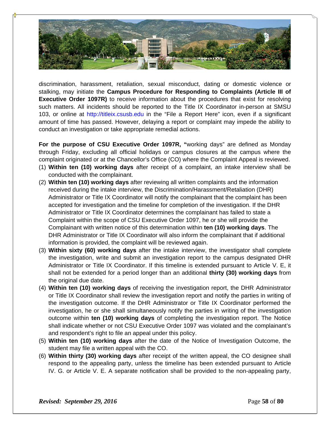

discrimination, harassment, retaliation, sexual misconduct, dating or domestic violence or stalking, may initiate the **Campus Procedure for Responding to Complaints (Article III of Executive Order 1097R)** to receive information about the procedures that exist for resolving such matters. All incidents should be reported to the Title IX Coordinator in-person at SMSU 103, or online at http://titleix.csusb.edu in the "File a Report Here" icon, even if a significant amount of time has passed. However, delaying a report or complaint may impede the ability to conduct an investigation or take appropriate remedial actions.

**For the purpose of CSU Executive Order 1097R, "**working days" are defined as Monday through Friday, excluding all official holidays or campus closures at the campus where the complaint originated or at the Chancellor's Office (CO) where the Complaint Appeal is reviewed.

- (1) **Within ten (10) working days** after receipt of a complaint, an intake interview shall be conducted with the complainant.
- (2) **Within ten (10) working days** after reviewing all written complaints and the information received during the intake interview, the Discrimination/Harassment/Retaliation (DHR) Administrator or Title IX Coordinator will notify the complainant that the complaint has been accepted for investigation and the timeline for completion of the investigation. If the DHR Administrator or Title IX Coordinator determines the complainant has failed to state a Complaint within the scope of CSU Executive Order 1097, he or she will provide the Complainant with written notice of this determination within **ten (10) working days**. The DHR Administrator or Title IX Coordinator will also inform the complainant that if additional information is provided, the complaint will be reviewed again.
- (3) **Within sixty (60) working days** after the intake interview, the investigator shall complete the investigation, write and submit an investigation report to the campus designated DHR Administrator or Title IX Coordinator. If this timeline is extended pursuant to Article V. E, it shall not be extended for a period longer than an additional **thirty (30) working days** from the original due date.
- (4) **Within ten (10) working days** of receiving the investigation report, the DHR Administrator or Title IX Coordinator shall review the investigation report and notify the parties in writing of the investigation outcome. If the DHR Administrator or Title IX Coordinator performed the investigation, he or she shall simultaneously notify the parties in writing of the investigation outcome within **ten (10) working days** of completing the investigation report. The Notice shall indicate whether or not CSU Executive Order 1097 was violated and the complainant's and respondent's right to file an appeal under this policy.
- (5) **Within ten (10) working days** after the date of the Notice of Investigation Outcome, the student may file a written appeal with the CO.
- (6) **Within thirty (30) working days** after receipt of the written appeal, the CO designee shall respond to the appealing party, unless the timeline has been extended pursuant to Article IV. G. or Article V. E. A separate notification shall be provided to the non-appealing party,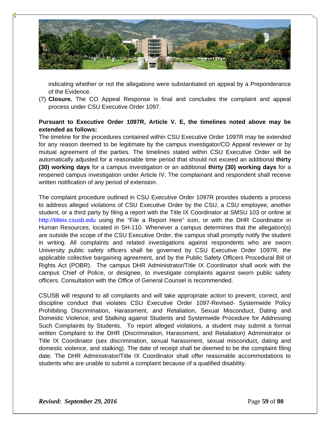

indicating whether or not the allegations were substantiated on appeal by a Preponderance of the Evidence.

(7) **Closure.** The CO Appeal Response is final and concludes the complaint and appeal process under CSU Executive Order 1097.

# **Pursuant to Executive Order 1097R, Article V. E, the timelines noted above may be extended as follows:**

The timeline for the procedures contained within CSU Executive Order 1097R may be extended for any reason deemed to be legitimate by the campus investigator/CO Appeal reviewer or by mutual agreement of the parties. The timelines stated within CSU Executive Order will be automatically adjusted for a reasonable time period that should not exceed an additional **thirty (30) working days** for a campus investigation or an additional **thirty (30) working days** for a reopened campus investigation under Article IV. The complainant and respondent shall receive written notification of any period of extension.

The complaint procedure outlined in CSU Executive Order 1097R provides students a process to address alleged violations of CSU Executive Order by the CSU, a CSU employee, another student, or a third party by filing a report with the Title IX Coordinator at SMSU 103 or online at http://titleix.csusb.edu using the "File a Report Here" icon, or with the DHR Coordinator in Human Resources, located in SH-110. Whenever a campus determines that the allegation(s) are outside the scope of the CSU Executive Order, the campus shall promptly notify the student in writing. All complaints and related investigations against respondents who are sworn University public safety officers shall be governed by CSU Executive Order 1097R, the applicable collective bargaining agreement, and by the Public Safety Officers Procedural Bill of Rights Act (POBR). The campus DHR Administrator/Title IX Coordinator shall work with the campus Chief of Police, or designee, to investigate complaints against sworn public safety officers. Consultation with the Office of General Counsel is recommended.

CSUSB will respond to all complaints and will take appropriate action to prevent, correct, and discipline conduct that violates CSU Executive Order 1097-Revised- Systemwide Policy Prohibiting Discrimination, Harassment, and Retaliation, Sexual Misconduct, Dating and Domestic Violence, and Stalking against Students and Systemwide Procedure for Addressing Such Complaints by Students. To report alleged violations, a student may submit a formal written Complaint to the DHR (Discrimination, Harassment, and Retaliation) Administrator or Title IX Coordinator (sex discrimination, sexual harassment, sexual misconduct, dating and domestic violence, and stalking). The date of receipt shall be deemed to be the complaint filing date. The DHR Administrator/Title IX Coordinator shall offer reasonable accommodations to students who are unable to submit a complaint because of a qualified disability.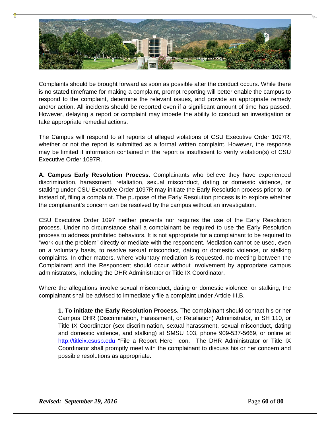

Complaints should be brought forward as soon as possible after the conduct occurs. While there is no stated timeframe for making a complaint, prompt reporting will better enable the campus to respond to the complaint, determine the relevant issues, and provide an appropriate remedy and/or action. All incidents should be reported even if a significant amount of time has passed. However, delaying a report or complaint may impede the ability to conduct an investigation or take appropriate remedial actions.

The Campus will respond to all reports of alleged violations of CSU Executive Order 1097R, whether or not the report is submitted as a formal written complaint. However, the response may be limited if information contained in the report is insufficient to verify violation(s) of CSU Executive Order 1097R.

**A. Campus Early Resolution Process.** Complainants who believe they have experienced discrimination, harassment, retaliation, sexual misconduct, dating or domestic violence, or stalking under CSU Executive Order 1097R may initiate the Early Resolution process prior to, or instead of, filing a complaint. The purpose of the Early Resolution process is to explore whether the complainant's concern can be resolved by the campus without an investigation.

CSU Executive Order 1097 neither prevents nor requires the use of the Early Resolution process. Under no circumstance shall a complainant be required to use the Early Resolution process to address prohibited behaviors. It is not appropriate for a complainant to be required to "work out the problem" directly or mediate with the respondent. Mediation cannot be used, even on a voluntary basis, to resolve sexual misconduct, dating or domestic violence, or stalking complaints. In other matters, where voluntary mediation is requested, no meeting between the Complainant and the Respondent should occur without involvement by appropriate campus administrators, including the DHR Administrator or Title IX Coordinator.

Where the allegations involve sexual misconduct, dating or domestic violence, or stalking, the complainant shall be advised to immediately file a complaint under Article III,B.

**1. To initiate the Early Resolution Process.** The complainant should contact his or her Campus DHR (Discrimination, Harassment, or Retaliation) Administrator, in SH 110, or Title IX Coordinator (sex discrimination, sexual harassment, sexual misconduct, dating and domestic violence, and stalking) at SMSU 103, phone 909-537-5669, or online at http://titleix.csusb.edu "File a Report Here" icon. The DHR Administrator or Title IX Coordinator shall promptly meet with the complainant to discuss his or her concern and possible resolutions as appropriate.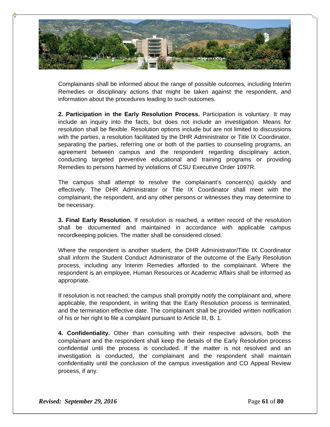

Complainants shall be informed about the range of possible outcomes, including Interim Remedies or disciplinary actions that might be taken against the respondent, and information about the procedures leading to such outcomes.

**2. Participation in the Early Resolution Process.** Participation is voluntary. It may include an inquiry into the facts, but does not include an investigation. Means for resolution shall be flexible. Resolution options include but are not limited to discussions with the parties, a resolution facilitated by the DHR Administrator or Title IX Coordinator, separating the parties, referring one or both of the parties to counseling programs, an agreement between campus and the respondent regarding disciplinary action, conducting targeted preventive educational and training programs or providing Remedies to persons harmed by violations of CSU Executive Order 1097R.

The campus shall attempt to resolve the complainant's concern(s) quickly and effectively. The DHR Administrator or Title IX Coordinator shall meet with the complainant, the respondent, and any other persons or witnesses they may determine to be necessary.

**3. Final Early Resolution.** If resolution is reached, a written record of the resolution shall be documented and maintained in accordance with applicable campus recordkeeping policies. The matter shall be considered closed.

Where the respondent is another student, the DHR Administrator/Title IX Coordinator shall inform the Student Conduct Administrator of the outcome of the Early Resolution process, including any Interim Remedies afforded to the complainant. Where the respondent is an employee, Human Resources or Academic Affairs shall be informed as appropriate.

If resolution is not reached, the campus shall promptly notify the complainant and, where applicable, the respondent, in writing that the Early Resolution process is terminated, and the termination effective date. The complainant shall be provided written notification of his or her right to file a complaint pursuant to Article III, B. 1.

**4. Confidentiality.** Other than consulting with their respective advisors, both the complainant and the respondent shall keep the details of the Early Resolution process confidential until the process is concluded. If the matter is not resolved and an investigation is conducted, the complainant and the respondent shall maintain confidentiality until the conclusion of the campus investigation and CO Appeal Review process, if any.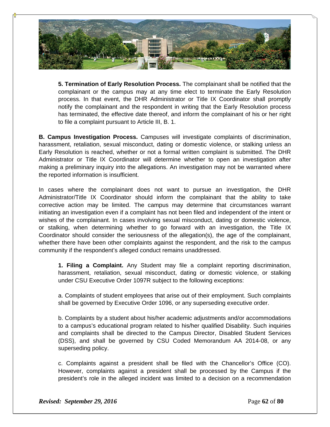

**5. Termination of Early Resolution Process.** The complainant shall be notified that the complainant or the campus may at any time elect to terminate the Early Resolution process. In that event, the DHR Administrator or Title IX Coordinator shall promptly notify the complainant and the respondent in writing that the Early Resolution process has terminated, the effective date thereof, and inform the complainant of his or her right to file a complaint pursuant to Article III, B. 1.

**B. Campus Investigation Process.** Campuses will investigate complaints of discrimination, harassment, retaliation, sexual misconduct, dating or domestic violence, or stalking unless an Early Resolution is reached, whether or not a formal written complaint is submitted. The DHR Administrator or Title IX Coordinator will determine whether to open an investigation after making a preliminary inquiry into the allegations. An investigation may not be warranted where the reported information is insufficient.

In cases where the complainant does not want to pursue an investigation, the DHR Administrator/Title IX Coordinator should inform the complainant that the ability to take corrective action may be limited. The campus may determine that circumstances warrant initiating an investigation even if a complaint has not been filed and independent of the intent or wishes of the complainant. In cases involving sexual misconduct, dating or domestic violence, or stalking, when determining whether to go forward with an investigation, the Title IX Coordinator should consider the seriousness of the allegation(s), the age of the complainant, whether there have been other complaints against the respondent, and the risk to the campus community if the respondent's alleged conduct remains unaddressed.

**1. Filing a Complaint.** Any Student may file a complaint reporting discrimination, harassment, retaliation, sexual misconduct, dating or domestic violence, or stalking under CSU Executive Order 1097R subject to the following exceptions:

a. Complaints of student employees that arise out of their employment. Such complaints shall be governed by Executive Order 1096, or any superseding executive order.

b. Complaints by a student about his/her academic adjustments and/or accommodations to a campus's educational program related to his/her qualified Disability. Such inquiries and complaints shall be directed to the Campus Director, Disabled Student Services (DSS), and shall be governed by CSU Coded Memorandum AA 2014-08, or any superseding policy.

c. Complaints against a president shall be filed with the Chancellor's Office (CO). However, complaints against a president shall be processed by the Campus if the president's role in the alleged incident was limited to a decision on a recommendation

*Revised: September 29, 2016* **Page 62** of **80**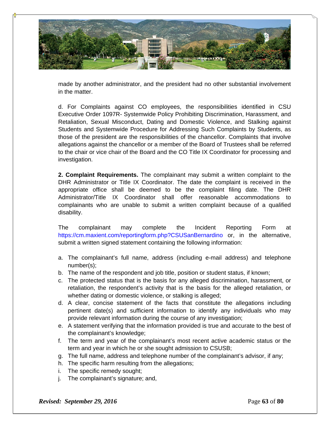

made by another administrator, and the president had no other substantial involvement in the matter.

d. For Complaints against CO employees, the responsibilities identified in CSU Executive Order 1097R- Systemwide Policy Prohibiting Discrimination, Harassment, and Retaliation, Sexual Misconduct, Dating and Domestic Violence, and Stalking against Students and Systemwide Procedure for Addressing Such Complaints by Students, as those of the president are the responsibilities of the chancellor. Complaints that involve allegations against the chancellor or a member of the Board of Trustees shall be referred to the chair or vice chair of the Board and the CO Title IX Coordinator for processing and investigation.

**2. Complaint Requirements.** The complainant may submit a written complaint to the DHR Administrator or Title IX Coordinator. The date the complaint is received in the appropriate office shall be deemed to be the complaint filing date. The DHR Administrator/Title IX Coordinator shall offer reasonable accommodations to complainants who are unable to submit a written complaint because of a qualified disability.

The complainant may complete the Incident Reporting Form at https://cm.maxient.com/reportingform.php?CSUSanBernardino or, in the alternative, submit a written signed statement containing the following information:

- a. The complainant's full name, address (including e-mail address) and telephone number(s);
- b. The name of the respondent and job title, position or student status, if known;
- c. The protected status that is the basis for any alleged discrimination, harassment, or retaliation, the respondent's activity that is the basis for the alleged retaliation, or whether dating or domestic violence, or stalking is alleged;
- d. A clear, concise statement of the facts that constitute the allegations including pertinent date(s) and sufficient information to identify any individuals who may provide relevant information during the course of any investigation;
- e. A statement verifying that the information provided is true and accurate to the best of the complainant's knowledge;
- f. The term and year of the complainant's most recent active academic status or the term and year in which he or she sought admission to CSUSB;
- g. The full name, address and telephone number of the complainant's advisor, if any;
- h. The specific harm resulting from the allegations;
- i. The specific remedy sought;
- j. The complainant's signature; and,

*Revised: September 29, 2016* **Page 63** of **80**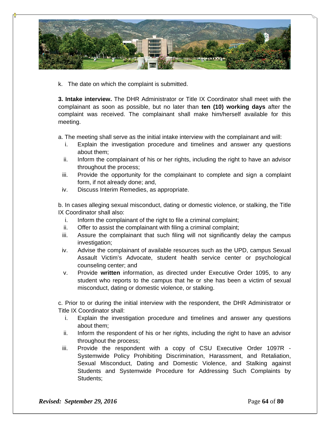

k. The date on which the complaint is submitted.

**3. Intake interview.** The DHR Administrator or Title IX Coordinator shall meet with the complainant as soon as possible, but no later than **ten (10) working days** after the complaint was received. The complainant shall make him/herself available for this meeting.

a. The meeting shall serve as the initial intake interview with the complainant and will:

- i. Explain the investigation procedure and timelines and answer any questions about them;
- ii. Inform the complainant of his or her rights, including the right to have an advisor throughout the process;
- iii. Provide the opportunity for the complainant to complete and sign a complaint form, if not already done; and,
- iv. Discuss Interim Remedies, as appropriate.

b. In cases alleging sexual misconduct, dating or domestic violence, or stalking, the Title IX Coordinator shall also:

- i. Inform the complainant of the right to file a criminal complaint;
- ii. Offer to assist the complainant with filing a criminal complaint;
- iii. Assure the complainant that such filing will not significantly delay the campus investigation;
- iv. Advise the complainant of available resources such as the UPD, campus Sexual Assault Victim's Advocate, student health service center or psychological counseling center; and
- v. Provide **written** information, as directed under Executive Order 1095, to any student who reports to the campus that he or she has been a victim of sexual misconduct, dating or domestic violence, or stalking.

c. Prior to or during the initial interview with the respondent, the DHR Administrator or Title IX Coordinator shall:

- i. Explain the investigation procedure and timelines and answer any questions about them;
- ii. Inform the respondent of his or her rights, including the right to have an advisor throughout the process;
- iii. Provide the respondent with a copy of CSU Executive Order 1097R Systemwide Policy Prohibiting Discrimination, Harassment, and Retaliation, Sexual Misconduct, Dating and Domestic Violence, and Stalking against Students and Systemwide Procedure for Addressing Such Complaints by Students;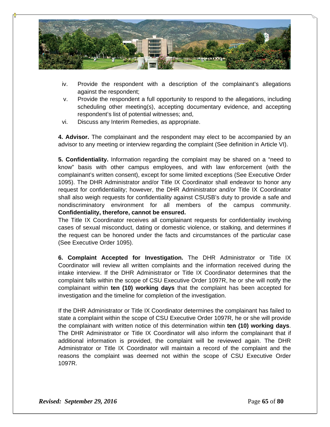

- iv. Provide the respondent with a description of the complainant's allegations against the respondent;
- v. Provide the respondent a full opportunity to respond to the allegations, including scheduling other meeting(s), accepting documentary evidence, and accepting respondent's list of potential witnesses; and,
- vi. Discuss any Interim Remedies, as appropriate.

**4. Advisor.** The complainant and the respondent may elect to be accompanied by an advisor to any meeting or interview regarding the complaint (See definition in Article VI).

**5. Confidentiality.** Information regarding the complaint may be shared on a "need to know" basis with other campus employees, and with law enforcement (with the complainant's written consent), except for some limited exceptions (See Executive Order 1095). The DHR Administrator and/or Title IX Coordinator shall endeavor to honor any request for confidentiality; however, the DHR Administrator and/or Title IX Coordinator shall also weigh requests for confidentiality against CSUSB's duty to provide a safe and nondiscriminatory environment for all members of the campus community. **Confidentiality, therefore, cannot be ensured.** 

The Title IX Coordinator receives all complainant requests for confidentiality involving cases of sexual misconduct, dating or domestic violence, or stalking, and determines if the request can be honored under the facts and circumstances of the particular case (See Executive Order 1095).

**6. Complaint Accepted for Investigation.** The DHR Administrator or Title IX Coordinator will review all written complaints and the information received during the intake interview. If the DHR Administrator or Title IX Coordinator determines that the complaint falls within the scope of CSU Executive Order 1097R, he or she will notify the complainant within **ten (10) working days** that the complaint has been accepted for investigation and the timeline for completion of the investigation.

If the DHR Administrator or Title IX Coordinator determines the complainant has failed to state a complaint within the scope of CSU Executive Order 1097R, he or she will provide the complainant with written notice of this determination within **ten (10) working days**. The DHR Administrator or Title IX Coordinator will also inform the complainant that if additional information is provided, the complaint will be reviewed again. The DHR Administrator or Title IX Coordinator will maintain a record of the complaint and the reasons the complaint was deemed not within the scope of CSU Executive Order 1097R.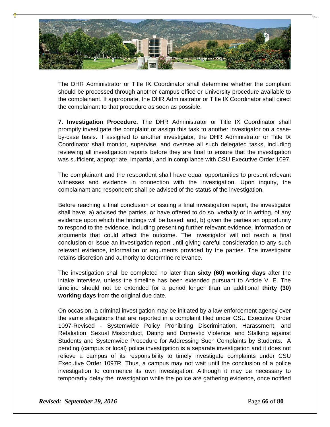

The DHR Administrator or Title IX Coordinator shall determine whether the complaint should be processed through another campus office or University procedure available to the complainant. If appropriate, the DHR Administrator or Title IX Coordinator shall direct the complainant to that procedure as soon as possible.

**7. Investigation Procedure.** The DHR Administrator or Title IX Coordinator shall promptly investigate the complaint or assign this task to another investigator on a caseby-case basis. If assigned to another investigator, the DHR Administrator or Title IX Coordinator shall monitor, supervise, and oversee all such delegated tasks, including reviewing all investigation reports before they are final to ensure that the investigation was sufficient, appropriate, impartial, and in compliance with CSU Executive Order 1097.

The complainant and the respondent shall have equal opportunities to present relevant witnesses and evidence in connection with the investigation. Upon inquiry, the complainant and respondent shall be advised of the status of the investigation.

Before reaching a final conclusion or issuing a final investigation report, the investigator shall have: a) advised the parties, or have offered to do so, verbally or in writing, of any evidence upon which the findings will be based; and, b) given the parties an opportunity to respond to the evidence, including presenting further relevant evidence, information or arguments that could affect the outcome. The investigator will not reach a final conclusion or issue an investigation report until giving careful consideration to any such relevant evidence, information or arguments provided by the parties. The investigator retains discretion and authority to determine relevance.

The investigation shall be completed no later than **sixty (60) working days** after the intake interview, unless the timeline has been extended pursuant to Article V. E. The timeline should not be extended for a period longer than an additional **thirty (30) working days** from the original due date.

On occasion, a criminal investigation may be initiated by a law enforcement agency over the same allegations that are reported in a complaint filed under CSU Executive Order 1097-Revised - Systemwide Policy Prohibiting Discrimination, Harassment, and Retaliation, Sexual Misconduct, Dating and Domestic Violence, and Stalking against Students and Systemwide Procedure for Addressing Such Complaints by Students. A pending (campus or local) police investigation is a separate investigation and it does not relieve a campus of its responsibility to timely investigate complaints under CSU Executive Order 1097R. Thus, a campus may not wait until the conclusion of a police investigation to commence its own investigation. Although it may be necessary to temporarily delay the investigation while the police are gathering evidence, once notified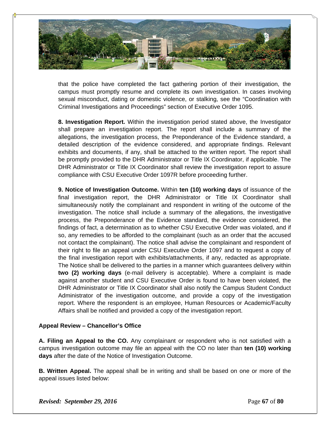

that the police have completed the fact gathering portion of their investigation, the campus must promptly resume and complete its own investigation. In cases involving sexual misconduct, dating or domestic violence, or stalking, see the "Coordination with Criminal Investigations and Proceedings" section of Executive Order 1095.

**8. Investigation Report.** Within the investigation period stated above, the Investigator shall prepare an investigation report. The report shall include a summary of the allegations, the investigation process, the Preponderance of the Evidence standard, a detailed description of the evidence considered, and appropriate findings. Relevant exhibits and documents, if any, shall be attached to the written report. The report shall be promptly provided to the DHR Administrator or Title IX Coordinator, if applicable. The DHR Administrator or Title IX Coordinator shall review the investigation report to assure compliance with CSU Executive Order 1097R before proceeding further.

**9. Notice of Investigation Outcome.** Within **ten (10) working days** of issuance of the final investigation report, the DHR Administrator or Title IX Coordinator shall simultaneously notify the complainant and respondent in writing of the outcome of the investigation. The notice shall include a summary of the allegations, the investigative process, the Preponderance of the Evidence standard, the evidence considered, the findings of fact, a determination as to whether CSU Executive Order was violated, and if so, any remedies to be afforded to the complainant (such as an order that the accused not contact the complainant). The notice shall advise the complainant and respondent of their right to file an appeal under CSU Executive Order 1097 and to request a copy of the final investigation report with exhibits/attachments, if any, redacted as appropriate. The Notice shall be delivered to the parties in a manner which guarantees delivery within **two (2) working days** (e-mail delivery is acceptable). Where a complaint is made against another student and CSU Executive Order is found to have been violated, the DHR Administrator or Title IX Coordinator shall also notify the Campus Student Conduct Administrator of the investigation outcome, and provide a copy of the investigation report. Where the respondent is an employee, Human Resources or Academic/Faculty Affairs shall be notified and provided a copy of the investigation report.

# **Appeal Review – Chancellor's Office**

**A. Filing an Appeal to the CO.** Any complainant or respondent who is not satisfied with a campus investigation outcome may file an appeal with the CO no later than **ten (10) working days** after the date of the Notice of Investigation Outcome.

**B. Written Appeal.** The appeal shall be in writing and shall be based on one or more of the appeal issues listed below:

*Revised: September 29, 2016* **Page 67** of **80**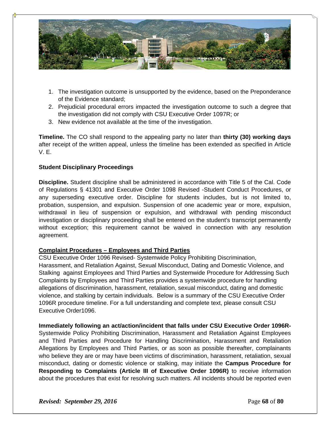

- 1. The investigation outcome is unsupported by the evidence, based on the Preponderance of the Evidence standard;
- 2. Prejudicial procedural errors impacted the investigation outcome to such a degree that the investigation did not comply with CSU Executive Order 1097R; or
- 3. New evidence not available at the time of the investigation.

**Timeline.** The CO shall respond to the appealing party no later than **thirty (30) working days**  after receipt of the written appeal, unless the timeline has been extended as specified in Article V. E.

# **Student Disciplinary Proceedings**

**Discipline.** Student discipline shall be administered in accordance with Title 5 of the Cal. Code of Regulations § 41301 and Executive Order 1098 Revised -Student Conduct Procedures, or any superseding executive order. Discipline for students includes, but is not limited to, probation, suspension, and expulsion. Suspension of one academic year or more, expulsion, withdrawal in lieu of suspension or expulsion, and withdrawal with pending misconduct investigation or disciplinary proceeding shall be entered on the student's transcript permanently without exception; this requirement cannot be waived in connection with any resolution agreement.

#### **Complaint Procedures – Employees and Third Parties**

CSU Executive Order 1096 Revised- Systemwide Policy Prohibiting Discrimination, Harassment, and Retaliation Against, Sexual Misconduct, Dating and Domestic Violence, and Stalking against Employees and Third Parties and Systemwide Procedure for Addressing Such Complaints by Employees and Third Parties provides a systemwide procedure for handling allegations of discrimination, harassment, retaliation, sexual misconduct, dating and domestic violence, and stalking by certain individuals. Below is a summary of the CSU Executive Order 1096R procedure timeline. For a full understanding and complete text, please consult CSU Executive Order1096.

**Immediately following an act/action/incident that falls under CSU Executive Order 1096R-**Systemwide Policy Prohibiting Discrimination, Harassment and Retaliation Against Employees and Third Parties and Procedure for Handling Discrimination, Harassment and Retaliation Allegations by Employees and Third Parties, or as soon as possible thereafter, complainants who believe they are or may have been victims of discrimination, harassment, retaliation, sexual misconduct, dating or domestic violence or stalking, may initiate the **Campus Procedure for Responding to Complaints (Article III of Executive Order 1096R)** to receive information about the procedures that exist for resolving such matters. All incidents should be reported even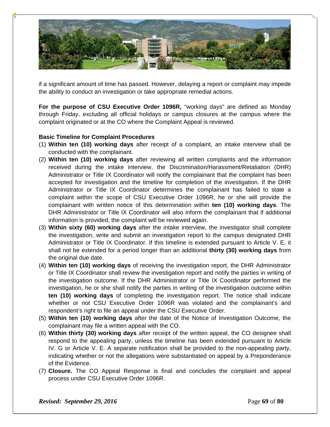

if a significant amount of time has passed. However, delaying a report or complaint may impede the ability to conduct an investigation or take appropriate remedial actions.

**For the purpose of CSU Executive Order 1096R,** "working days" are defined as Monday through Friday, excluding all official holidays or campus closures at the campus where the complaint originated or at the CO where the Complaint Appeal is reviewed.

# **Basic Timeline for Complaint Procedures**

- (1) **Within ten (10) working days** after receipt of a complaint, an intake interview shall be conducted with the complainant.
- (2) **Within ten (10) working days** after reviewing all written complaints and the information received during the intake interview, the Discrimination/Harassment/Retaliation (DHR) Administrator or Title IX Coordinator will notify the complainant that the complaint has been accepted for investigation and the timeline for completion of the investigation. If the DHR Administrator or Title IX Coordinator determines the complainant has failed to state a complaint within the scope of CSU Executive Order 1096R, he or she will provide the complainant with written notice of this determination within **ten (10) working days**. The DHR Administrator or Title IX Coordinator will also inform the complainant that if additional information is provided, the complaint will be reviewed again.
- (3) **Within sixty (60) working days** after the intake interview, the investigator shall complete the investigation, write and submit an investigation report to the campus designated DHR Administrator or Title IX Coordinator. If this timeline is extended pursuant to Article V. E, it shall not be extended for a period longer than an additional **thirty (30) working days** from the original due date.
- (4) **Within ten (10) working days** of receiving the investigation report, the DHR Administrator or Title IX Coordinator shall review the investigation report and notify the parties in writing of the investigation outcome. If the DHR Administrator or Title IX Coordinator performed the investigation, he or she shall notify the parties in writing of the investigation outcome within **ten (10) working days** of completing the investigation report. The notice shall indicate whether or not CSU Executive Order 1096R was violated and the complainant's and respondent's right to file an appeal under the CSU Executive Order.
- (5) **Within ten (10) working days** after the date of the Notice of Investigation Outcome, the complainant may file a written appeal with the CO.
- (6) **Within thirty (30) working days** after receipt of the written appeal, the CO designee shall respond to the appealing party, unless the timeline has been extended pursuant to Article IV. G or Article V. E. A separate notification shall be provided to the non-appealing party, indicating whether or not the allegations were substantiated on appeal by a Preponderance of the Evidence.
- (7) **Closure.** The CO Appeal Response is final and concludes the complaint and appeal process under CSU Executive Order 1096R.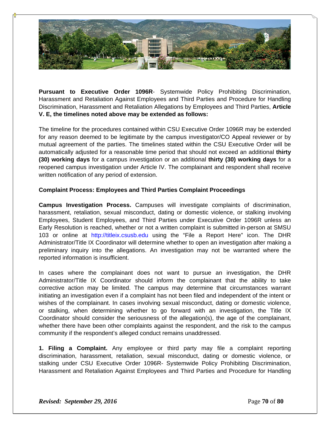

**Pursuant to Executive Order 1096R**- Systemwide Policy Prohibiting Discrimination, Harassment and Retaliation Against Employees and Third Parties and Procedure for Handling Discrimination, Harassment and Retaliation Allegations by Employees and Third Parties, **Article V. E, the timelines noted above may be extended as follows:** 

The timeline for the procedures contained within CSU Executive Order 1096R may be extended for any reason deemed to be legitimate by the campus investigator/CO Appeal reviewer or by mutual agreement of the parties. The timelines stated within the CSU Executive Order will be automatically adjusted for a reasonable time period that should not exceed an additional **thirty (30) working days** for a campus investigation or an additional **thirty (30) working days** for a reopened campus investigation under Article IV. The complainant and respondent shall receive written notification of any period of extension.

# **Complaint Process: Employees and Third Parties Complaint Proceedings**

**Campus Investigation Process.** Campuses will investigate complaints of discrimination, harassment, retaliation, sexual misconduct, dating or domestic violence, or stalking involving Employees, Student Employees, and Third Parties under Executive Order 1096R unless an Early Resolution is reached, whether or not a written complaint is submitted in-person at SMSU 103 or online at http://titleix.csusb.edu using the "File a Report Here" icon. The DHR Administrator/Title IX Coordinator will determine whether to open an investigation after making a preliminary inquiry into the allegations. An investigation may not be warranted where the reported information is insufficient.

In cases where the complainant does not want to pursue an investigation, the DHR Administrator/Title IX Coordinator should inform the complainant that the ability to take corrective action may be limited. The campus may determine that circumstances warrant initiating an investigation even if a complaint has not been filed and independent of the intent or wishes of the complainant. In cases involving sexual misconduct, dating or domestic violence, or stalking, when determining whether to go forward with an investigation, the Title IX Coordinator should consider the seriousness of the allegation(s), the age of the complainant, whether there have been other complaints against the respondent, and the risk to the campus community if the respondent's alleged conduct remains unaddressed.

**1. Filing a Complaint.** Any employee or third party may file a complaint reporting discrimination, harassment, retaliation, sexual misconduct, dating or domestic violence, or stalking under CSU Executive Order 1096R- Systemwide Policy Prohibiting Discrimination, Harassment and Retaliation Against Employees and Third Parties and Procedure for Handling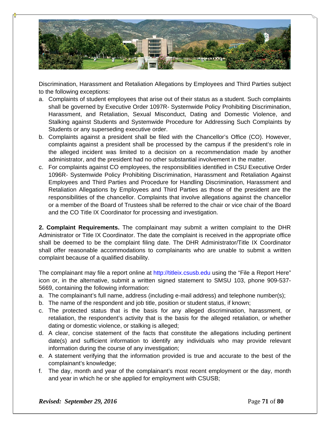

Discrimination, Harassment and Retaliation Allegations by Employees and Third Parties subject to the following exceptions:

- a. Complaints of student employees that arise out of their status as a student. Such complaints shall be governed by Executive Order 1097R- Systemwide Policy Prohibiting Discrimination, Harassment, and Retaliation, Sexual Misconduct, Dating and Domestic Violence, and Stalking against Students and Systemwide Procedure for Addressing Such Complaints by Students or any superseding executive order.
- b. Complaints against a president shall be filed with the Chancellor's Office (CO). However, complaints against a president shall be processed by the campus if the president's role in the alleged incident was limited to a decision on a recommendation made by another administrator, and the president had no other substantial involvement in the matter.
- c. For complaints against CO employees, the responsibilities identified in CSU Executive Order 1096R- Systemwide Policy Prohibiting Discrimination, Harassment and Retaliation Against Employees and Third Parties and Procedure for Handling Discrimination, Harassment and Retaliation Allegations by Employees and Third Parties as those of the president are the responsibilities of the chancellor. Complaints that involve allegations against the chancellor or a member of the Board of Trustees shall be referred to the chair or vice chair of the Board and the CO Title IX Coordinator for processing and investigation.

**2. Complaint Requirements.** The complainant may submit a written complaint to the DHR Administrator or Title IX Coordinator. The date the complaint is received in the appropriate office shall be deemed to be the complaint filing date. The DHR Administrator/Title IX Coordinator shall offer reasonable accommodations to complainants who are unable to submit a written complaint because of a qualified disability.

The complainant may file a report online at http://titleix.csusb.edu using the "File a Report Here" icon or, in the alternative, submit a written signed statement to SMSU 103, phone 909-537- 5669, containing the following information:

- a. The complainant's full name, address (including e-mail address) and telephone number(s);
- b. The name of the respondent and job title, position or student status, if known;
- c. The protected status that is the basis for any alleged discrimination, harassment, or retaliation, the respondent's activity that is the basis for the alleged retaliation, or whether dating or domestic violence, or stalking is alleged;
- d. A clear, concise statement of the facts that constitute the allegations including pertinent date(s) and sufficient information to identify any individuals who may provide relevant information during the course of any investigation;
- e. A statement verifying that the information provided is true and accurate to the best of the complainant's knowledge;
- f. The day, month and year of the complainant's most recent employment or the day, month and year in which he or she applied for employment with CSUSB;

*Revised: September 29, 2016* **Page 71** of **80**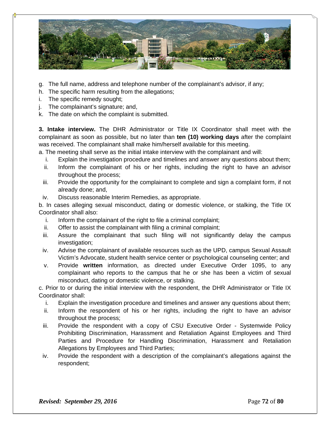

- g. The full name, address and telephone number of the complainant's advisor, if any;
- h. The specific harm resulting from the allegations;
- i. The specific remedy sought;
- j. The complainant's signature; and,
- k. The date on which the complaint is submitted.

**3. Intake interview.** The DHR Administrator or Title IX Coordinator shall meet with the complainant as soon as possible, but no later than **ten (10) working days** after the complaint was received. The complainant shall make him/herself available for this meeting.

a. The meeting shall serve as the initial intake interview with the complainant and will:

- i. Explain the investigation procedure and timelines and answer any questions about them;
- ii. Inform the complainant of his or her rights, including the right to have an advisor throughout the process;
- iii. Provide the opportunity for the complainant to complete and sign a complaint form, if not already done; and,
- iv. Discuss reasonable Interim Remedies, as appropriate.

b. In cases alleging sexual misconduct, dating or domestic violence, or stalking, the Title IX Coordinator shall also:

- i. Inform the complainant of the right to file a criminal complaint;
- ii. Offer to assist the complainant with filing a criminal complaint;
- iii. Assure the complainant that such filing will not significantly delay the campus investigation;
- iv. Advise the complainant of available resources such as the UPD, campus Sexual Assault Victim's Advocate, student health service center or psychological counseling center; and
- v. Provide **written** information, as directed under Executive Order 1095, to any complainant who reports to the campus that he or she has been a victim of sexual misconduct, dating or domestic violence, or stalking.

c. Prior to or during the initial interview with the respondent, the DHR Administrator or Title IX Coordinator shall:

- i. Explain the investigation procedure and timelines and answer any questions about them;
- ii. Inform the respondent of his or her rights, including the right to have an advisor throughout the process;
- iii. Provide the respondent with a copy of CSU Executive Order Systemwide Policy Prohibiting Discrimination, Harassment and Retaliation Against Employees and Third Parties and Procedure for Handling Discrimination, Harassment and Retaliation Allegations by Employees and Third Parties;
- iv. Provide the respondent with a description of the complainant's allegations against the respondent;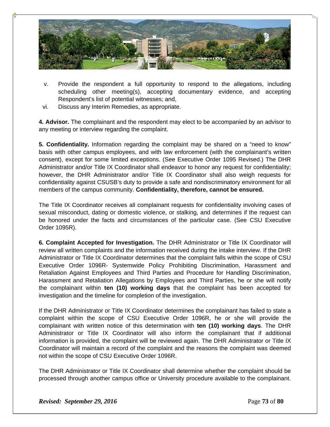

- v. Provide the respondent a full opportunity to respond to the allegations, including scheduling other meeting(s), accepting documentary evidence, and accepting Respondent's list of potential witnesses; and,
- vi. Discuss any Interim Remedies, as appropriate.

**4. Advisor.** The complainant and the respondent may elect to be accompanied by an advisor to any meeting or interview regarding the complaint.

**5. Confidentiality.** Information regarding the complaint may be shared on a "need to know" basis with other campus employees, and with law enforcement (with the complainant's written consent), except for some limited exceptions. (See Executive Order 1095 Revised.) The DHR Administrator and/or Title IX Coordinator shall endeavor to honor any request for confidentiality; however, the DHR Administrator and/or Title IX Coordinator shall also weigh requests for confidentiality against CSUSB's duty to provide a safe and nondiscriminatory environment for all members of the campus community. **Confidentiality, therefore, cannot be ensured.** 

The Title IX Coordinator receives all complainant requests for confidentiality involving cases of sexual misconduct, dating or domestic violence, or stalking, and determines if the request can be honored under the facts and circumstances of the particular case. (See CSU Executive Order 1095R).

**6. Complaint Accepted for Investigation.** The DHR Administrator or Title IX Coordinator will review all written complaints and the information received during the intake interview. If the DHR Administrator or Title IX Coordinator determines that the complaint falls within the scope of CSU Executive Order 1096R- Systemwide Policy Prohibiting Discrimination, Harassment and Retaliation Against Employees and Third Parties and Procedure for Handling Discrimination, Harassment and Retaliation Allegations by Employees and Third Parties, he or she will notify the complainant within **ten (10) working days** that the complaint has been accepted for investigation and the timeline for completion of the investigation.

If the DHR Administrator or Title IX Coordinator determines the complainant has failed to state a complaint within the scope of CSU Executive Order 1096R, he or she will provide the complainant with written notice of this determination with **ten (10) working days**. The DHR Administrator or Title IX Coordinator will also inform the complainant that if additional information is provided, the complaint will be reviewed again. The DHR Administrator or Title IX Coordinator will maintain a record of the complaint and the reasons the complaint was deemed not within the scope of CSU Executive Order 1096R.

The DHR Administrator or Title IX Coordinator shall determine whether the complaint should be processed through another campus office or University procedure available to the complainant.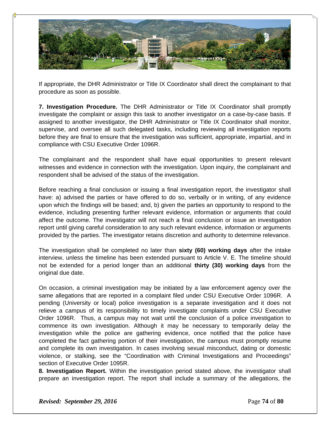

If appropriate, the DHR Administrator or Title IX Coordinator shall direct the complainant to that procedure as soon as possible.

**7. Investigation Procedure.** The DHR Administrator or Title IX Coordinator shall promptly investigate the complaint or assign this task to another investigator on a case-by-case basis. If assigned to another investigator, the DHR Administrator or Title IX Coordinator shall monitor, supervise, and oversee all such delegated tasks, including reviewing all investigation reports before they are final to ensure that the investigation was sufficient, appropriate, impartial, and in compliance with CSU Executive Order 1096R.

The complainant and the respondent shall have equal opportunities to present relevant witnesses and evidence in connection with the investigation. Upon inquiry, the complainant and respondent shall be advised of the status of the investigation.

Before reaching a final conclusion or issuing a final investigation report, the investigator shall have: a) advised the parties or have offered to do so, verbally or in writing, of any evidence upon which the findings will be based; and, b) given the parties an opportunity to respond to the evidence, including presenting further relevant evidence, information or arguments that could affect the outcome. The investigator will not reach a final conclusion or issue an investigation report until giving careful consideration to any such relevant evidence, information or arguments provided by the parties. The investigator retains discretion and authority to determine relevance.

The investigation shall be completed no later than **sixty (60) working days** after the intake interview, unless the timeline has been extended pursuant to Article V. E. The timeline should not be extended for a period longer than an additional **thirty (30) working days** from the original due date.

On occasion, a criminal investigation may be initiated by a law enforcement agency over the same allegations that are reported in a complaint filed under CSU Executive Order 1096R. A pending (University or local) police investigation is a separate investigation and it does not relieve a campus of its responsibility to timely investigate complaints under CSU Executive Order 1096R. Thus, a campus may not wait until the conclusion of a police investigation to commence its own investigation. Although it may be necessary to temporarily delay the investigation while the police are gathering evidence, once notified that the police have completed the fact gathering portion of their investigation, the campus must promptly resume and complete its own investigation. In cases involving sexual misconduct, dating or domestic violence, or stalking, see the "Coordination with Criminal Investigations and Proceedings" section of Executive Order 1095R.

**8. Investigation Report.** Within the investigation period stated above, the investigator shall prepare an investigation report. The report shall include a summary of the allegations, the

*Revised: September 29, 2016* **Page 74** of **80**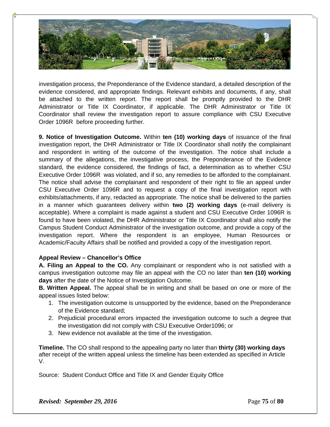

investigation process, the Preponderance of the Evidence standard, a detailed description of the evidence considered, and appropriate findings. Relevant exhibits and documents, if any, shall be attached to the written report. The report shall be promptly provided to the DHR Administrator or Title IX Coordinator, if applicable. The DHR Administrator or Title IX Coordinator shall review the investigation report to assure compliance with CSU Executive Order 1096R before proceeding further.

**9. Notice of Investigation Outcome.** Within **ten (10) working days** of issuance of the final investigation report, the DHR Administrator or Title IX Coordinator shall notify the complainant and respondent in writing of the outcome of the investigation. The notice shall include a summary of the allegations, the investigative process, the Preponderance of the Evidence standard, the evidence considered, the findings of fact, a determination as to whether CSU Executive Order 1096R was violated, and if so, any remedies to be afforded to the complainant. The notice shall advise the complainant and respondent of their right to file an appeal under CSU Executive Order 1096R and to request a copy of the final investigation report with exhibits/attachments, if any, redacted as appropriate. The notice shall be delivered to the parties in a manner which guarantees delivery within **two (2) working days** (e-mail delivery is acceptable). Where a complaint is made against a student and CSU Executive Order 1096R is found to have been violated, the DHR Administrator or Title IX Coordinator shall also notify the Campus Student Conduct Administrator of the investigation outcome, and provide a copy of the investigation report. Where the respondent is an employee, Human Resources or Academic/Faculty Affairs shall be notified and provided a copy of the investigation report.

#### **Appeal Review – Chancellor's Office**

**A. Filing an Appeal to the CO.** Any complainant or respondent who is not satisfied with a campus investigation outcome may file an appeal with the CO no later than **ten (10) working days** after the date of the Notice of Investigation Outcome.

**B. Written Appeal.** The appeal shall be in writing and shall be based on one or more of the appeal issues listed below:

- 1. The investigation outcome is unsupported by the evidence, based on the Preponderance of the Evidence standard;
- 2. Prejudicial procedural errors impacted the investigation outcome to such a degree that the investigation did not comply with CSU Executive Order1096; or
- 3. New evidence not available at the time of the investigation.

**Timeline.** The CO shall respond to the appealing party no later than **thirty (30) working days**  after receipt of the written appeal unless the timeline has been extended as specified in Article V.

Source: Student Conduct Office and Title IX and Gender Equity Office

*Revised: September 29, 2016* Page **75** of **80**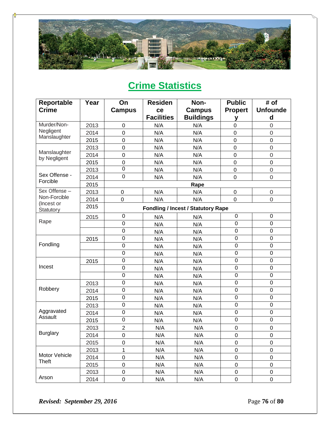

# **Crime Statistics**

| Reportable                   | Year | On               | <b>Residen</b>    | Non-                                      | <b>Public</b>    | # of                |
|------------------------------|------|------------------|-------------------|-------------------------------------------|------------------|---------------------|
| <b>Crime</b>                 |      | <b>Campus</b>    | ce                | <b>Campus</b>                             | <b>Propert</b>   | <b>Unfounde</b>     |
|                              |      |                  | <b>Facilities</b> | <b>Buildings</b>                          | y                | d                   |
| Murder/Non-                  | 2013 | $\mathbf 0$      | N/A               | N/A                                       | $\mathbf 0$      | $\overline{0}$      |
| Negligent                    | 2014 | $\mathbf 0$      | N/A               | N/A                                       | $\mathbf 0$      | $\overline{0}$      |
| Manslaughter                 | 2015 | 0                | N/A               | N/A                                       | $\mathbf 0$      | $\mathbf 0$         |
|                              | 2013 | $\mathbf 0$      | N/A               | N/A                                       | $\mathbf 0$      | $\mathbf 0$         |
| Manslaughter<br>by Negligent | 2014 | 0                | N/A               | N/A                                       | $\mathbf 0$      | $\overline{0}$      |
|                              | 2015 | $\boldsymbol{0}$ | N/A               | N/A                                       | $\boldsymbol{0}$ | $\pmb{0}$           |
|                              | 2013 | $\overline{0}$   | N/A               | N/A                                       | $\pmb{0}$        | $\mathsf{O}\xspace$ |
| Sex Offense -                | 2014 | $\pmb{0}$        | N/A               | N/A                                       | $\mathbf 0$      | $\mathbf 0$         |
| Forcible                     | 2015 |                  |                   | Rape                                      |                  |                     |
| Sex Offense -                | 2013 | $\mathbf 0$      | N/A               | N/A                                       | $\mathbf 0$      | $\mathbf 0$         |
| Non-Forcible                 | 2014 | 0                | N/A               | N/A                                       | $\mathbf 0$      | $\mathsf{O}\xspace$ |
| (Incest or<br>Statutory      | 2015 |                  |                   | <b>Fondling / Incest / Statutory Rape</b> |                  |                     |
|                              | 2015 | $\boldsymbol{0}$ | N/A               | N/A                                       | $\mathbf 0$      | $\mathbf 0$         |
| Rape                         |      | $\mathbf 0$      | N/A               | N/A                                       | $\mathbf 0$      | $\mathbf 0$         |
|                              |      | 0                | N/A               | N/A                                       | $\mathbf 0$      | $\mathbf 0$         |
|                              | 2015 | 0                | N/A               | N/A                                       | 0                | $\mathbf 0$         |
| Fondling                     |      | $\overline{0}$   | N/A               | N/A                                       | $\mathbf 0$      | $\mathbf 0$         |
|                              |      | $\pmb{0}$        | N/A               | N/A                                       | $\mathbf 0$      | $\mathbf 0$         |
|                              | 2015 | 0                | N/A               | N/A                                       | $\boldsymbol{0}$ | $\boldsymbol{0}$    |
| Incest                       |      | $\mathbf 0$      | N/A               | N/A                                       | $\mathbf 0$      | $\mathbf 0$         |
|                              |      | 0                | N/A               | N/A                                       | 0                | $\mathbf 0$         |
|                              | 2013 | 0                | N/A               | N/A                                       | $\mathbf 0$      | $\mathbf 0$         |
| Robbery                      | 2014 | $\pmb{0}$        | N/A               | N/A                                       | $\mathbf 0$      | $\mathbf 0$         |
|                              | 2015 | 0                | N/A               | N/A                                       | 0                | $\mathbf 0$         |
|                              | 2013 | $\pmb{0}$        | N/A               | N/A                                       | $\boldsymbol{0}$ | $\mathbf 0$         |
| Aggravated                   | 2014 | $\pmb{0}$        | N/A               | N/A                                       | $\mathbf 0$      | $\mathbf 0$         |
| Assault                      | 2015 | $\mathbf 0$      | N/A               | N/A                                       | $\mathbf 0$      | $\mathbf 0$         |
|                              | 2013 | $\overline{c}$   | N/A               | N/A                                       | $\mathbf 0$      | $\boldsymbol{0}$    |
| <b>Burglary</b>              | 2014 | 0                | N/A               | N/A                                       | $\mathbf 0$      | $\mathbf 0$         |
|                              | 2015 | $\mathbf 0$      | N/A               | N/A                                       | $\pmb{0}$        | $\boldsymbol{0}$    |
|                              | 2013 | 1                | N/A               | N/A                                       | $\mathbf 0$      | $\mathsf 0$         |
| Motor Vehicle                | 2014 | $\boldsymbol{0}$ | N/A               | N/A                                       | $\pmb{0}$        | $\pmb{0}$           |
| Theft                        | 2015 | $\pmb{0}$        | N/A               | N/A                                       | $\boldsymbol{0}$ | $\pmb{0}$           |
|                              | 2013 | $\pmb{0}$        | N/A               | N/A                                       | $\pmb{0}$        | $\mathbf 0$         |
| Arson                        | 2014 | 0                | N/A               | N/A                                       | 0                | 0                   |

*Revised: September 29, 2016* **Page 76** of **80**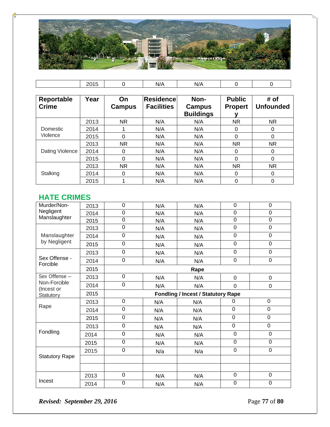

|                   | 2015 | 0             | N/A               | N/A              | 0              | 0                |
|-------------------|------|---------------|-------------------|------------------|----------------|------------------|
|                   |      |               |                   |                  |                |                  |
| <b>Reportable</b> | Year | On            | Residence         | Non-             | <b>Public</b>  | # of             |
| <b>Crime</b>      |      | <b>Campus</b> | <b>Facilities</b> | Campus           | <b>Propert</b> | <b>Unfounded</b> |
|                   |      |               |                   | <b>Buildings</b> |                |                  |
|                   | 2013 | <b>NR</b>     | N/A               | N/A              | <b>NR</b>      | <b>NR</b>        |
| Domestic          | 2014 |               | N/A               | N/A              | 0              | 0                |
| Violence          | 2015 | 0             | N/A               | N/A              | 0              | 0                |
|                   | 2013 | <b>NR</b>     | N/A               | N/A              | <b>NR</b>      | <b>NR</b>        |
| Dating Violence   | 2014 | 0             | N/A               | N/A              | 0              | 0                |
|                   | 2015 | $\Omega$      | N/A               | N/A              | $\Omega$       | $\Omega$         |
|                   | 2013 | <b>NR</b>     | N/A               | N/A              | <b>NR</b>      | <b>NR</b>        |
| Stalking          | 2014 | 0             | N/A               | N/A              | 0              | 0                |
|                   | 2015 |               | N/A               | N/A              | 0              | 0                |

### **HATE CRIMES**

| Murder/Non-                | 2013 | $\mathbf 0$    | N/A | N/A                                       | $\mathbf 0$    | $\mathbf 0$    |  |  |
|----------------------------|------|----------------|-----|-------------------------------------------|----------------|----------------|--|--|
| Negligent                  | 2014 | $\overline{0}$ | N/A | N/A                                       | $\overline{0}$ | $\overline{0}$ |  |  |
| Manslaughter               | 2015 | $\overline{0}$ | N/A | N/A                                       | $\mathbf 0$    | $\mathbf 0$    |  |  |
|                            | 2013 | $\overline{0}$ | N/A | N/A                                       | $\overline{0}$ | $\mathbf 0$    |  |  |
| Manslaughter               | 2014 | $\overline{0}$ | N/A | N/A                                       | $\overline{0}$ | $\overline{0}$ |  |  |
| by Negligent               | 2015 | 0              | N/A | N/A                                       | $\mathbf 0$    | $\mathbf 0$    |  |  |
|                            | 2013 | $\overline{0}$ | N/A | N/A                                       | $\overline{0}$ | $\overline{0}$ |  |  |
| Sex Offense -<br>Forcible  | 2014 | $\overline{0}$ | N/A | N/A                                       | $\mathbf 0$    | $\mathbf 0$    |  |  |
|                            | 2015 | Rape           |     |                                           |                |                |  |  |
| Sex Offense -              | 2013 | $\mathbf 0$    | N/A | N/A                                       | $\mathbf 0$    | $\mathbf 0$    |  |  |
| Non-Forcible<br>(Incest or | 2014 | $\mathbf 0$    | N/A | N/A                                       | $\mathbf 0$    | $\mathbf 0$    |  |  |
| Statutory                  | 2015 |                |     | <b>Fondling / Incest / Statutory Rape</b> |                |                |  |  |
|                            | 2013 | $\overline{0}$ | N/A | N/A                                       | $\Omega$       | 0              |  |  |
| Rape                       | 2014 | $\mathbf 0$    | N/A | N/A                                       | $\mathbf 0$    | $\mathbf 0$    |  |  |
|                            | 2015 | $\mathbf 0$    | N/A | N/A                                       | $\mathbf 0$    | 0              |  |  |
|                            | 2013 | $\mathbf 0$    | N/A | N/A                                       | $\mathbf 0$    | $\mathbf 0$    |  |  |
| Fondling                   | 2014 | 0              | N/A | N/A                                       | $\mathbf 0$    | $\mathbf 0$    |  |  |
|                            | 2015 | $\overline{0}$ | N/A | N/A                                       | $\overline{0}$ | $\overline{0}$ |  |  |
|                            | 2015 | $\mathbf 0$    | N/a | N/a                                       | $\mathbf 0$    | $\mathbf 0$    |  |  |
| <b>Statutory Rape</b>      |      |                |     |                                           |                |                |  |  |
|                            |      |                |     |                                           |                |                |  |  |
|                            | 2013 | $\mathbf 0$    | N/A | N/A                                       | $\mathbf 0$    | $\mathbf 0$    |  |  |
| Incest                     | 2014 | $\mathbf 0$    | N/A | N/A                                       | $\mathbf 0$    | $\mathbf 0$    |  |  |

*Revised: September 29, 2016* **Page 77** of **80**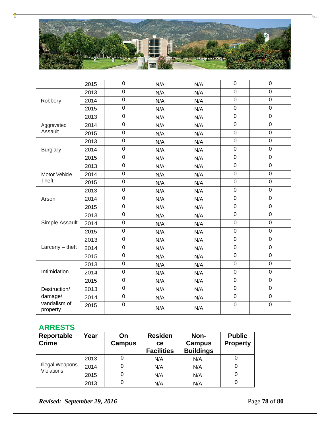

|                          | 2015 | $\boldsymbol{0}$ | N/A | N/A | $\boldsymbol{0}$ | $\boldsymbol{0}$ |
|--------------------------|------|------------------|-----|-----|------------------|------------------|
|                          | 2013 | $\overline{0}$   | N/A | N/A | $\overline{0}$   | $\overline{0}$   |
| Robbery                  | 2014 | $\mathbf 0$      | N/A | N/A | $\boldsymbol{0}$ | $\mathbf 0$      |
|                          | 2015 | $\mathbf 0$      | N/A | N/A | $\boldsymbol{0}$ | $\mathbf 0$      |
|                          | 2013 | $\mathbf 0$      | N/A | N/A | $\mathbf 0$      | $\pmb{0}$        |
| Aggravated               | 2014 | $\overline{0}$   | N/A | N/A | $\overline{0}$   | $\mathbf 0$      |
| Assault                  | 2015 | $\mathbf 0$      | N/A | N/A | $\mathbf 0$      | $\mathbf 0$      |
|                          | 2013 | $\boldsymbol{0}$ | N/A | N/A | $\boldsymbol{0}$ | $\boldsymbol{0}$ |
| <b>Burglary</b>          | 2014 | $\mathbf 0$      | N/A | N/A | $\mathbf 0$      | $\mathbf 0$      |
|                          | 2015 | $\mathbf 0$      | N/A | N/A | $\mathbf 0$      | $\pmb{0}$        |
|                          | 2013 | $\boldsymbol{0}$ | N/A | N/A | $\mathbf 0$      | $\mathsf 0$      |
| Motor Vehicle            | 2014 | $\overline{0}$   | N/A | N/A | $\mathbf 0$      | $\overline{0}$   |
| <b>Theft</b>             | 2015 | $\mathbf 0$      | N/A | N/A | $\boldsymbol{0}$ | $\boldsymbol{0}$ |
|                          | 2013 | $\mathbf 0$      | N/A | N/A | $\mathbf 0$      | $\mathbf 0$      |
| Arson                    | 2014 | $\overline{0}$   | N/A | N/A | $\pmb{0}$        | $\pmb{0}$        |
|                          | 2015 | $\mathbf 0$      | N/A | N/A | $\mathbf 0$      | $\mathbf 0$      |
|                          | 2013 | $\mathbf 0$      | N/A | N/A | $\mathbf 0$      | $\mathbf 0$      |
| Simple Assault           | 2014 | $\mathbf 0$      | N/A | N/A | $\mathbf 0$      | $\pmb{0}$        |
|                          | 2015 | $\overline{0}$   | N/A | N/A | $\overline{0}$   | $\overline{0}$   |
|                          | 2013 | $\mathbf 0$      | N/A | N/A | $\mathbf 0$      | $\mathbf 0$      |
| $Larceny - \text{theft}$ | 2014 | $\mathbf 0$      | N/A | N/A | $\boldsymbol{0}$ | $\boldsymbol{0}$ |
|                          | 2015 | $\mathbf 0$      | N/A | N/A | $\mathbf 0$      | $\mathbf 0$      |
|                          | 2013 | $\mathbf 0$      | N/A | N/A | $\mathbf 0$      | $\mathbf 0$      |
| Intimidation             | 2014 | $\mathbf 0$      | N/A | N/A | $\boldsymbol{0}$ | $\mathbf 0$      |
|                          | 2015 | $\overline{0}$   | N/A | N/A | $\mathbf 0$      | $\overline{0}$   |
| Destruction/             | 2013 | $\mathbf 0$      | N/A | N/A | $\boldsymbol{0}$ | $\mathbf 0$      |
| damage/                  | 2014 | $\boldsymbol{0}$ | N/A | N/A | $\boldsymbol{0}$ | $\pmb{0}$        |
| vandalism of<br>property | 2015 | $\pmb{0}$        | N/A | N/A | $\boldsymbol{0}$ | $\pmb{0}$        |

#### **ARRESTS**

| Reportable                                  | Year | On            | <b>Residen</b>    | Non-             | <b>Public</b>   |
|---------------------------------------------|------|---------------|-------------------|------------------|-----------------|
| <b>Crime</b>                                |      | <b>Campus</b> | <b>ce</b>         | <b>Campus</b>    | <b>Property</b> |
|                                             |      |               | <b>Facilities</b> | <b>Buildings</b> |                 |
|                                             | 2013 |               | N/A               | N/A              |                 |
| <b>Illegal Weapons</b><br><b>Violations</b> | 2014 |               | N/A               | N/A              |                 |
|                                             | 2015 |               | N/A               | N/A              |                 |
|                                             | 2013 |               | N/A               | N/A              |                 |

*Revised: September 29, 2016* **Page 78** of **80**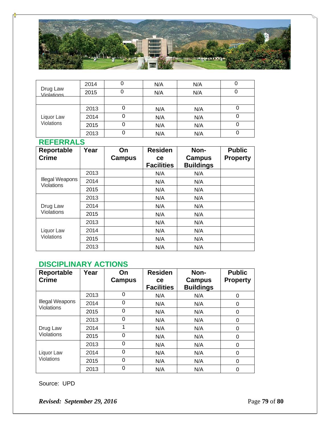

| Drug Law<br>Violations   | 2014 |   | N/A | N/A | U |
|--------------------------|------|---|-----|-----|---|
|                          | 2015 |   | N/A | N/A |   |
|                          |      |   |     |     |   |
| Liquor Law<br>Violations | 2013 | υ | N/A | N/A |   |
|                          | 2014 | Ü | N/A | N/A |   |
|                          | 2015 | 0 | N/A | N/A |   |
|                          | 2013 | 0 | N/A | N/A |   |

### **REFERRALS**

| Reportable<br><b>Crime</b>           | Year | On<br><b>Campus</b> | <b>Residen</b><br><b>ce</b><br><b>Facilities</b> | Non-<br>Campus<br><b>Buildings</b> | <b>Public</b><br><b>Property</b> |
|--------------------------------------|------|---------------------|--------------------------------------------------|------------------------------------|----------------------------------|
|                                      | 2013 |                     | N/A                                              | N/A                                |                                  |
| Illegal Weapons<br><b>Violations</b> | 2014 |                     | N/A                                              | N/A                                |                                  |
|                                      | 2015 |                     | N/A                                              | N/A                                |                                  |
|                                      | 2013 |                     | N/A                                              | N/A                                |                                  |
| Drug Law                             | 2014 |                     | N/A                                              | N/A                                |                                  |
| <b>Violations</b>                    | 2015 |                     | N/A                                              | N/A                                |                                  |
|                                      | 2013 |                     | N/A                                              | N/A                                |                                  |
| Liquor Law                           | 2014 |                     | N/A                                              | N/A                                |                                  |
| Violations                           | 2015 |                     | N/A                                              | N/A                                |                                  |
|                                      | 2013 |                     | N/A                                              | N/A                                |                                  |

#### **DISCIPLINARY ACTIONS**

| Reportable<br><b>Crime</b>           | Year | On<br><b>Campus</b> | <b>Residen</b><br><b>ce</b><br><b>Facilities</b> | Non-<br>Campus<br><b>Buildings</b> | <b>Public</b><br><b>Property</b> |
|--------------------------------------|------|---------------------|--------------------------------------------------|------------------------------------|----------------------------------|
|                                      | 2013 | 0                   | N/A                                              | N/A                                | 0                                |
| Illegal Weapons<br><b>Violations</b> | 2014 | $\Omega$            | N/A                                              | N/A                                | 0                                |
|                                      | 2015 | 0                   | N/A                                              | N/A                                | 0                                |
|                                      | 2013 | 0                   | N/A                                              | N/A                                | 0                                |
| Drug Law                             | 2014 | 1                   | N/A                                              | N/A                                | 0                                |
| Violations                           | 2015 | $\Omega$            | N/A                                              | N/A                                | 0                                |
|                                      | 2013 | 0                   | N/A                                              | N/A                                | 0                                |
| Liquor Law                           | 2014 | $\Omega$            | N/A                                              | N/A                                | 0                                |
| Violations                           | 2015 | $\Omega$            | N/A                                              | N/A                                | 0                                |
|                                      | 2013 | 0                   | N/A                                              | N/A                                | 0                                |

Source: UPD

*Revised: September 29, 2016* **Page 79** of **80**